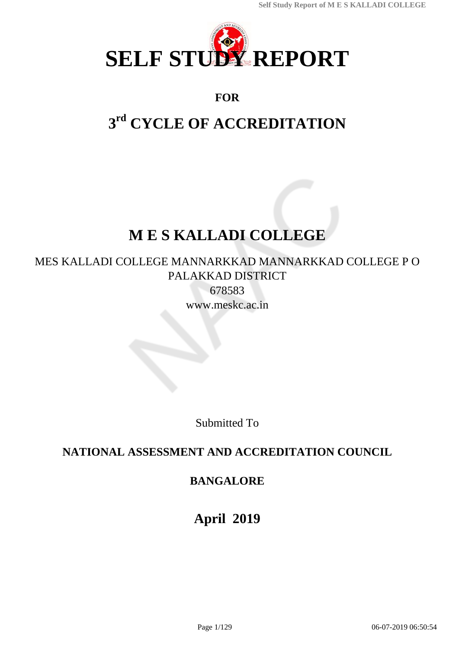

# **FOR**

# **3 rd CYCLE OF ACCREDITATION**

# **M E S KALLADI COLLEGE**

MES KALLADI COLLEGE MANNARKKAD MANNARKKAD COLLEGE P O PALAKKAD DISTRICT

678583 www.meskc.ac.in

Submitted To

# **NATIONAL ASSESSMENT AND ACCREDITATION COUNCIL**

# **BANGALORE**

**April 2019**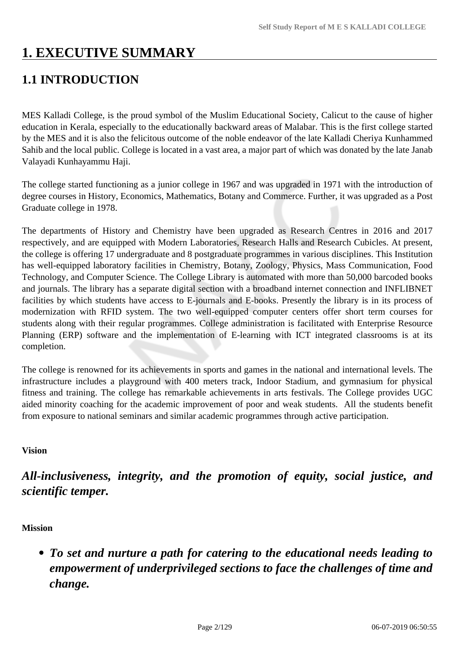# **1. EXECUTIVE SUMMARY**

# **1.1 INTRODUCTION**

MES Kalladi College, is the proud symbol of the Muslim Educational Society, Calicut to the cause of higher education in Kerala, especially to the educationally backward areas of Malabar. This is the first college started by the MES and it is also the felicitous outcome of the noble endeavor of the late Kalladi Cheriya Kunhammed Sahib and the local public. College is located in a vast area, a major part of which was donated by the late Janab Valayadi Kunhayammu Haji.

The college started functioning as a junior college in 1967 and was upgraded in 1971 with the introduction of degree courses in History, Economics, Mathematics, Botany and Commerce. Further, it was upgraded as a Post Graduate college in 1978.

The departments of History and Chemistry have been upgraded as Research Centres in 2016 and 2017 respectively, and are equipped with Modern Laboratories, Research Halls and Research Cubicles. At present, the college is offering 17 undergraduate and 8 postgraduate programmes in various disciplines. This Institution has well-equipped laboratory facilities in Chemistry, Botany, Zoology, Physics, Mass Communication, Food Technology, and Computer Science. The College Library is automated with more than 50,000 barcoded books and journals. The library has a separate digital section with a broadband internet connection and INFLIBNET facilities by which students have access to E-journals and E-books. Presently the library is in its process of modernization with RFID system. The two well-equipped computer centers offer short term courses for students along with their regular programmes. College administration is facilitated with Enterprise Resource Planning (ERP) software and the implementation of E-learning with ICT integrated classrooms is at its completion.

The college is renowned for its achievements in sports and games in the national and international levels. The infrastructure includes a playground with 400 meters track, Indoor Stadium, and gymnasium for physical fitness and training. The college has remarkable achievements in arts festivals. The College provides UGC aided minority coaching for the academic improvement of poor and weak students. All the students benefit from exposure to national seminars and similar academic programmes through active participation.

# **Vision**

*All-inclusiveness, integrity, and the promotion of equity, social justice, and scientific temper.*

# **Mission**

*To set and nurture a path for catering to the educational needs leading to empowerment of underprivileged sections to face the challenges of time and change.*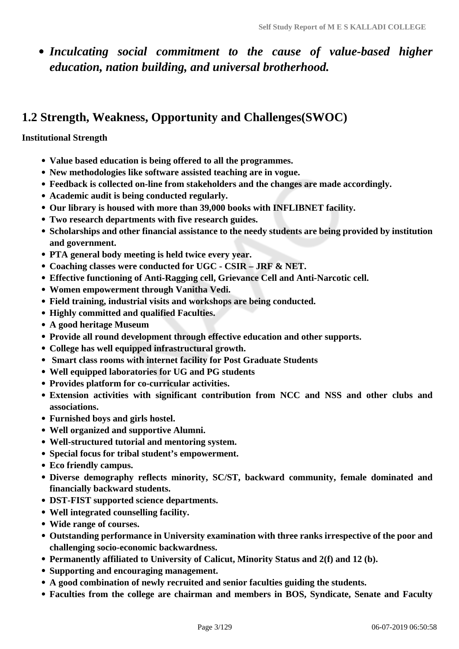*Inculcating social commitment to the cause of value-based higher education, nation building, and universal brotherhood.*

# **1.2 Strength, Weakness, Opportunity and Challenges(SWOC)**

# **Institutional Strength**

- **Value based education is being offered to all the programmes.**
- **New methodologies like software assisted teaching are in vogue.**
- **Feedback is collected on-line from stakeholders and the changes are made accordingly.**
- **Academic audit is being conducted regularly.**
- **Our library is housed with more than 39,000 books with INFLIBNET facility.**
- **Two research departments with five research guides.**
- **Scholarships and other financial assistance to the needy students are being provided by institution and government.**
- **PTA general body meeting is held twice every year.**
- **Coaching classes were conducted for UGC CSIR JRF & NET.**
- **Effective functioning of Anti-Ragging cell, Grievance Cell and Anti-Narcotic cell.**
- **Women empowerment through Vanitha Vedi.**
- **Field training, industrial visits and workshops are being conducted.**
- **Highly committed and qualified Faculties.**
- **A good heritage Museum**
- **Provide all round development through effective education and other supports.**
- **College has well equipped infrastructural growth.**
- **Smart class rooms with internet facility for Post Graduate Students**
- **Well equipped laboratories for UG and PG students**
- **Provides platform for co-curricular activities.**
- **Extension activities with significant contribution from NCC and NSS and other clubs and associations.**
- **Furnished boys and girls hostel.**
- **Well organized and supportive Alumni.**
- **Well-structured tutorial and mentoring system.**
- **Special focus for tribal student's empowerment.**
- **Eco friendly campus.**
- **Diverse demography reflects minority, SC/ST, backward community, female dominated and financially backward students.**
- **DST-FIST supported science departments.**
- **Well integrated counselling facility.**
- **Wide range of courses.**
- **Outstanding performance in University examination with three ranks irrespective of the poor and challenging socio-economic backwardness.**
- **Permanently affiliated to University of Calicut, Minority Status and 2(f) and 12 (b).**
- **Supporting and encouraging management.**
- **A good combination of newly recruited and senior faculties guiding the students.**
- **Faculties from the college are chairman and members in BOS, Syndicate, Senate and Faculty**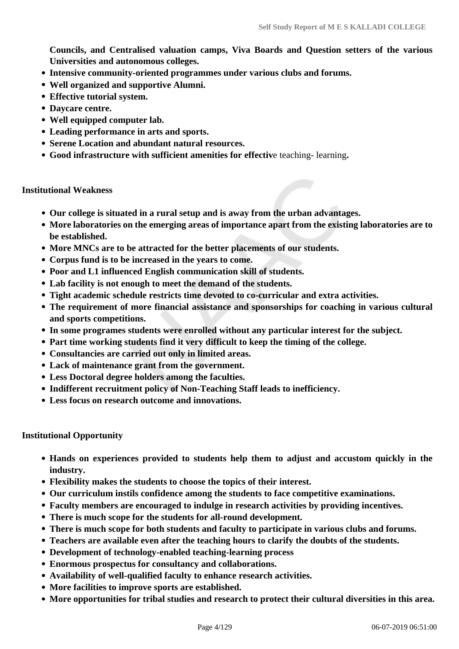**Councils, and Centralised valuation camps, Viva Boards and Question setters of the various Universities and autonomous colleges.**

- **Intensive community-oriented programmes under various clubs and forums.**
- **Well organized and supportive Alumni.**
- **Effective tutorial system.**
- **Daycare centre.**
- **Well equipped computer lab.**
- **Leading performance in arts and sports.**
- **Serene Location and abundant natural resources.**
- **Good infrastructure with sufficient amenities for effectiv**e teaching- learning**.**

#### **Institutional Weakness**

- **Our college is situated in a rural setup and is away from the urban advantages.**
- **More laboratories on the emerging areas of importance apart from the existing laboratories are to be established.**
- **More MNCs are to be attracted for the better placements of our students.**
- **Corpus fund is to be increased in the years to come.**
- **Poor and L1 influenced English communication skill of students.**
- **Lab facility is not enough to meet the demand of the students.**
- **Tight academic schedule restricts time devoted to co-curricular and extra activities.**
- **The requirement of more financial assistance and sponsorships for coaching in various cultural and sports competitions.**
- **In some programes students were enrolled without any particular interest for the subject.**
- **Part time working students find it very difficult to keep the timing of the college.**
- **Consultancies are carried out only in limited areas.**
- **Lack of maintenance grant from the government.**
- **Less Doctoral degree holders among the faculties.**
- **Indifferent recruitment policy of Non-Teaching Staff leads to inefficiency.**
- **Less focus on research outcome and innovations.**

#### **Institutional Opportunity**

- **Hands on experiences provided to students help them to adjust and accustom quickly in the industry.**
- **Flexibility makes the students to choose the topics of their interest.**
- **Our curriculum instils confidence among the students to face competitive examinations.**
- **Faculty members are encouraged to indulge in research activities by providing incentives.**
- **There is much scope for the students for all-round development.**
- **There is much scope for both students and faculty to participate in various clubs and forums.**
- **Teachers are available even after the teaching hours to clarify the doubts of the students.**
- **Development of technology-enabled teaching-learning process**
- **Enormous prospectus for consultancy and collaborations.**
- **Availability of well-qualified faculty to enhance research activities.**
- **More facilities to improve sports are established.**
- **More opportunities for tribal studies and research to protect their cultural diversities in this area.**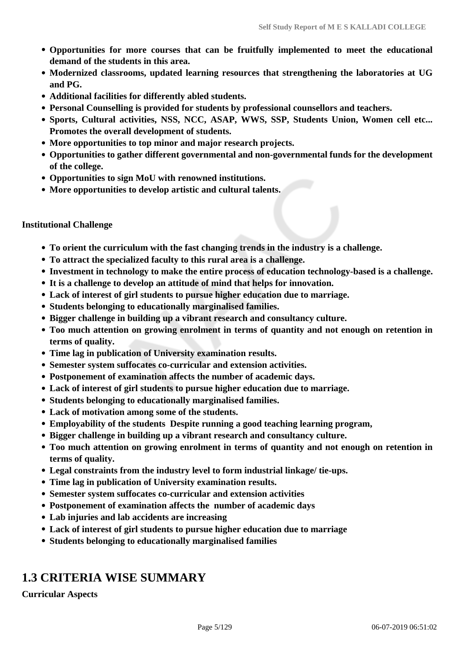- **Opportunities for more courses that can be fruitfully implemented to meet the educational demand of the students in this area.**
- **Modernized classrooms, updated learning resources that strengthening the laboratories at UG and PG.**
- **Additional facilities for differently abled students.**
- **Personal Counselling is provided for students by professional counsellors and teachers.**
- **Sports, Cultural activities, NSS, NCC, ASAP, WWS, SSP, Students Union, Women cell etc... Promotes the overall development of students.**
- **More opportunities to top minor and major research projects.**
- **Opportunities to gather different governmental and non-governmental funds for the development of the college.**
- **Opportunities to sign MoU with renowned institutions.**
- **More opportunities to develop artistic and cultural talents.**

## **Institutional Challenge**

- **To orient the curriculum with the fast changing trends in the industry is a challenge.**
- **To attract the specialized faculty to this rural area is a challenge.**
- **Investment in technology to make the entire process of education technology-based is a challenge.**
- **It is a challenge to develop an attitude of mind that helps for innovation.**
- **Lack of interest of girl students to pursue higher education due to marriage.**
- **Students belonging to educationally marginalised families.**
- **Bigger challenge in building up a vibrant research and consultancy culture.**
- **Too much attention on growing enrolment in terms of quantity and not enough on retention in terms of quality.**
- **Time lag in publication of University examination results.**
- **Semester system suffocates co-curricular and extension activities.**
- **Postponement of examination affects the number of academic days.**
- **Lack of interest of girl students to pursue higher education due to marriage.**
- **Students belonging to educationally marginalised families.**
- **Lack of motivation among some of the students.**
- **Employability of the students Despite running a good teaching learning program,**
- **Bigger challenge in building up a vibrant research and consultancy culture.**
- **Too much attention on growing enrolment in terms of quantity and not enough on retention in terms of quality.**
- **Legal constraints from the industry level to form industrial linkage/ tie-ups.**
- **Time lag in publication of University examination results.**
- **Semester system suffocates co-curricular and extension activities**
- **Postponement of examination affects the number of academic days**
- **Lab injuries and lab accidents are increasing**
- **Lack of interest of girl students to pursue higher education due to marriage**
- **Students belonging to educationally marginalised families**

# **1.3 CRITERIA WISE SUMMARY**

**Curricular Aspects**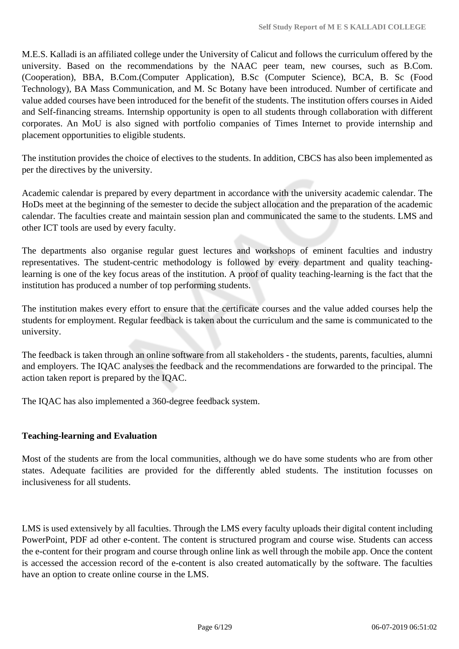M.E.S. Kalladi is an affiliated college under the University of Calicut and follows the curriculum offered by the university. Based on the recommendations by the NAAC peer team, new courses, such as B.Com. (Cooperation), BBA, B.Com.(Computer Application), B.Sc (Computer Science), BCA, B. Sc (Food Technology), BA Mass Communication, and M. Sc Botany have been introduced. Number of certificate and value added courses have been introduced for the benefit of the students. The institution offers courses in Aided and Self-financing streams. Internship opportunity is open to all students through collaboration with different corporates. An MoU is also signed with portfolio companies of Times Internet to provide internship and placement opportunities to eligible students.

The institution provides the choice of electives to the students. In addition, CBCS has also been implemented as per the directives by the university.

Academic calendar is prepared by every department in accordance with the university academic calendar. The HoDs meet at the beginning of the semester to decide the subject allocation and the preparation of the academic calendar. The faculties create and maintain session plan and communicated the same to the students. LMS and other ICT tools are used by every faculty.

The departments also organise regular guest lectures and workshops of eminent faculties and industry representatives. The student-centric methodology is followed by every department and quality teachinglearning is one of the key focus areas of the institution. A proof of quality teaching-learning is the fact that the institution has produced a number of top performing students.

The institution makes every effort to ensure that the certificate courses and the value added courses help the students for employment. Regular feedback is taken about the curriculum and the same is communicated to the university.

The feedback is taken through an online software from all stakeholders - the students, parents, faculties, alumni and employers. The IQAC analyses the feedback and the recommendations are forwarded to the principal. The action taken report is prepared by the IQAC.

The IQAC has also implemented a 360-degree feedback system.

## **Teaching-learning and Evaluation**

Most of the students are from the local communities, although we do have some students who are from other states. Adequate facilities are provided for the differently abled students. The institution focusses on inclusiveness for all students.

LMS is used extensively by all faculties. Through the LMS every faculty uploads their digital content including PowerPoint, PDF ad other e-content. The content is structured program and course wise. Students can access the e-content for their program and course through online link as well through the mobile app. Once the content is accessed the accession record of the e-content is also created automatically by the software. The faculties have an option to create online course in the LMS.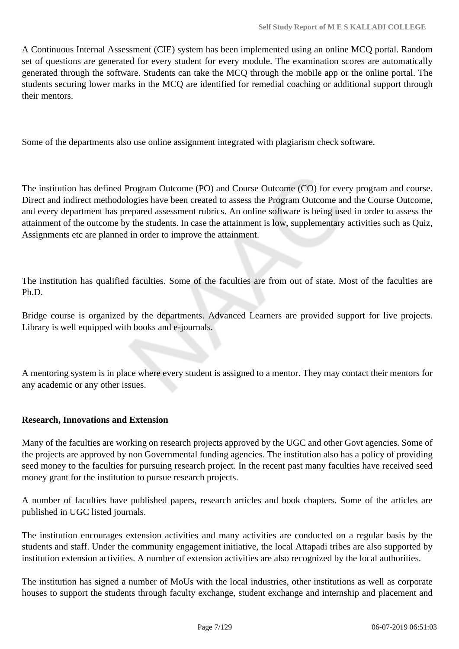A Continuous Internal Assessment (CIE) system has been implemented using an online MCQ portal. Random set of questions are generated for every student for every module. The examination scores are automatically generated through the software. Students can take the MCQ through the mobile app or the online portal. The students securing lower marks in the MCQ are identified for remedial coaching or additional support through their mentors.

Some of the departments also use online assignment integrated with plagiarism check software.

The institution has defined Program Outcome (PO) and Course Outcome (CO) for every program and course. Direct and indirect methodologies have been created to assess the Program Outcome and the Course Outcome, and every department has prepared assessment rubrics. An online software is being used in order to assess the attainment of the outcome by the students. In case the attainment is low, supplementary activities such as Quiz, Assignments etc are planned in order to improve the attainment.

The institution has qualified faculties. Some of the faculties are from out of state. Most of the faculties are Ph.D.

Bridge course is organized by the departments. Advanced Learners are provided support for live projects. Library is well equipped with books and e-journals.

A mentoring system is in place where every student is assigned to a mentor. They may contact their mentors for any academic or any other issues.

## **Research, Innovations and Extension**

Many of the faculties are working on research projects approved by the UGC and other Govt agencies. Some of the projects are approved by non Governmental funding agencies. The institution also has a policy of providing seed money to the faculties for pursuing research project. In the recent past many faculties have received seed money grant for the institution to pursue research projects.

A number of faculties have published papers, research articles and book chapters. Some of the articles are published in UGC listed journals.

The institution encourages extension activities and many activities are conducted on a regular basis by the students and staff. Under the community engagement initiative, the local Attapadi tribes are also supported by institution extension activities. A number of extension activities are also recognized by the local authorities.

The institution has signed a number of MoUs with the local industries, other institutions as well as corporate houses to support the students through faculty exchange, student exchange and internship and placement and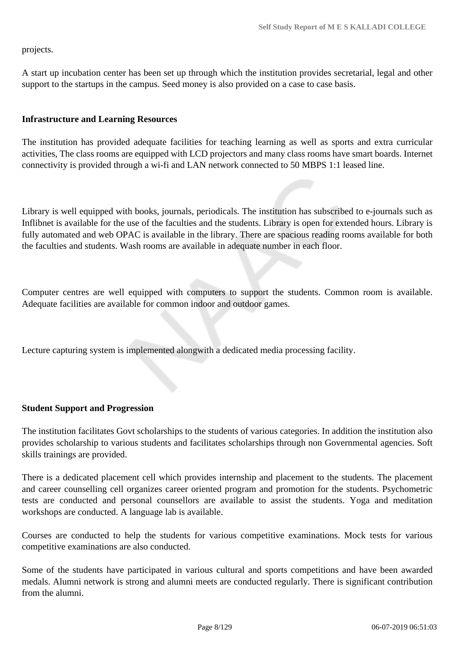projects.

A start up incubation center has been set up through which the institution provides secretarial, legal and other support to the startups in the campus. Seed money is also provided on a case to case basis.

### **Infrastructure and Learning Resources**

The institution has provided adequate facilities for teaching learning as well as sports and extra curricular activities, The class rooms are equipped with LCD projectors and many class rooms have smart boards. Internet connectivity is provided through a wi-fi and LAN network connected to 50 MBPS 1:1 leased line.

Library is well equipped with books, journals, periodicals. The institution has subscribed to e-journals such as Inflibnet is available for the use of the faculties and the students. Library is open for extended hours. Library is fully automated and web OPAC is available in the library. There are spacious reading rooms available for both the faculties and students. Wash rooms are available in adequate number in each floor.

Computer centres are well equipped with computers to support the students. Common room is available. Adequate facilities are available for common indoor and outdoor games.

Lecture capturing system is implemented alongwith a dedicated media processing facility.

## **Student Support and Progression**

The institution facilitates Govt scholarships to the students of various categories. In addition the institution also provides scholarship to various students and facilitates scholarships through non Governmental agencies. Soft skills trainings are provided.

There is a dedicated placement cell which provides internship and placement to the students. The placement and career counselling cell organizes career oriented program and promotion for the students. Psychometric tests are conducted and personal counsellors are available to assist the students. Yoga and meditation workshops are conducted. A language lab is available.

Courses are conducted to help the students for various competitive examinations. Mock tests for various competitive examinations are also conducted.

Some of the students have participated in various cultural and sports competitions and have been awarded medals. Alumni network is strong and alumni meets are conducted regularly. There is significant contribution from the alumni.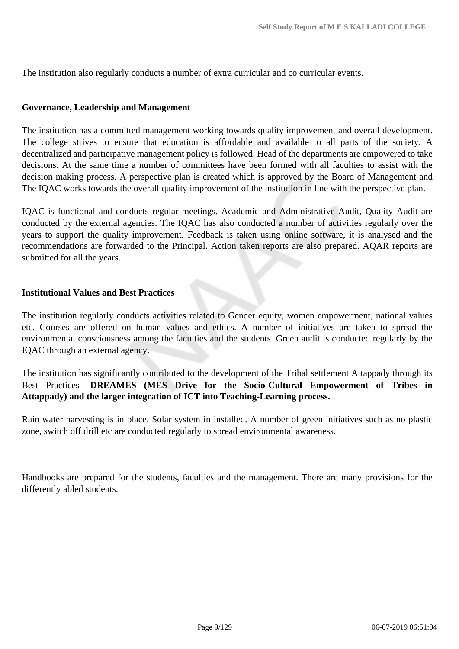The institution also regularly conducts a number of extra curricular and co curricular events.

### **Governance, Leadership and Management**

The institution has a committed management working towards quality improvement and overall development. The college strives to ensure that education is affordable and available to all parts of the society. A decentralized and participative management policy is followed. Head of the departments are empowered to take decisions. At the same time a number of committees have been formed with all faculties to assist with the decision making process. A perspective plan is created which is approved by the Board of Management and The IQAC works towards the overall quality improvement of the institution in line with the perspective plan.

IQAC is functional and conducts regular meetings. Academic and Administrative Audit, Quality Audit are conducted by the external agencies. The IQAC has also conducted a number of activities regularly over the years to support the quality improvement. Feedback is taken using online software, it is analysed and the recommendations are forwarded to the Principal. Action taken reports are also prepared. AQAR reports are submitted for all the years.

### **Institutional Values and Best Practices**

The institution regularly conducts activities related to Gender equity, women empowerment, national values etc. Courses are offered on human values and ethics. A number of initiatives are taken to spread the environmental consciousness among the faculties and the students. Green audit is conducted regularly by the IQAC through an external agency.

The institution has significantly contributed to the development of the Tribal settlement Attappady through its Best Practices- **DREAMES (MES Drive for the Socio-Cultural Empowerment of Tribes in Attappady) and the larger integration of ICT into Teaching-Learning process.**

Rain water harvesting is in place. Solar system in installed. A number of green initiatives such as no plastic zone, switch off drill etc are conducted regularly to spread environmental awareness.

Handbooks are prepared for the students, faculties and the management. There are many provisions for the differently abled students.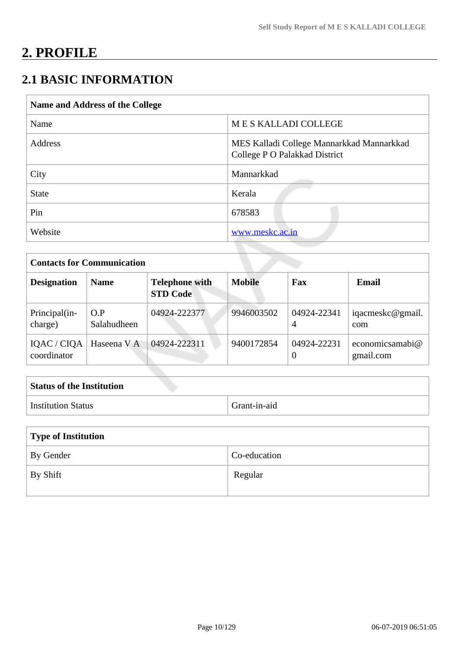# **2. PROFILE**

# **2.1 BASIC INFORMATION**

| <b>Name and Address of the College</b> |                                                                            |
|----------------------------------------|----------------------------------------------------------------------------|
| Name                                   | MES KALLADI COLLEGE                                                        |
| Address                                | MES Kalladi College Mannarkkad Mannarkkad<br>College P O Palakkad District |
| City                                   | Mannarkkad                                                                 |
| <b>State</b>                           | Kerala                                                                     |
| Pin                                    | 678583                                                                     |
| Website                                | www.meskc.ac.in                                                            |

| <b>Contacts for Communication</b> |                    |                                          |               |                         |                                 |
|-----------------------------------|--------------------|------------------------------------------|---------------|-------------------------|---------------------------------|
| <b>Designation</b>                | <b>Name</b>        | <b>Telephone with</b><br><b>STD Code</b> | <b>Mobile</b> | Fax                     | Email                           |
| Principal(in-<br>charge)          | O.P<br>Salahudheen | 04924-222377                             | 9946003502    | 04924-22341<br>4        | iqacmeskc@gmail.<br>com         |
| IQAC / CIQA<br>coordinator        | Haseena V A        | 04924-222311                             | 9400172854    | 04924-22231<br>$\theta$ | economicsamabi $@$<br>gmail.com |

| <b>Status of the Institution</b> |              |
|----------------------------------|--------------|
| Institution Status               | Grant-in-aid |

| Type of Institution |              |  |
|---------------------|--------------|--|
| By Gender           | Co-education |  |
| By Shift            | Regular      |  |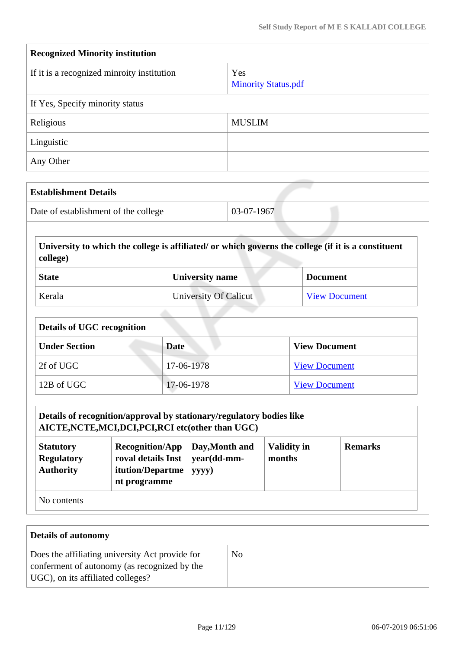| <b>Recognized Minority institution</b>     |                                   |  |
|--------------------------------------------|-----------------------------------|--|
| If it is a recognized minroity institution | Yes<br><b>Minority Status.pdf</b> |  |
| If Yes, Specify minority status            |                                   |  |
| Religious                                  | <b>MUSLIM</b>                     |  |
| Linguistic                                 |                                   |  |
| Any Other                                  |                                   |  |

| <b>Establishment Details</b>         |              |
|--------------------------------------|--------------|
| Date of establishment of the college | $03-07-1967$ |

**University to which the college is affiliated/ or which governs the college (if it is a constituent college)**

| <b>State</b> | University name       | <b>Document</b>      |
|--------------|-----------------------|----------------------|
| Kerala       | University Of Calicut | <b>View Document</b> |

| <b>Details of UGC recognition</b> |             |                      |  |
|-----------------------------------|-------------|----------------------|--|
| <b>Under Section</b>              | <b>Date</b> | <b>View Document</b> |  |
| 2f of UGC                         | 17-06-1978  | <b>View Document</b> |  |
| 12B of UGC                        | 17-06-1978  | <b>View Document</b> |  |

| Details of recognition/approval by stationary/regulatory bodies like<br>AICTE, NCTE, MCI, DCI, PCI, RCI etc(other than UGC)                                                                                                               |  |  |  |  |
|-------------------------------------------------------------------------------------------------------------------------------------------------------------------------------------------------------------------------------------------|--|--|--|--|
| <b>Validity in</b><br><b>Remarks</b><br><b>Recognition/App</b><br>Day, Month and<br><b>Statutory</b><br>roval details Inst<br><b>Regulatory</b><br>year(dd-mm-<br>months<br><b>Authority</b><br>itution/Departme<br>yyyy)<br>nt programme |  |  |  |  |
| No contents                                                                                                                                                                                                                               |  |  |  |  |

| <b>Details of autonomy</b>                                                                                                           |                |  |
|--------------------------------------------------------------------------------------------------------------------------------------|----------------|--|
| Does the affiliating university Act provide for<br>conferment of autonomy (as recognized by the<br>UGC), on its affiliated colleges? | N <sub>0</sub> |  |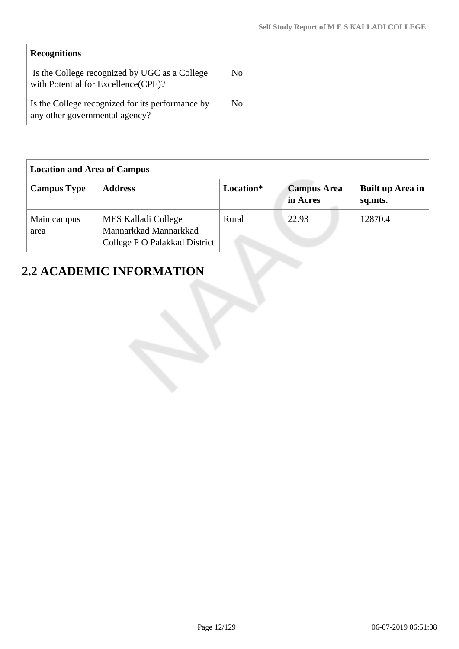| <b>Recognitions</b>                                                                   |    |
|---------------------------------------------------------------------------------------|----|
| Is the College recognized by UGC as a College<br>with Potential for Excellence (CPE)? | No |
| Is the College recognized for its performance by<br>any other governmental agency?    | No |

| <b>Location and Area of Campus</b> |                                                                                      |           |                                |                             |
|------------------------------------|--------------------------------------------------------------------------------------|-----------|--------------------------------|-----------------------------|
| <b>Campus Type</b>                 | <b>Address</b>                                                                       | Location* | <b>Campus Area</b><br>in Acres | Built up Area in<br>sq.mts. |
| Main campus<br>area                | <b>MES Kalladi College</b><br>Mannarkkad Mannarkkad<br>College P O Palakkad District | Rural     | 22.93                          | 12870.4                     |

# **2.2 ACADEMIC INFORMATION**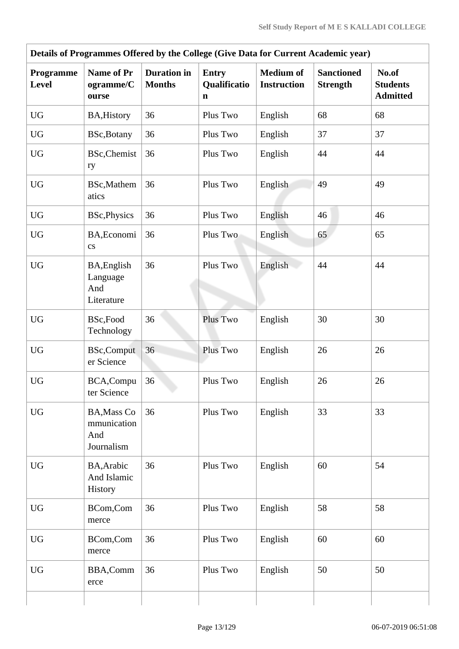| Details of Programmes Offered by the College (Give Data for Current Academic year) |                                                        |                                     |                                   |                                        |                                      |                                             |  |  |  |  |
|------------------------------------------------------------------------------------|--------------------------------------------------------|-------------------------------------|-----------------------------------|----------------------------------------|--------------------------------------|---------------------------------------------|--|--|--|--|
| Programme<br><b>Level</b>                                                          | Name of Pr<br>ogramme/C<br>ourse                       | <b>Duration</b> in<br><b>Months</b> | <b>Entry</b><br>Qualificatio<br>n | <b>Medium</b> of<br><b>Instruction</b> | <b>Sanctioned</b><br><b>Strength</b> | No.of<br><b>Students</b><br><b>Admitted</b> |  |  |  |  |
| <b>UG</b>                                                                          | <b>BA, History</b>                                     | 36                                  | Plus Two                          | English                                | 68                                   | 68                                          |  |  |  |  |
| <b>UG</b>                                                                          | BSc, Botany                                            | 36                                  | Plus Two                          | English                                | 37                                   | 37                                          |  |  |  |  |
| <b>UG</b>                                                                          | <b>BSc, Chemist</b><br>ry                              | 36                                  | Plus Two                          | English                                | 44                                   | 44                                          |  |  |  |  |
| <b>UG</b>                                                                          | BSc, Mathem<br>atics                                   | 36                                  | Plus Two                          | English                                | 49                                   | 49                                          |  |  |  |  |
| <b>UG</b>                                                                          | BSc, Physics                                           | 36                                  | Plus Two                          | English                                | 46                                   | 46                                          |  |  |  |  |
| <b>UG</b>                                                                          | BA, Economi<br>$\mathbf{c}\mathbf{s}$                  | 36                                  | Plus Two                          | English                                | 65                                   | 65                                          |  |  |  |  |
| <b>UG</b>                                                                          | BA, English<br>Language<br>And<br>Literature           | 36                                  | Plus Two                          | English                                | 44                                   | 44                                          |  |  |  |  |
| <b>UG</b>                                                                          | BSc,Food<br>Technology                                 | 36                                  | Plus Two                          | English                                | 30                                   | 30                                          |  |  |  |  |
| <b>UG</b>                                                                          | <b>BSc,Comput</b><br>er Science                        | 36                                  | Plus Two                          | English                                | 26                                   | 26                                          |  |  |  |  |
| <b>UG</b>                                                                          | BCA, Compu<br>ter Science                              | 36                                  | Plus Two                          | English                                | 26                                   | 26                                          |  |  |  |  |
| <b>UG</b>                                                                          | <b>BA, Mass Co</b><br>mmunication<br>And<br>Journalism | 36                                  | Plus Two                          | English                                | 33                                   | 33                                          |  |  |  |  |
| <b>UG</b>                                                                          | BA, Arabic<br>And Islamic<br>History                   | 36                                  | Plus Two                          | English                                | 60                                   | 54                                          |  |  |  |  |
| <b>UG</b>                                                                          | BCom,Com<br>merce                                      | 36                                  | Plus Two                          | English                                | 58                                   | 58                                          |  |  |  |  |
| <b>UG</b>                                                                          | BCom,Com<br>merce                                      | 36                                  | Plus Two                          | English                                | 60                                   | 60                                          |  |  |  |  |
| <b>UG</b>                                                                          | BBA,Comm<br>erce                                       | 36                                  | Plus Two                          | English                                | 50                                   | 50                                          |  |  |  |  |
|                                                                                    |                                                        |                                     |                                   |                                        |                                      |                                             |  |  |  |  |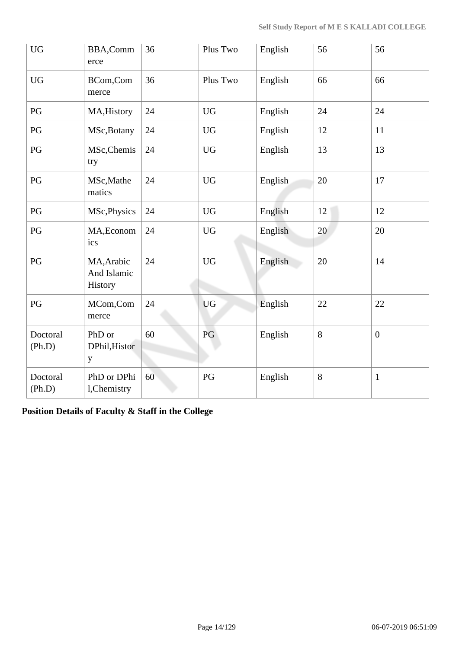| <b>UG</b>              | BBA,Comm<br>erce                     | 36 | Plus Two  | English | 56    | 56               |
|------------------------|--------------------------------------|----|-----------|---------|-------|------------------|
| <b>UG</b>              | BCom,Com<br>merce                    | 36 | Plus Two  | English | 66    | 66               |
| $\mathbf{P}\mathbf{G}$ | MA, History                          | 24 | <b>UG</b> | English | 24    | 24               |
| PG                     | MSc, Botany                          | 24 | <b>UG</b> | English | 12    | 11               |
| PG                     | MSc, Chemis<br>try                   | 24 | <b>UG</b> | English | 13    | 13               |
| $\mathbf{P}\mathbf{G}$ | MSc, Mathe<br>matics                 | 24 | <b>UG</b> | English | 20    | 17               |
| PG                     | MSc, Physics                         | 24 | <b>UG</b> | English | 12    | 12               |
| PG                     | MA, Econom<br>ics                    | 24 | <b>UG</b> | English | 20    | 20               |
| PG                     | MA, Arabic<br>And Islamic<br>History | 24 | <b>UG</b> | English | 20    | 14               |
| PG                     | MCom,Com<br>merce                    | 24 | <b>UG</b> | English | 22    | 22               |
| Doctoral<br>(Ph.D)     | PhD or<br>DPhil, Histor<br>y         | 60 | PG        | English | $8\,$ | $\boldsymbol{0}$ |
| Doctoral<br>(Ph.D)     | PhD or DPhi<br>l, Chemistry          | 60 | PG        | English | 8     | $\mathbf{1}$     |

**Position Details of Faculty & Staff in the College**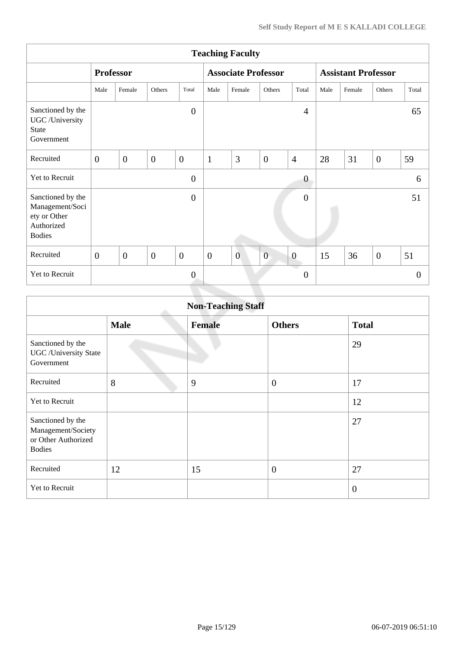|                                                                                     | <b>Teaching Faculty</b> |                  |              |                  |                  |                            |                |                  |                            |        |                |          |
|-------------------------------------------------------------------------------------|-------------------------|------------------|--------------|------------------|------------------|----------------------------|----------------|------------------|----------------------------|--------|----------------|----------|
|                                                                                     |                         | <b>Professor</b> |              |                  |                  | <b>Associate Professor</b> |                |                  | <b>Assistant Professor</b> |        |                |          |
|                                                                                     | Male                    | Female           | Others       | Total            | Male             | Female                     | Others         | Total            | Male                       | Female | Others         | Total    |
| Sanctioned by the<br>UGC /University<br><b>State</b><br>Government                  |                         |                  |              | $\overline{0}$   |                  |                            |                | $\overline{4}$   |                            |        |                | 65       |
| Recruited                                                                           | $\mathbf{0}$            | $\overline{0}$   | $\mathbf{0}$ | $\boldsymbol{0}$ | $\mathbf{1}$     | 3                          | $\overline{0}$ | $\overline{4}$   | 28                         | 31     | $\overline{0}$ | 59       |
| Yet to Recruit                                                                      |                         |                  |              | $\overline{0}$   |                  |                            |                | $\boldsymbol{0}$ |                            |        |                | 6        |
| Sanctioned by the<br>Management/Soci<br>ety or Other<br>Authorized<br><b>Bodies</b> |                         |                  |              | $\overline{0}$   |                  |                            |                | $\overline{0}$   |                            |        |                | 51       |
| Recruited                                                                           | $\overline{0}$          | $\overline{0}$   | $\mathbf{0}$ | $\mathbf{0}$     | $\boldsymbol{0}$ | $\overline{0}$             | $\overline{0}$ | $\boldsymbol{0}$ | 15                         | 36     | $\overline{0}$ | 51       |
| Yet to Recruit                                                                      |                         |                  |              | $\overline{0}$   |                  |                            |                | $\theta$         |                            |        |                | $\theta$ |
|                                                                                     |                         |                  |              |                  |                  |                            |                |                  |                            |        |                |          |

| <b>Non-Teaching Staff</b>                                                       |             |               |                |                |  |  |  |
|---------------------------------------------------------------------------------|-------------|---------------|----------------|----------------|--|--|--|
|                                                                                 | <b>Male</b> | <b>Female</b> | <b>Others</b>  | <b>Total</b>   |  |  |  |
| Sanctioned by the<br><b>UGC</b> / University State<br>Government                |             |               |                | 29             |  |  |  |
| Recruited                                                                       | 8           | 9             | $\overline{0}$ | 17             |  |  |  |
| Yet to Recruit                                                                  |             |               |                | 12             |  |  |  |
| Sanctioned by the<br>Management/Society<br>or Other Authorized<br><b>Bodies</b> |             |               |                | 27             |  |  |  |
| Recruited                                                                       | 12          | 15            | $\overline{0}$ | 27             |  |  |  |
| Yet to Recruit                                                                  |             |               |                | $\overline{0}$ |  |  |  |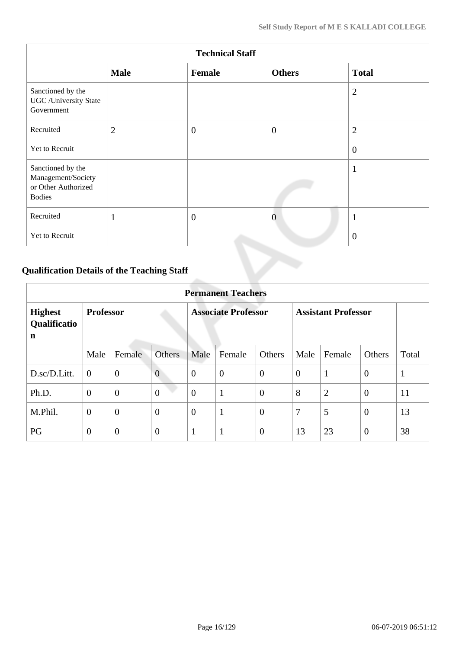| <b>Technical Staff</b>                                                          |                |                  |                |                |  |  |  |  |
|---------------------------------------------------------------------------------|----------------|------------------|----------------|----------------|--|--|--|--|
|                                                                                 | <b>Male</b>    | Female           | <b>Others</b>  | <b>Total</b>   |  |  |  |  |
| Sanctioned by the<br><b>UGC</b> /University State<br>Government                 |                |                  |                | $\overline{2}$ |  |  |  |  |
| Recruited                                                                       | $\overline{2}$ | $\overline{0}$   | $\theta$       | $\overline{2}$ |  |  |  |  |
| Yet to Recruit                                                                  |                |                  |                | $\theta$       |  |  |  |  |
| Sanctioned by the<br>Management/Society<br>or Other Authorized<br><b>Bodies</b> |                |                  |                | 1              |  |  |  |  |
| Recruited                                                                       | $\mathbf{1}$   | $\boldsymbol{0}$ | $\overline{0}$ | -1<br>л        |  |  |  |  |
| Yet to Recruit                                                                  |                |                  |                | $\theta$       |  |  |  |  |

# **Qualification Details of the Teaching Staff**

|                                               | <b>Permanent Teachers</b> |                |                            |                |                  |                            |                |                |                |              |
|-----------------------------------------------|---------------------------|----------------|----------------------------|----------------|------------------|----------------------------|----------------|----------------|----------------|--------------|
| <b>Highest</b><br>Qualificatio<br>$\mathbf n$ | <b>Professor</b>          |                | <b>Associate Professor</b> |                |                  | <b>Assistant Professor</b> |                |                |                |              |
|                                               | Male                      | Female         | Others                     | Male           | Female           | Others                     | Male           | Female         | Others         | Total        |
| D.sc/D.Litt.                                  | $\theta$                  | $\overline{0}$ | $\overline{0}$             | $\theta$       | $\boldsymbol{0}$ | $\theta$                   | $\overline{0}$ | 1              | $\overline{0}$ | $\mathbf{1}$ |
| Ph.D.                                         | $\overline{0}$            | $\overline{0}$ | $\overline{0}$             | $\overline{0}$ | $\mathbf{1}$     | $\theta$                   | 8              | $\overline{2}$ | $\overline{0}$ | 11           |
| M.Phil.                                       | $\overline{0}$            | $\overline{0}$ | $\overline{0}$             | $\theta$       | 1                | $\overline{0}$             | $\overline{7}$ | 5              | $\overline{0}$ | 13           |
| PG                                            | $\overline{0}$            | $\overline{0}$ | $\overline{0}$             | -1             | $\mathbf{1}$     | $\overline{0}$             | 13             | 23             | $\theta$       | 38           |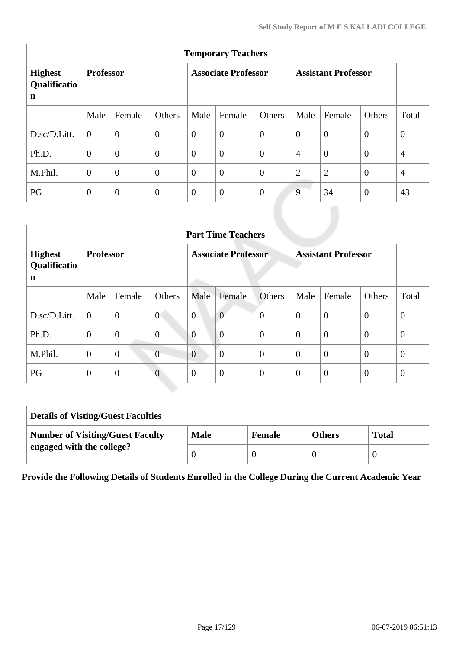| <b>Temporary Teachers</b>                     |                  |                  |                            |                |                |                            |                |                |                |                |
|-----------------------------------------------|------------------|------------------|----------------------------|----------------|----------------|----------------------------|----------------|----------------|----------------|----------------|
| <b>Highest</b><br>Qualificatio<br>$\mathbf n$ | <b>Professor</b> |                  | <b>Associate Professor</b> |                |                | <b>Assistant Professor</b> |                |                |                |                |
|                                               | Male             | Female           | Others                     | Male           | Female         | Others                     | Male           | Female         | Others         | Total          |
| D.sc/D.Litt.                                  | $\theta$         | $\overline{0}$   | $\boldsymbol{0}$           | $\overline{0}$ | $\overline{0}$ | $\overline{0}$             | $\overline{0}$ | $\overline{0}$ | $\overline{0}$ | $\overline{0}$ |
| Ph.D.                                         | $\theta$         | $\boldsymbol{0}$ | $\boldsymbol{0}$           | $\overline{0}$ | $\overline{0}$ | $\overline{0}$             | $\overline{4}$ | $\overline{0}$ | $\overline{0}$ | $\overline{4}$ |
| M.Phil.                                       | $\overline{0}$   | $\overline{0}$   | $\overline{0}$             | $\overline{0}$ | $\overline{0}$ | $\overline{0}$             | $\overline{2}$ | $\overline{2}$ | $\theta$       | $\overline{4}$ |
| PG                                            | $\overline{0}$   | $\theta$         | $\mathbf{0}$               | $\overline{0}$ | $\overline{0}$ | $\overline{0}$             | 9              | 34             | $\overline{0}$ | 43             |

|                                     | <b>Part Time Teachers</b> |                |                            |                |                |                            |                |                |                |                |
|-------------------------------------|---------------------------|----------------|----------------------------|----------------|----------------|----------------------------|----------------|----------------|----------------|----------------|
| <b>Highest</b><br>Qualificatio<br>n | <b>Professor</b>          |                | <b>Associate Professor</b> |                |                | <b>Assistant Professor</b> |                |                |                |                |
|                                     | Male                      | Female         | Others                     | Male           | Female         | <b>Others</b>              | Male           | Female         | Others         | Total          |
| D.sc/D.Litt.                        | $\boldsymbol{0}$          | $\mathbf{0}$   | $\overline{0}$             | $\overline{0}$ | $\overline{0}$ | $\overline{0}$             | $\theta$       | $\overline{0}$ | $\theta$       | $\overline{0}$ |
| Ph.D.                               | $\theta$                  | $\overline{0}$ | $\overline{0}$             | $\overline{0}$ | $\overline{0}$ | $\overline{0}$             | $\overline{0}$ | $\overline{0}$ | $\overline{0}$ | $\theta$       |
| M.Phil.                             | $\theta$                  | $\overline{0}$ | $\overline{0}$             | $\overline{0}$ | $\overline{0}$ | $\overline{0}$             | $\theta$       | $\overline{0}$ | $\overline{0}$ | $\theta$       |
| PG                                  | $\theta$                  | $\overline{0}$ | $\overline{0}$             | $\theta$       | $\overline{0}$ | $\overline{0}$             | $\overline{0}$ | $\overline{0}$ | $\theta$       | $\theta$       |

| <b>Details of Visting/Guest Faculties</b> |             |               |               |              |  |  |
|-------------------------------------------|-------------|---------------|---------------|--------------|--|--|
| <b>Number of Visiting/Guest Faculty</b>   | <b>Male</b> | <b>Female</b> | <b>Others</b> | <b>Total</b> |  |  |
| engaged with the college?                 |             |               |               |              |  |  |

**Provide the Following Details of Students Enrolled in the College During the Current Academic Year**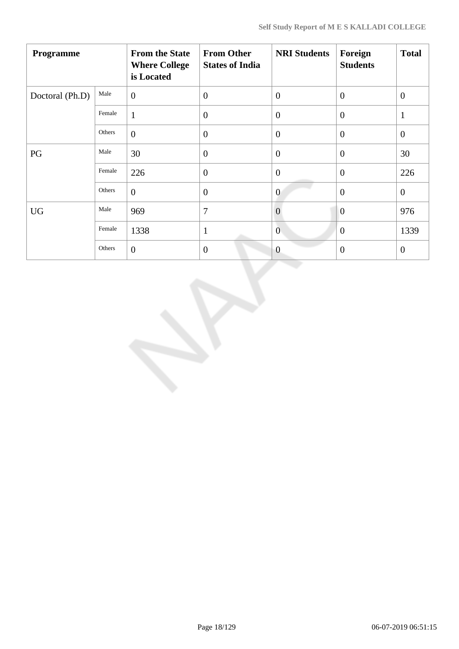| Programme       |        | <b>From the State</b><br><b>Where College</b><br>is Located | <b>From Other</b><br><b>States of India</b> | <b>NRI Students</b> | Foreign<br><b>Students</b> | <b>Total</b>   |
|-----------------|--------|-------------------------------------------------------------|---------------------------------------------|---------------------|----------------------------|----------------|
| Doctoral (Ph.D) | Male   | $\overline{0}$                                              | $\mathbf{0}$                                | $\theta$            | $\theta$                   | $\overline{0}$ |
|                 | Female | $\mathbf{1}$                                                | $\overline{0}$                              | $\overline{0}$      | $\theta$                   | $\mathbf{1}$   |
|                 | Others | $\boldsymbol{0}$                                            | $\overline{0}$                              | $\overline{0}$      | $\overline{0}$             | $\overline{0}$ |
| PG              | Male   | 30                                                          | $\overline{0}$                              | $\theta$            | $\overline{0}$             | 30             |
|                 | Female | 226                                                         | $\mathbf{0}$                                | $\overline{0}$      | $\overline{0}$             | 226            |
|                 | Others | $\overline{0}$                                              | $\theta$                                    | $\overline{0}$      | $\overline{0}$             | $\mathbf{0}$   |
| <b>UG</b>       | Male   | 969                                                         | 7                                           | $\overline{0}$      | $\overline{0}$             | 976            |
|                 | Female | 1338                                                        | $\mathbf{1}$                                | $\mathbf{0}$        | $\theta$                   | 1339           |
|                 | Others | $\overline{0}$                                              | $\theta$                                    | $\overline{0}$      | $\boldsymbol{0}$           | $\mathbf{0}$   |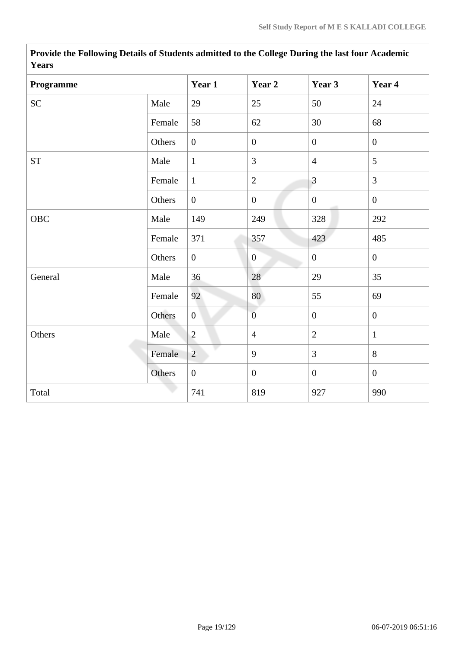| <b>Y</b> ears |        |                  |                  |                  |                  |
|---------------|--------|------------------|------------------|------------------|------------------|
| Programme     |        | Year 1           | Year 2           | Year 3           | Year 4           |
| <b>SC</b>     | Male   | 29               | 25               | 50               | 24               |
|               | Female | 58               | 62               | 30               | 68               |
|               | Others | $\boldsymbol{0}$ | $\boldsymbol{0}$ | $\overline{0}$   | $\boldsymbol{0}$ |
| ${\cal ST}$   | Male   | $\mathbf{1}$     | 3                | $\overline{4}$   | 5                |
|               | Female | $\mathbf{1}$     | $\sqrt{2}$       | $\overline{3}$   | $\overline{3}$   |
|               | Others | $\overline{0}$   | $\boldsymbol{0}$ | $\overline{0}$   | $\mathbf{0}$     |
| <b>OBC</b>    | Male   | 149              | 249              | 328              | 292              |
|               | Female | 371              | 357              | 423              | 485              |
|               | Others | $\overline{0}$   | $\overline{0}$   | $\boldsymbol{0}$ | $\mathbf{0}$     |
| General       | Male   | 36               | 28               | 29               | 35               |
|               | Female | 92               | 80               | 55               | 69               |
|               | Others | $\mathbf{0}$     | $\overline{0}$   | $\overline{0}$   | $\overline{0}$   |
| Others        | Male   | $\overline{2}$   | $\overline{4}$   | $\overline{2}$   | $\mathbf{1}$     |
|               | Female | $\overline{2}$   | 9                | 3                | 8                |
|               | Others | $\overline{0}$   | $\boldsymbol{0}$ | $\overline{0}$   | $\boldsymbol{0}$ |
| Total         |        | 741              | 819              | 927              | 990              |

**Provide the Following Details of Students admitted to the College During the last four Academic Years**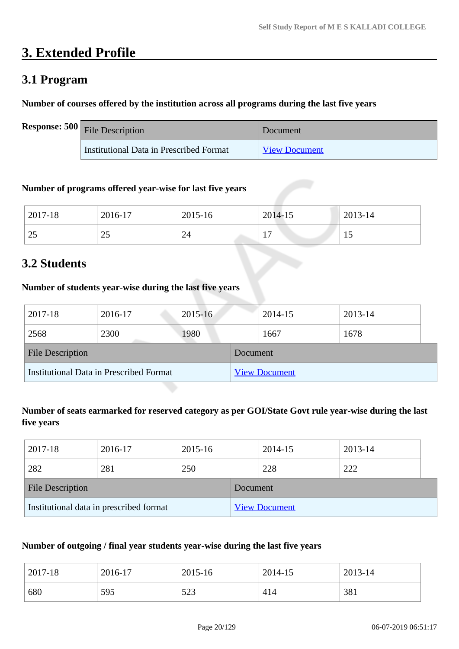# **3. Extended Profile**

# **3.1 Program**

# **Number of courses offered by the institution across all programs during the last five years**

| <b>Response: 500</b> File Description   | Document             |
|-----------------------------------------|----------------------|
| Institutional Data in Prescribed Format | <b>View Document</b> |

## **Number of programs offered year-wise for last five years**

| 2017-18          | 2016-17        | 2015-16 | 2014-15             | 2013-14 |
|------------------|----------------|---------|---------------------|---------|
| $\gamma$<br>ں کے | $\Omega$<br>ر_ | 24      | $-$<br>$\mathbf{r}$ |         |

# **3.2 Students**

# **Number of students year-wise during the last five years**

| 2017-18                                 | 2016-17 | $2015 - 16$ |                      | 2014-15 | 2013-14 |  |
|-----------------------------------------|---------|-------------|----------------------|---------|---------|--|
| 2568                                    | 2300    | 1980        |                      | 1667    | 1678    |  |
| <b>File Description</b>                 |         |             | Document             |         |         |  |
| Institutional Data in Prescribed Format |         |             | <b>View Document</b> |         |         |  |

# **Number of seats earmarked for reserved category as per GOI/State Govt rule year-wise during the last five years**

| 2017-18                                 | 2016-17 | 2015-16  |                      | 2014-15 | 2013-14 |
|-----------------------------------------|---------|----------|----------------------|---------|---------|
| 282                                     | 281     | 250      |                      | 228     | 222     |
| <b>File Description</b>                 |         | Document |                      |         |         |
| Institutional data in prescribed format |         |          | <b>View Document</b> |         |         |

## **Number of outgoing / final year students year-wise during the last five years**

| 2017-18 | 2016-17 | 2015-16      | 2014-15 | 2013-14 |
|---------|---------|--------------|---------|---------|
| 680     | 595     | 573<br>ر ے ر | 414     | 381     |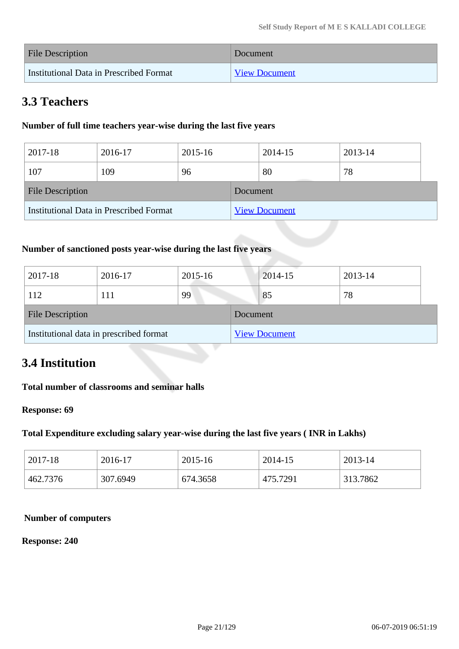| File Description                        | Document             |
|-----------------------------------------|----------------------|
| Institutional Data in Prescribed Format | <b>View Document</b> |

# **3.3 Teachers**

# **Number of full time teachers year-wise during the last five years**

| 2017-18                 | 2016-17                                 | 2015-16 |          | 2014-15              | 2013-14 |  |
|-------------------------|-----------------------------------------|---------|----------|----------------------|---------|--|
| 107                     | 109                                     | 96      |          | 80                   | 78      |  |
| <b>File Description</b> |                                         |         | Document |                      |         |  |
|                         | Institutional Data in Prescribed Format |         |          | <b>View Document</b> |         |  |

# **Number of sanctioned posts year-wise during the last five years**

| 2017-18                                 | 2016-17 | 2015-16 |                      | 2014-15 | 2013-14 |
|-----------------------------------------|---------|---------|----------------------|---------|---------|
| 112                                     |         | 99      |                      | 85      | 78      |
| <b>File Description</b>                 |         |         | Document             |         |         |
| Institutional data in prescribed format |         |         | <b>View Document</b> |         |         |

# **3.4 Institution**

# **Total number of classrooms and seminar halls**

#### **Response: 69**

## **Total Expenditure excluding salary year-wise during the last five years ( INR in Lakhs)**

| 2017-18  | 2016-17  | 2015-16  | 2014-15  | 2013-14  |
|----------|----------|----------|----------|----------|
| 462.7376 | 307.6949 | 674.3658 | 475.7291 | 313.7862 |

#### **Number of computers**

#### **Response: 240**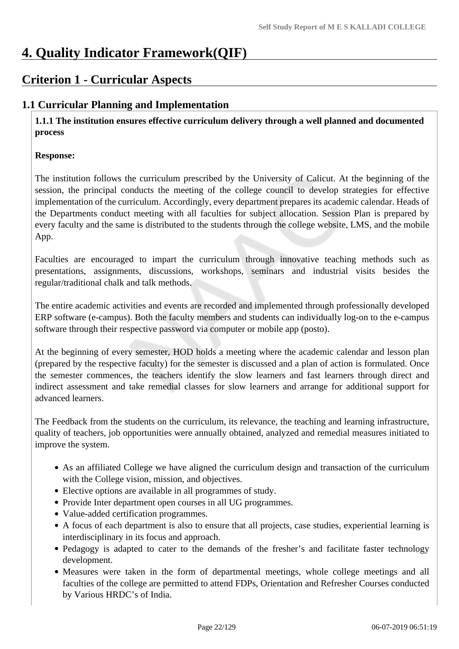# **4. Quality Indicator Framework(QIF)**

# **Criterion 1 - Curricular Aspects**

# **1.1 Curricular Planning and Implementation**

**1.1.1 The institution ensures effective curriculum delivery through a well planned and documented process** 

# **Response:**

The institution follows the curriculum prescribed by the University of Calicut. At the beginning of the session, the principal conducts the meeting of the college council to develop strategies for effective implementation of the curriculum. Accordingly, every department prepares its academic calendar. Heads of the Departments conduct meeting with all faculties for subject allocation. Session Plan is prepared by every faculty and the same is distributed to the students through the college website, LMS, and the mobile App.

Faculties are encouraged to impart the curriculum through innovative teaching methods such as presentations, assignments, discussions, workshops, seminars and industrial visits besides the regular/traditional chalk and talk methods.

The entire academic activities and events are recorded and implemented through professionally developed ERP software (e-campus). Both the faculty members and students can individually log-on to the e-campus software through their respective password via computer or mobile app (posto).

At the beginning of every semester, HOD holds a meeting where the academic calendar and lesson plan (prepared by the respective faculty) for the semester is discussed and a plan of action is formulated. Once the semester commences, the teachers identify the slow learners and fast learners through direct and indirect assessment and take remedial classes for slow learners and arrange for additional support for advanced learners.

The Feedback from the students on the curriculum, its relevance, the teaching and learning infrastructure, quality of teachers, job opportunities were annually obtained, analyzed and remedial measures initiated to improve the system.

- As an affiliated College we have aligned the curriculum design and transaction of the curriculum with the College vision, mission, and objectives.
- Elective options are available in all programmes of study.
- Provide Inter department open courses in all UG programmes.
- Value-added certification programmes.
- A focus of each department is also to ensure that all projects, case studies, experiential learning is interdisciplinary in its focus and approach.
- Pedagogy is adapted to cater to the demands of the fresher's and facilitate faster technology development.
- Measures were taken in the form of departmental meetings, whole college meetings and all faculties of the college are permitted to attend FDPs, Orientation and Refresher Courses conducted by Various HRDC's of India.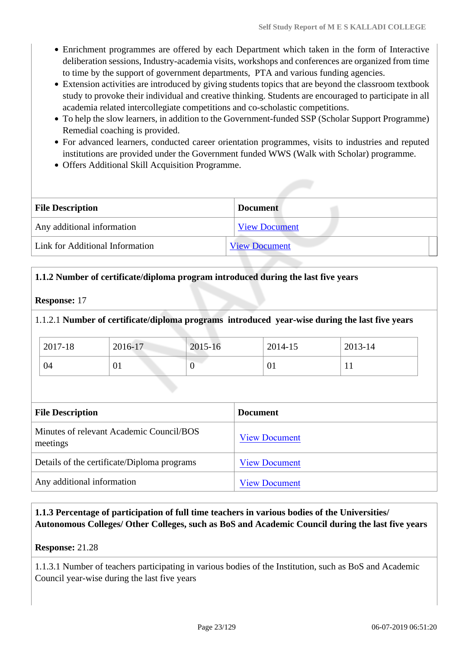- Enrichment programmes are offered by each Department which taken in the form of Interactive deliberation sessions, Industry-academia visits, workshops and conferences are organized from time to time by the support of government departments, PTA and various funding agencies.
- Extension activities are introduced by giving students topics that are beyond the classroom textbook study to provoke their individual and creative thinking. Students are encouraged to participate in all academia related intercollegiate competitions and co-scholastic competitions.
- To help the slow learners, in addition to the Government-funded SSP (Scholar Support Programme) Remedial coaching is provided.
- For advanced learners, conducted career orientation programmes, visits to industries and reputed institutions are provided under the Government funded WWS (Walk with Scholar) programme.
- Offers Additional Skill Acquisition Programme.

| <b>File Description</b>         | <b>Document</b>      |
|---------------------------------|----------------------|
| Any additional information      | <b>View Document</b> |
| Link for Additional Information | <b>View Document</b> |

### **1.1.2 Number of certificate/diploma program introduced during the last five years**

#### **Response:** 17

#### 1.1.2.1 **Number of certificate/diploma programs introduced year-wise during the last five years**

| 2017-18 | 2016-17 | 2015-16 | 2014-15   | 2013-14      |
|---------|---------|---------|-----------|--------------|
| 04      | UΙ      | ◡       | <u>UI</u> | $\mathbf{r}$ |

| <b>File Description</b>                              | <b>Document</b>      |
|------------------------------------------------------|----------------------|
| Minutes of relevant Academic Council/BOS<br>meetings | <b>View Document</b> |
| Details of the certificate/Diploma programs          | <b>View Document</b> |
| Any additional information                           | <b>View Document</b> |

**1.1.3 Percentage of participation of full time teachers in various bodies of the Universities/ Autonomous Colleges/ Other Colleges, such as BoS and Academic Council during the last five years** 

**Response:** 21.28

1.1.3.1 Number of teachers participating in various bodies of the Institution, such as BoS and Academic Council year-wise during the last five years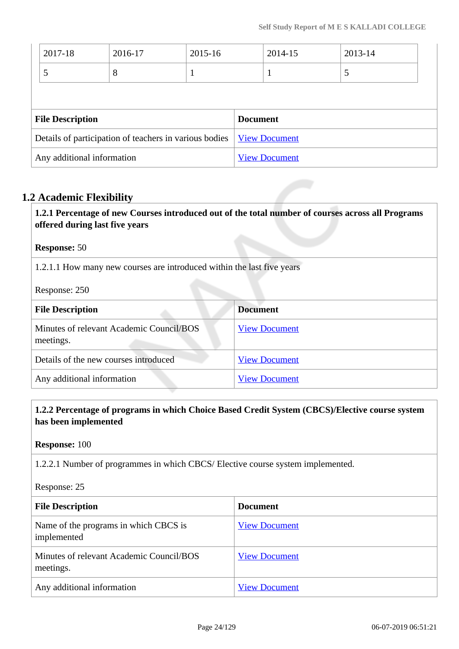| 2017-18                 | 2016-17                                                | 2015-16 |                 | 2014-15              | 2013-14 |  |
|-------------------------|--------------------------------------------------------|---------|-----------------|----------------------|---------|--|
| 5                       | 8                                                      | -1      |                 | 1                    | 5       |  |
|                         |                                                        |         |                 |                      |         |  |
|                         |                                                        |         |                 |                      |         |  |
| <b>File Description</b> |                                                        |         | <b>Document</b> |                      |         |  |
|                         | Details of participation of teachers in various bodies |         |                 | <b>View Document</b> |         |  |

# **1.2 Academic Flexibility**

**1.2.1 Percentage of new Courses introduced out of the total number of courses across all Programs offered during last five years**

### **Response:** 50

1.2.1.1 How many new courses are introduced within the last five years

Response: 250

| <b>File Description</b>                               | <b>Document</b>      |
|-------------------------------------------------------|----------------------|
| Minutes of relevant Academic Council/BOS<br>meetings. | <b>View Document</b> |
| Details of the new courses introduced                 | <b>View Document</b> |
| Any additional information                            | <b>View Document</b> |

# **1.2.2 Percentage of programs in which Choice Based Credit System (CBCS)/Elective course system has been implemented**

**Response:** 100

1.2.2.1 Number of programmes in which CBCS/ Elective course system implemented.

Response: 25

| <b>File Description</b>                               | <b>Document</b>      |
|-------------------------------------------------------|----------------------|
| Name of the programs in which CBCS is<br>implemented  | <b>View Document</b> |
| Minutes of relevant Academic Council/BOS<br>meetings. | <b>View Document</b> |
| Any additional information                            | <b>View Document</b> |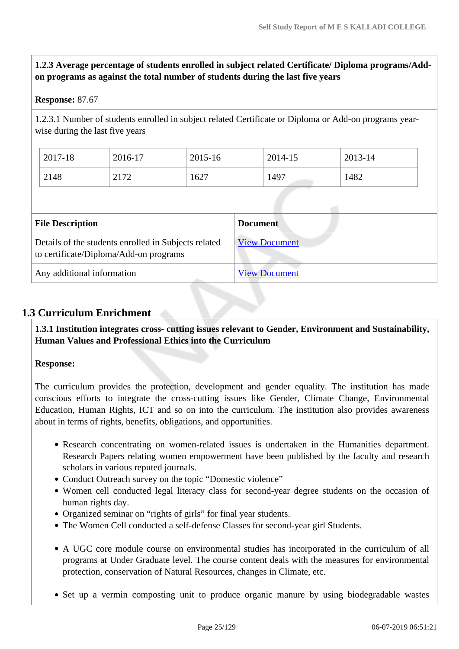**1.2.3 Average percentage of students enrolled in subject related Certificate/ Diploma programs/Addon programs as against the total number of students during the last five years**

#### **Response:** 87.67

1.2.3.1 Number of students enrolled in subject related Certificate or Diploma or Add-on programs yearwise during the last five years

| 2017-18 | 2016-17 | 2015-16 | 2014-15 | 2013-14 |
|---------|---------|---------|---------|---------|
| 2148    | 2172    | 1627    | 1497    | 1482    |

| <b>File Description</b>                                                                        | <b>Document</b>      |
|------------------------------------------------------------------------------------------------|----------------------|
| Details of the students enrolled in Subjects related<br>to certificate/Diploma/Add-on programs | <b>View Document</b> |
| Any additional information                                                                     | <b>View Document</b> |

# **1.3 Curriculum Enrichment**

**1.3.1 Institution integrates cross- cutting issues relevant to Gender, Environment and Sustainability, Human Values and Professional Ethics into the Curriculum**

## **Response:**

The curriculum provides the protection, development and gender equality. The institution has made conscious efforts to integrate the cross-cutting issues like Gender, Climate Change, Environmental Education, Human Rights, ICT and so on into the curriculum. The institution also provides awareness about in terms of rights, benefits, obligations, and opportunities.

- Research concentrating on women-related issues is undertaken in the Humanities department. Research Papers relating women empowerment have been published by the faculty and research scholars in various reputed journals.
- Conduct Outreach survey on the topic "Domestic violence"
- Women cell conducted legal literacy class for second-year degree students on the occasion of human rights day.
- Organized seminar on "rights of girls" for final year students.
- The Women Cell conducted a self-defense Classes for second-year girl Students.
- A UGC core module course on environmental studies has incorporated in the curriculum of all programs at Under Graduate level. The course content deals with the measures for environmental protection, conservation of Natural Resources, changes in Climate, etc.
- Set up a vermin composting unit to produce organic manure by using biodegradable wastes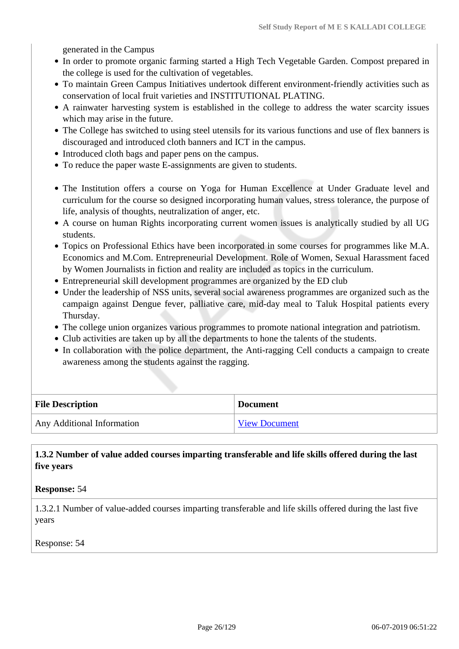generated in the Campus

- In order to promote organic farming started a High Tech Vegetable Garden. Compost prepared in the college is used for the cultivation of vegetables.
- To maintain Green Campus Initiatives undertook different environment-friendly activities such as conservation of local fruit varieties and INSTITUTIONAL PLATING.
- A rainwater harvesting system is established in the college to address the water scarcity issues which may arise in the future.
- The College has switched to using steel utensils for its various functions and use of flex banners is discouraged and introduced cloth banners and ICT in the campus.
- Introduced cloth bags and paper pens on the campus.
- To reduce the paper waste E-assignments are given to students.
- The Institution offers a course on Yoga for Human Excellence at Under Graduate level and curriculum for the course so designed incorporating human values, stress tolerance, the purpose of life, analysis of thoughts, neutralization of anger, etc.
- A course on human Rights incorporating current women issues is analytically studied by all UG students.
- Topics on Professional Ethics have been incorporated in some courses for programmes like M.A. Economics and M.Com. Entrepreneurial Development. Role of Women, Sexual Harassment faced by Women Journalists in fiction and reality are included as topics in the curriculum.
- Entrepreneurial skill development programmes are organized by the ED club
- Under the leadership of NSS units, several social awareness programmes are organized such as the campaign against Dengue fever, palliative care, mid-day meal to Taluk Hospital patients every Thursday.
- The college union organizes various programmes to promote national integration and patriotism.
- Club activities are taken up by all the departments to hone the talents of the students.
- In collaboration with the police department, the Anti-ragging Cell conducts a campaign to create awareness among the students against the ragging.

| <b>File Description</b>    | <b>Document</b>      |
|----------------------------|----------------------|
| Any Additional Information | <b>View Document</b> |

**1.3.2 Number of value added courses imparting transferable and life skills offered during the last five years**

**Response:** 54

1.3.2.1 Number of value-added courses imparting transferable and life skills offered during the last five years

Response: 54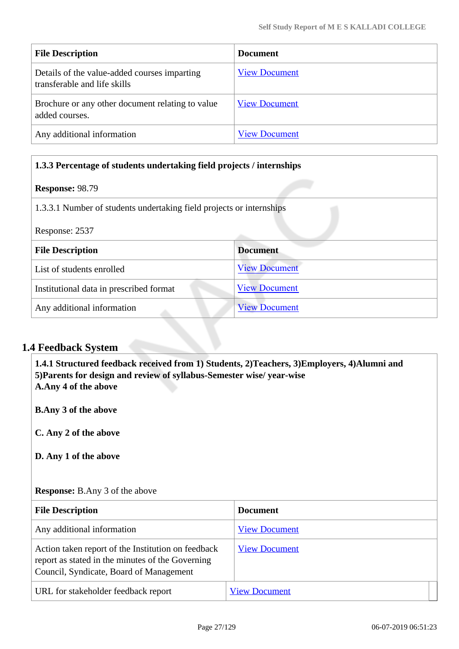| <b>File Description</b>                                                      | <b>Document</b>      |
|------------------------------------------------------------------------------|----------------------|
| Details of the value-added courses imparting<br>transferable and life skills | <b>View Document</b> |
| Brochure or any other document relating to value<br>added courses.           | <b>View Document</b> |
| Any additional information                                                   | <b>View Document</b> |

# **1.3.3 Percentage of students undertaking field projects / internships**

### **Response:** 98.79

1.3.3.1 Number of students undertaking field projects or internships

Response: 2537

| <b>File Description</b>                 | <b>Document</b>      |
|-----------------------------------------|----------------------|
| List of students enrolled               | <b>View Document</b> |
| Institutional data in prescribed format | <b>View Document</b> |
| Any additional information              | <b>View Document</b> |

# **1.4 Feedback System**

**1.4.1 Structured feedback received from 1) Students, 2)Teachers, 3)Employers, 4)Alumni and 5)Parents for design and review of syllabus-Semester wise/ year-wise A.Any 4 of the above**

**B.Any 3 of the above**

**C. Any 2 of the above**

**D. Any 1 of the above**

## **Response:** B.Any 3 of the above

| <b>File Description</b>                                                                                                                           | <b>Document</b>      |
|---------------------------------------------------------------------------------------------------------------------------------------------------|----------------------|
| Any additional information                                                                                                                        | <b>View Document</b> |
| Action taken report of the Institution on feedback<br>report as stated in the minutes of the Governing<br>Council, Syndicate, Board of Management | <b>View Document</b> |
| URL for stakeholder feedback report                                                                                                               | <b>View Document</b> |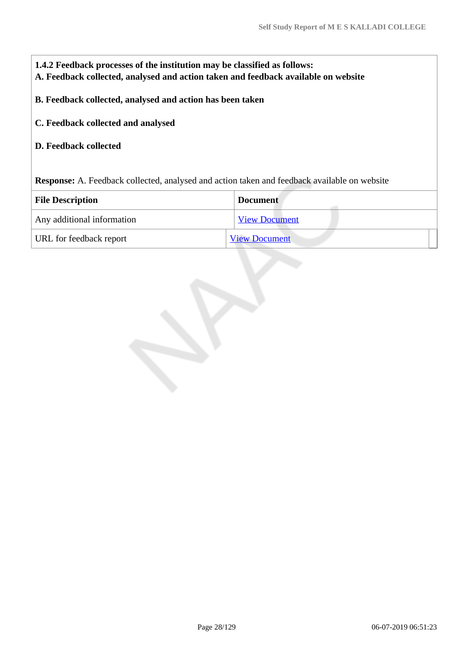| 1.4.2 Feedback processes of the institution may be classified as follows:<br>A. Feedback collected, analysed and action taken and feedback available on website |                      |  |  |
|-----------------------------------------------------------------------------------------------------------------------------------------------------------------|----------------------|--|--|
| B. Feedback collected, analysed and action has been taken                                                                                                       |                      |  |  |
| C. Feedback collected and analysed                                                                                                                              |                      |  |  |
| <b>D. Feedback collected</b>                                                                                                                                    |                      |  |  |
| <b>Response:</b> A. Feedback collected, analysed and action taken and feedback available on website                                                             |                      |  |  |
| <b>File Description</b>                                                                                                                                         | <b>Document</b>      |  |  |
| Any additional information                                                                                                                                      | <b>View Document</b> |  |  |
| URL for feedback report                                                                                                                                         | <b>View Document</b> |  |  |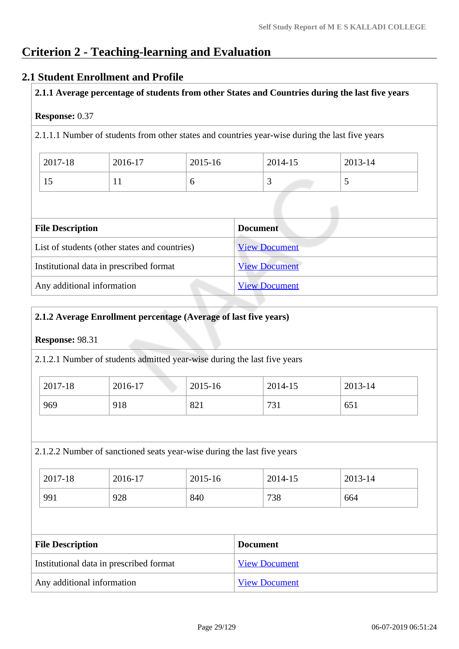# **Criterion 2 - Teaching-learning and Evaluation**

# **2.1 Student Enrollment and Profile**

**2.1.1 Average percentage of students from other States and Countries during the last five years**

## **Response:** 0.37

2.1.1.1 Number of students from other states and countries year-wise during the last five years

| 2017-18 | 2016-17 | $2015 - 16$ | 2014-15 | 2013-14       |
|---------|---------|-------------|---------|---------------|
| IJ      | . .     |             |         | $\sim$ $\sim$ |

| <b>File Description</b>                       | <b>Document</b>      |
|-----------------------------------------------|----------------------|
| List of students (other states and countries) | <b>View Document</b> |
| Institutional data in prescribed format       | <b>View Document</b> |
| Any additional information                    | <b>View Document</b> |

## **2.1.2 Average Enrollment percentage (Average of last five years)**

#### **Response:** 98.31

2.1.2.1 Number of students admitted year-wise during the last five years

| 2017-18 | 2016-17 | 2015-16 | 2014-15   | 2013-14 |
|---------|---------|---------|-----------|---------|
| 969     | 918     | 821     | 721<br>71 | 651     |

#### 2.1.2.2 Number of sanctioned seats year-wise during the last five years

| 2017-18 | 2016-17 | 2015-16 | 2014-15 | 2013-14 |
|---------|---------|---------|---------|---------|
| 991     | 928     | 840     | 738     | 664     |

| <b>File Description</b>                 | <b>Document</b>      |
|-----------------------------------------|----------------------|
| Institutional data in prescribed format | <b>View Document</b> |
| Any additional information              | <b>View Document</b> |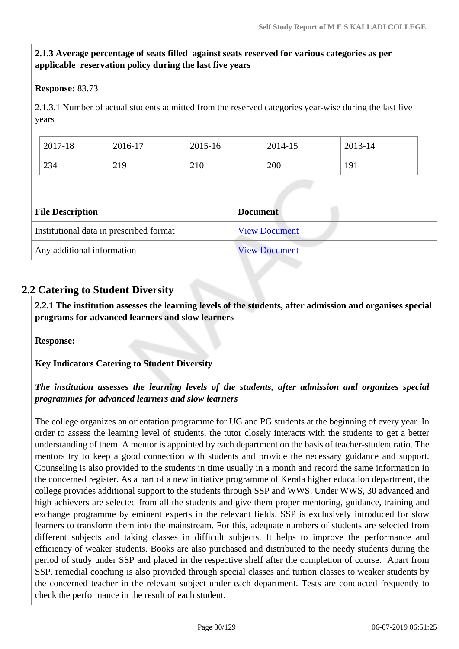# **2.1.3 Average percentage of seats filled against seats reserved for various categories as per applicable reservation policy during the last five years**

# **Response:** 83.73

2.1.3.1 Number of actual students admitted from the reserved categories year-wise during the last five years

| 2017-18 | 2016-17 | 2015-16 | 2014-15 | 2013-14 |
|---------|---------|---------|---------|---------|
| 234     | 219     | 210     | 200     | 191     |

| <b>File Description</b>                 | <b>Document</b>      |
|-----------------------------------------|----------------------|
| Institutional data in prescribed format | <b>View Document</b> |
| Any additional information              | <b>View Document</b> |

# **2.2 Catering to Student Diversity**

 **2.2.1 The institution assesses the learning levels of the students, after admission and organises special programs for advanced learners and slow learners**

**Response:** 

**Key Indicators Catering to Student Diversity**

# *The institution assesses the learning levels of the students, after admission and organizes special programmes for advanced learners and slow learners*

The college organizes an orientation programme for UG and PG students at the beginning of every year. In order to assess the learning level of students, the tutor closely interacts with the students to get a better understanding of them. A mentor is appointed by each department on the basis of teacher-student ratio. The mentors try to keep a good connection with students and provide the necessary guidance and support. Counseling is also provided to the students in time usually in a month and record the same information in the concerned register. As a part of a new initiative programme of Kerala higher education department, the college provides additional support to the students through SSP and WWS. Under WWS, 30 advanced and high achievers are selected from all the students and give them proper mentoring, guidance, training and exchange programme by eminent experts in the relevant fields. SSP is exclusively introduced for slow learners to transform them into the mainstream. For this, adequate numbers of students are selected from different subjects and taking classes in difficult subjects. It helps to improve the performance and efficiency of weaker students. Books are also purchased and distributed to the needy students during the period of study under SSP and placed in the respective shelf after the completion of course. Apart from SSP, remedial coaching is also provided through special classes and tuition classes to weaker students by the concerned teacher in the relevant subject under each department. Tests are conducted frequently to check the performance in the result of each student.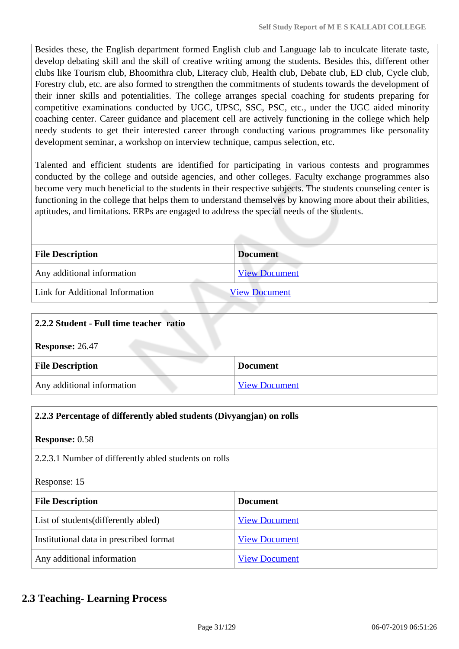Besides these, the English department formed English club and Language lab to inculcate literate taste, develop debating skill and the skill of creative writing among the students. Besides this, different other clubs like Tourism club, Bhoomithra club, Literacy club, Health club, Debate club, ED club, Cycle club, Forestry club, etc. are also formed to strengthen the commitments of students towards the development of their inner skills and potentialities. The college arranges special coaching for students preparing for competitive examinations conducted by UGC, UPSC, SSC, PSC, etc., under the UGC aided minority coaching center. Career guidance and placement cell are actively functioning in the college which help needy students to get their interested career through conducting various programmes like personality development seminar, a workshop on interview technique, campus selection, etc.

Talented and efficient students are identified for participating in various contests and programmes conducted by the college and outside agencies, and other colleges. Faculty exchange programmes also become very much beneficial to the students in their respective subjects. The students counseling center is functioning in the college that helps them to understand themselves by knowing more about their abilities, aptitudes, and limitations. ERPs are engaged to address the special needs of the students.

| <b>File Description</b>         | <b>Document</b>      |
|---------------------------------|----------------------|
| Any additional information      | <b>View Document</b> |
| Link for Additional Information | <b>View Document</b> |

| 2.2.2 Student - Full time teacher ratio            |  |  |
|----------------------------------------------------|--|--|
| <b>Response: 26.47</b>                             |  |  |
| <b>File Description</b><br><b>Document</b>         |  |  |
| Any additional information<br><b>View Document</b> |  |  |

| 2.2.3 Percentage of differently abled students (Divyangjan) on rolls |                      |  |
|----------------------------------------------------------------------|----------------------|--|
| <b>Response: 0.58</b>                                                |                      |  |
| 2.2.3.1 Number of differently abled students on rolls                |                      |  |
| Response: 15                                                         |                      |  |
| <b>File Description</b><br><b>Document</b>                           |                      |  |
| List of students (differently abled)                                 | <b>View Document</b> |  |
| Institutional data in prescribed format                              | <b>View Document</b> |  |
| Any additional information                                           | <b>View Document</b> |  |

# **2.3 Teaching- Learning Process**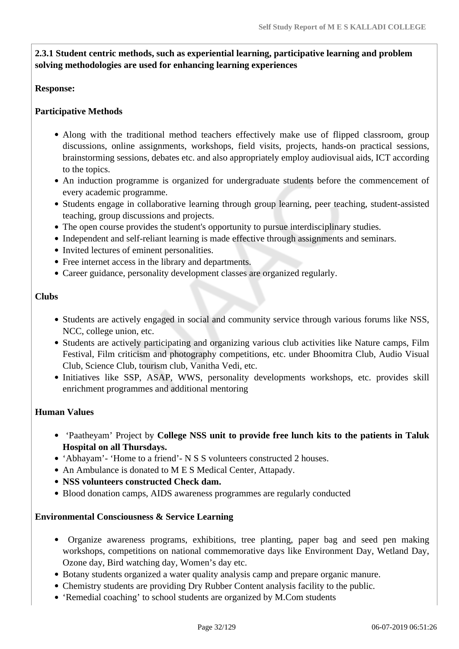# **2.3.1 Student centric methods, such as experiential learning, participative learning and problem solving methodologies are used for enhancing learning experiences**

## **Response:**

# **Participative Methods**

- Along with the traditional method teachers effectively make use of flipped classroom, group discussions, online assignments, workshops, field visits, projects, hands-on practical sessions, brainstorming sessions, debates etc. and also appropriately employ audiovisual aids, ICT according to the topics.
- An induction programme is organized for undergraduate students before the commencement of every academic programme.
- Students engage in collaborative learning through group learning, peer teaching, student-assisted teaching, group discussions and projects.
- The open course provides the student's opportunity to pursue interdisciplinary studies.
- Independent and self-reliant learning is made effective through assignments and seminars.
- Invited lectures of eminent personalities.
- Free internet access in the library and departments.
- Career guidance, personality development classes are organized regularly.

### **Clubs**

- Students are actively engaged in social and community service through various forums like NSS, NCC, college union, etc.
- Students are actively participating and organizing various club activities like Nature camps, Film Festival, Film criticism and photography competitions, etc. under Bhoomitra Club, Audio Visual Club, Science Club, tourism club, Vanitha Vedi, etc.
- Initiatives like SSP, ASAP, WWS, personality developments workshops, etc. provides skill enrichment programmes and additional mentoring

## **Human Values**

- 'Paatheyam' Project by **College NSS unit to provide free lunch kits to the patients in Taluk Hospital on all Thursdays.**
- 'Abhayam'- 'Home to a friend'- N S S volunteers constructed 2 houses.
- An Ambulance is donated to M E S Medical Center, Attapady.
- **NSS volunteers constructed Check dam.**
- Blood donation camps, AIDS awareness programmes are regularly conducted

## **Environmental Consciousness & Service Learning**

- Organize awareness programs, exhibitions, tree planting, paper bag and seed pen making workshops, competitions on national commemorative days like Environment Day, Wetland Day, Ozone day, Bird watching day, Women's day etc.
- Botany students organized a water quality analysis camp and prepare organic manure.
- Chemistry students are providing Dry Rubber Content analysis facility to the public.
- 'Remedial coaching' to school students are organized by M.Com students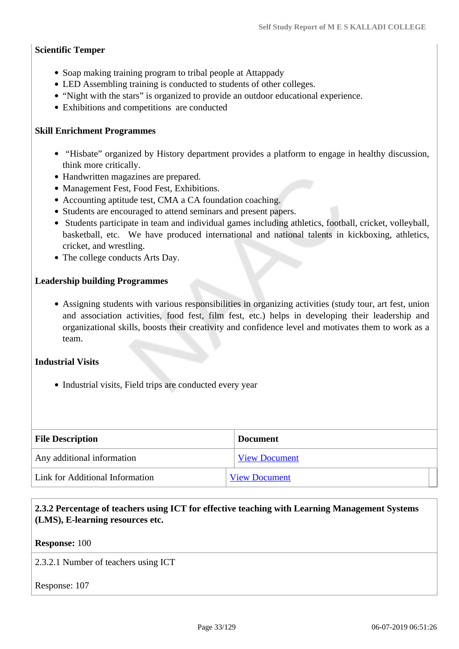### **Scientific Temper**

- Soap making training program to tribal people at Attappady
- LED Assembling training is conducted to students of other colleges.
- "Night with the stars" is organized to provide an outdoor educational experience.
- Exhibitions and competitions are conducted

#### **Skill Enrichment Programmes**

- "Hisbate" organized by History department provides a platform to engage in healthy discussion, think more critically.
- Handwritten magazines are prepared.
- Management Fest, Food Fest, Exhibitions.
- Accounting aptitude test, CMA a CA foundation coaching.
- Students are encouraged to attend seminars and present papers.
- Students participate in team and individual games including athletics, football, cricket, volleyball, basketball, etc. We have produced international and national talents in kickboxing, athletics, cricket, and wrestling.
- The college conducts Arts Day.

### **Leadership building Programmes**

Assigning students with various responsibilities in organizing activities (study tour, art fest, union and association activities, food fest, film fest, etc.) helps in developing their leadership and organizational skills, boosts their creativity and confidence level and motivates them to work as a team.

#### **Industrial Visits**

• Industrial visits, Field trips are conducted every year

| <b>File Description</b>         | <b>Document</b>      |
|---------------------------------|----------------------|
| Any additional information      | <b>View Document</b> |
| Link for Additional Information | <b>View Document</b> |

# **2.3.2 Percentage of teachers using ICT for effective teaching with Learning Management Systems (LMS), E-learning resources etc.**

**Response:** 100

2.3.2.1 Number of teachers using ICT

Response: 107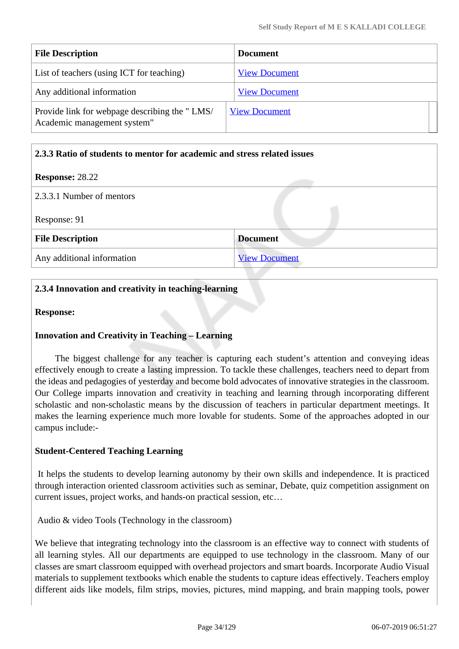| <b>File Description</b>                                                      | <b>Document</b>      |
|------------------------------------------------------------------------------|----------------------|
| List of teachers (using ICT for teaching)                                    | <b>View Document</b> |
| Any additional information                                                   | <b>View Document</b> |
| Provide link for webpage describing the "LMS/<br>Academic management system" | <b>View Document</b> |

### **2.3.3 Ratio of students to mentor for academic and stress related issues**

### **Response:** 28.22

| 2.3.3.1 Number of mentors  |                      |
|----------------------------|----------------------|
| Response: 91               |                      |
| <b>File Description</b>    | <b>Document</b>      |
| Any additional information | <b>View Document</b> |

# **2.3.4 Innovation and creativity in teaching-learning**

**Response:** 

## **Innovation and Creativity in Teaching – Learning**

 The biggest challenge for any teacher is capturing each student's attention and conveying ideas effectively enough to create a lasting impression. To tackle these challenges, teachers need to depart from the ideas and pedagogies of yesterday and become bold advocates of innovative strategies in the classroom. Our College imparts innovation and creativity in teaching and learning through incorporating different scholastic and non-scholastic means by the discussion of teachers in particular department meetings. It makes the learning experience much more lovable for students. Some of the approaches adopted in our campus include:-

## **Student-Centered Teaching Learning**

 It helps the students to develop learning autonomy by their own skills and independence. It is practiced through interaction oriented classroom activities such as seminar, Debate, quiz competition assignment on current issues, project works, and hands-on practical session, etc…

Audio & video Tools (Technology in the classroom)

We believe that integrating technology into the classroom is an effective way to connect with students of all learning styles. All our departments are equipped to use technology in the classroom. Many of our classes are smart classroom equipped with overhead projectors and smart boards. Incorporate Audio Visual materials to supplement textbooks which enable the students to capture ideas effectively. Teachers employ different aids like models, film strips, movies, pictures, mind mapping, and brain mapping tools, power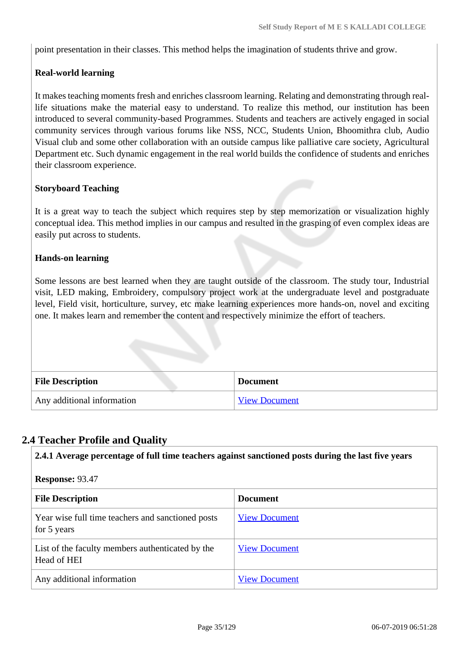point presentation in their classes. This method helps the imagination of students thrive and grow.

# **Real-world learning**

It makes teaching moments fresh and enriches classroom learning. Relating and demonstrating through reallife situations make the material easy to understand. To realize this method, our institution has been introduced to several community-based Programmes. Students and teachers are actively engaged in social community services through various forums like NSS, NCC, Students Union, Bhoomithra club, Audio Visual club and some other collaboration with an outside campus like palliative care society, Agricultural Department etc. Such dynamic engagement in the real world builds the confidence of students and enriches their classroom experience.

### **Storyboard Teaching**

It is a great way to teach the subject which requires step by step memorization or visualization highly conceptual idea. This method implies in our campus and resulted in the grasping of even complex ideas are easily put across to students.

### **Hands-on learning**

Some lessons are best learned when they are taught outside of the classroom. The study tour, Industrial visit, LED making, Embroidery, compulsory project work at the undergraduate level and postgraduate level, Field visit, horticulture, survey, etc make learning experiences more hands-on, novel and exciting one. It makes learn and remember the content and respectively minimize the effort of teachers.

| <b>File Description</b>    | <b>Document</b>      |
|----------------------------|----------------------|
| Any additional information | <b>View Document</b> |

# **2.4 Teacher Profile and Quality**

| 2.4.1 Average percentage of full time teachers against sanctioned posts during the last five years<br><b>Response: 93.47</b> |                      |  |
|------------------------------------------------------------------------------------------------------------------------------|----------------------|--|
|                                                                                                                              |                      |  |
| Year wise full time teachers and sanctioned posts<br>for 5 years                                                             | <b>View Document</b> |  |
| List of the faculty members authenticated by the<br>Head of HEI                                                              | <b>View Document</b> |  |
| Any additional information                                                                                                   | <b>View Document</b> |  |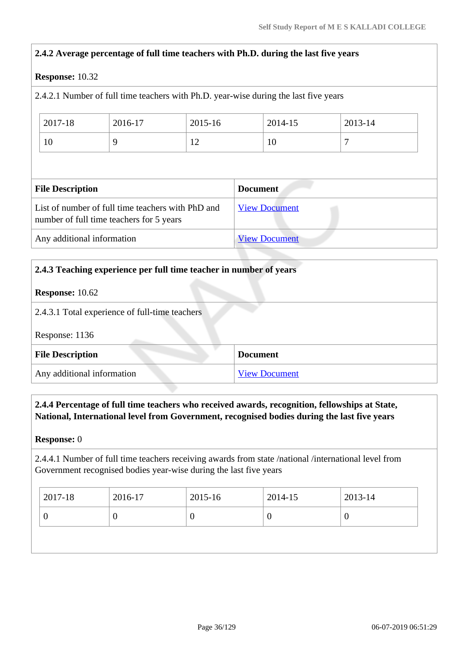# **2.4.2 Average percentage of full time teachers with Ph.D. during the last five years Response:** 10.32 2.4.2.1 Number of full time teachers with Ph.D. year-wise during the last five years 2017-18 2016-17 2015-16 2014-15 2013-14 10 | 9 | 12 | 10 | 7 **File Description Document** List of number of full time teachers with PhD and number of full time teachers for 5 years [View Document](https://assessmentonline.naac.gov.in/storage/app/hei/SSR/102373/2.4.2_1555228987_2509.xlsx) Any additional information [View Document](https://assessmentonline.naac.gov.in/storage/app/hei/SSR/102373/2.4.2_1554815842_2509.pdf)

# **2.4.3 Teaching experience per full time teacher in number of years Response:** 10.62 2.4.3.1 Total experience of full-time teachers Response: 1136 **File Description Document** Any additional information [View Document](https://assessmentonline.naac.gov.in/storage/app/hei/SSR/102373/2.4.3_1555327358_2509.pdf)

# **2.4.4 Percentage of full time teachers who received awards, recognition, fellowships at State, National, International level from Government, recognised bodies during the last five years**

## **Response:** 0

2.4.4.1 Number of full time teachers receiving awards from state /national /international level from Government recognised bodies year-wise during the last five years

| 2017-18 | 2016-17 | 2015-16 | 2014-15 | 2013-14 |
|---------|---------|---------|---------|---------|
|         |         | υ       |         | ◡       |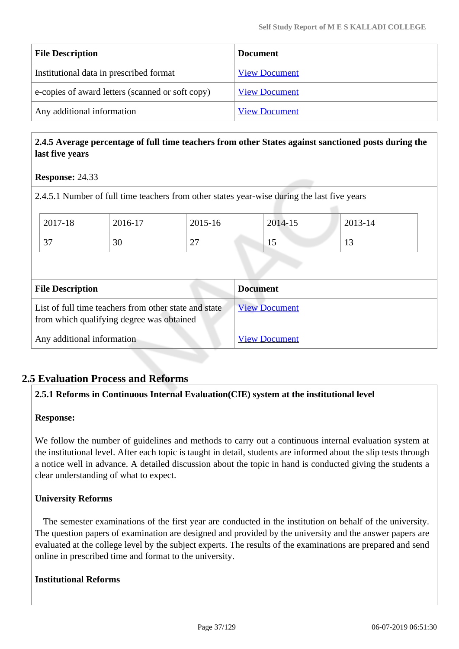| <b>File Description</b>                          | <b>Document</b>      |
|--------------------------------------------------|----------------------|
| Institutional data in prescribed format          | <b>View Document</b> |
| e-copies of award letters (scanned or soft copy) | <b>View Document</b> |
| Any additional information                       | <b>View Document</b> |

#### **2.4.5 Average percentage of full time teachers from other States against sanctioned posts during the last five years**

#### **Response:** 24.33

2.4.5.1 Number of full time teachers from other states year-wise during the last five years

| 2017-18            | 2016-17  | 2015-16       | 2014-15 | 2013-14 |
|--------------------|----------|---------------|---------|---------|
| $\sim$<br><u>.</u> | or<br>3U | $\sim$<br>ا ت | ⊥ ~     | 1 J     |

| <b>File Description</b>                                                                            | <b>Document</b>      |
|----------------------------------------------------------------------------------------------------|----------------------|
| List of full time teachers from other state and state<br>from which qualifying degree was obtained | <b>View Document</b> |
| Any additional information                                                                         | <b>View Document</b> |

#### **2.5 Evaluation Process and Reforms**

#### **2.5.1 Reforms in Continuous Internal Evaluation(CIE) system at the institutional level**

#### **Response:**

We follow the number of guidelines and methods to carry out a continuous internal evaluation system at the institutional level. After each topic is taught in detail, students are informed about the slip tests through a notice well in advance. A detailed discussion about the topic in hand is conducted giving the students a clear understanding of what to expect.

#### **University Reforms**

 The semester examinations of the first year are conducted in the institution on behalf of the university. The question papers of examination are designed and provided by the university and the answer papers are evaluated at the college level by the subject experts. The results of the examinations are prepared and send online in prescribed time and format to the university.

#### **Institutional Reforms**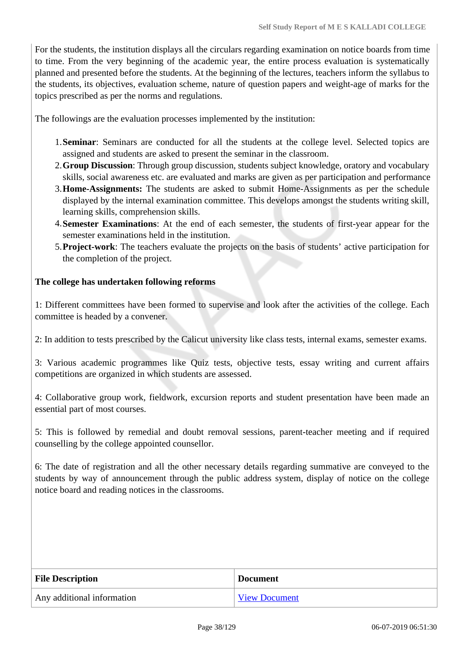For the students, the institution displays all the circulars regarding examination on notice boards from time to time. From the very beginning of the academic year, the entire process evaluation is systematically planned and presented before the students. At the beginning of the lectures, teachers inform the syllabus to the students, its objectives, evaluation scheme, nature of question papers and weight-age of marks for the topics prescribed as per the norms and regulations.

The followings are the evaluation processes implemented by the institution:

- 1.**Seminar**: Seminars are conducted for all the students at the college level. Selected topics are assigned and students are asked to present the seminar in the classroom.
- 2.**Group Discussion**: Through group discussion, students subject knowledge, oratory and vocabulary skills, social awareness etc. are evaluated and marks are given as per participation and performance
- 3.**Home-Assignments:** The students are asked to submit Home-Assignments as per the schedule displayed by the internal examination committee. This develops amongst the students writing skill, learning skills, comprehension skills.
- 4.**Semester Examinations**: At the end of each semester, the students of first-year appear for the semester examinations held in the institution.
- 5.**Project-work**: The teachers evaluate the projects on the basis of students' active participation for the completion of the project.

#### **The college has undertaken following reforms**

1: Different committees have been formed to supervise and look after the activities of the college. Each committee is headed by a convener.

2: In addition to tests prescribed by the Calicut university like class tests, internal exams, semester exams.

3: Various academic programmes like Quiz tests, objective tests, essay writing and current affairs competitions are organized in which students are assessed.

4: Collaborative group work, fieldwork, excursion reports and student presentation have been made an essential part of most courses.

5: This is followed by remedial and doubt removal sessions, parent-teacher meeting and if required counselling by the college appointed counsellor.

6: The date of registration and all the other necessary details regarding summative are conveyed to the students by way of announcement through the public address system, display of notice on the college notice board and reading notices in the classrooms.

| <b>File Description</b>    | <b>Document</b>      |
|----------------------------|----------------------|
| Any additional information | <b>View Document</b> |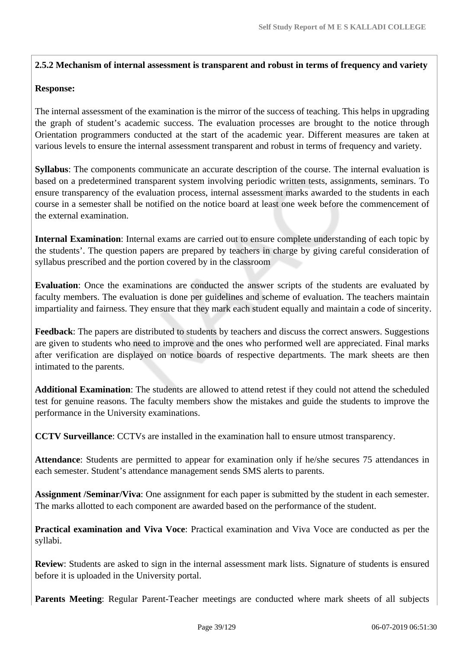#### **2.5.2 Mechanism of internal assessment is transparent and robust in terms of frequency and variety**

#### **Response:**

The internal assessment of the examination is the mirror of the success of teaching. This helps in upgrading the graph of student's academic success. The evaluation processes are brought to the notice through Orientation programmers conducted at the start of the academic year. Different measures are taken at various levels to ensure the internal assessment transparent and robust in terms of frequency and variety.

**Syllabus**: The components communicate an accurate description of the course. The internal evaluation is based on a predetermined transparent system involving periodic written tests, assignments, seminars. To ensure transparency of the evaluation process, internal assessment marks awarded to the students in each course in a semester shall be notified on the notice board at least one week before the commencement of the external examination.

**Internal Examination**: Internal exams are carried out to ensure complete understanding of each topic by the students'. The question papers are prepared by teachers in charge by giving careful consideration of syllabus prescribed and the portion covered by in the classroom

**Evaluation**: Once the examinations are conducted the answer scripts of the students are evaluated by faculty members. The evaluation is done per guidelines and scheme of evaluation. The teachers maintain impartiality and fairness. They ensure that they mark each student equally and maintain a code of sincerity.

**Feedback**: The papers are distributed to students by teachers and discuss the correct answers. Suggestions are given to students who need to improve and the ones who performed well are appreciated. Final marks after verification are displayed on notice boards of respective departments. The mark sheets are then intimated to the parents.

**Additional Examination**: The students are allowed to attend retest if they could not attend the scheduled test for genuine reasons. The faculty members show the mistakes and guide the students to improve the performance in the University examinations.

**CCTV Surveillance**: CCTVs are installed in the examination hall to ensure utmost transparency.

**Attendance**: Students are permitted to appear for examination only if he/she secures 75 attendances in each semester. Student's attendance management sends SMS alerts to parents.

**Assignment /Seminar/Viva**: One assignment for each paper is submitted by the student in each semester. The marks allotted to each component are awarded based on the performance of the student.

**Practical examination and Viva Voce**: Practical examination and Viva Voce are conducted as per the syllabi.

**Review**: Students are asked to sign in the internal assessment mark lists. Signature of students is ensured before it is uploaded in the University portal.

**Parents Meeting**: Regular Parent-Teacher meetings are conducted where mark sheets of all subjects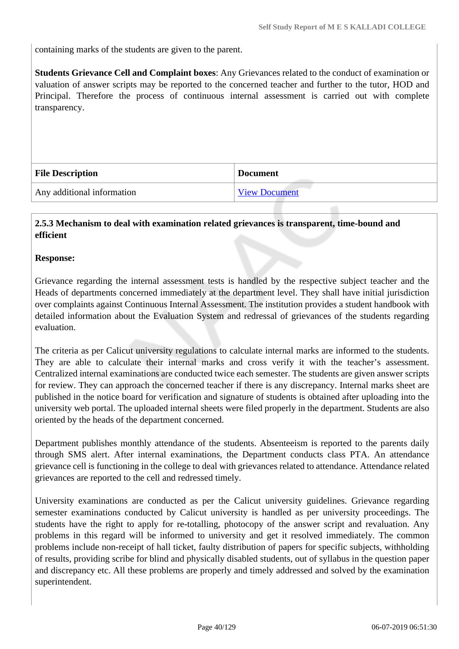containing marks of the students are given to the parent.

**Students Grievance Cell and Complaint boxes**: Any Grievances related to the conduct of examination or valuation of answer scripts may be reported to the concerned teacher and further to the tutor, HOD and Principal. Therefore the process of continuous internal assessment is carried out with complete transparency.

| <b>File Description</b>    | <b>Document</b>      |
|----------------------------|----------------------|
| Any additional information | <b>View Document</b> |

#### **2.5.3 Mechanism to deal with examination related grievances is transparent, time-bound and efficient**

#### **Response:**

Grievance regarding the internal assessment tests is handled by the respective subject teacher and the Heads of departments concerned immediately at the department level. They shall have initial jurisdiction over complaints against Continuous Internal Assessment. The institution provides a student handbook with detailed information about the Evaluation System and redressal of grievances of the students regarding evaluation.

The criteria as per Calicut university regulations to calculate internal marks are informed to the students. They are able to calculate their internal marks and cross verify it with the teacher's assessment. Centralized internal examinations are conducted twice each semester. The students are given answer scripts for review. They can approach the concerned teacher if there is any discrepancy. Internal marks sheet are published in the notice board for verification and signature of students is obtained after uploading into the university web portal. The uploaded internal sheets were filed properly in the department. Students are also oriented by the heads of the department concerned.

Department publishes monthly attendance of the students. Absenteeism is reported to the parents daily through SMS alert. After internal examinations, the Department conducts class PTA. An attendance grievance cell is functioning in the college to deal with grievances related to attendance. Attendance related grievances are reported to the cell and redressed timely.

University examinations are conducted as per the Calicut university guidelines. Grievance regarding semester examinations conducted by Calicut university is handled as per university proceedings. The students have the right to apply for re-totalling, photocopy of the answer script and revaluation. Any problems in this regard will be informed to university and get it resolved immediately. The common problems include non-receipt of hall ticket, faulty distribution of papers for specific subjects, withholding of results, providing scribe for blind and physically disabled students, out of syllabus in the question paper and discrepancy etc. All these problems are properly and timely addressed and solved by the examination superintendent.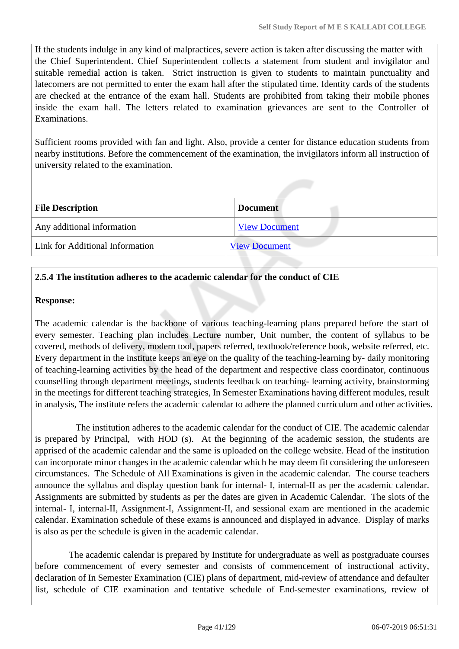If the students indulge in any kind of malpractices, severe action is taken after discussing the matter with the Chief Superintendent. Chief Superintendent collects a statement from student and invigilator and suitable remedial action is taken. Strict instruction is given to students to maintain punctuality and latecomers are not permitted to enter the exam hall after the stipulated time. Identity cards of the students are checked at the entrance of the exam hall. Students are prohibited from taking their mobile phones inside the exam hall. The letters related to examination grievances are sent to the Controller of Examinations.

Sufficient rooms provided with fan and light. Also, provide a center for distance education students from nearby institutions. Before the commencement of the examination, the invigilators inform all instruction of university related to the examination.

| <b>File Description</b>         | <b>Document</b>      |  |
|---------------------------------|----------------------|--|
| Any additional information      | <b>View Document</b> |  |
| Link for Additional Information | <b>View Document</b> |  |

#### **2.5.4 The institution adheres to the academic calendar for the conduct of CIE**

#### **Response:**

The academic calendar is the backbone of various teaching-learning plans prepared before the start of every semester. Teaching plan includes Lecture number, Unit number, the content of syllabus to be covered, methods of delivery, modern tool, papers referred, textbook/reference book, website referred, etc. Every department in the institute keeps an eye on the quality of the teaching-learning by- daily monitoring of teaching-learning activities by the head of the department and respective class coordinator, continuous counselling through department meetings, students feedback on teaching- learning activity, brainstorming in the meetings for different teaching strategies, In Semester Examinations having different modules, result in analysis, The institute refers the academic calendar to adhere the planned curriculum and other activities.

 The institution adheres to the academic calendar for the conduct of CIE. The academic calendar is prepared by Principal, with HOD (s). At the beginning of the academic session, the students are apprised of the academic calendar and the same is uploaded on the college website. Head of the institution can incorporate minor changes in the academic calendar which he may deem fit considering the unforeseen circumstances. The Schedule of All Examinations is given in the academic calendar. The course teachers announce the syllabus and display question bank for internal- I, internal-II as per the academic calendar. Assignments are submitted by students as per the dates are given in Academic Calendar. The slots of the internal- I, internal-II, Assignment-I, Assignment-II, and sessional exam are mentioned in the academic calendar. Examination schedule of these exams is announced and displayed in advance. Display of marks is also as per the schedule is given in the academic calendar.

 The academic calendar is prepared by Institute for undergraduate as well as postgraduate courses before commencement of every semester and consists of commencement of instructional activity, declaration of In Semester Examination (CIE) plans of department, mid-review of attendance and defaulter list, schedule of CIE examination and tentative schedule of End-semester examinations, review of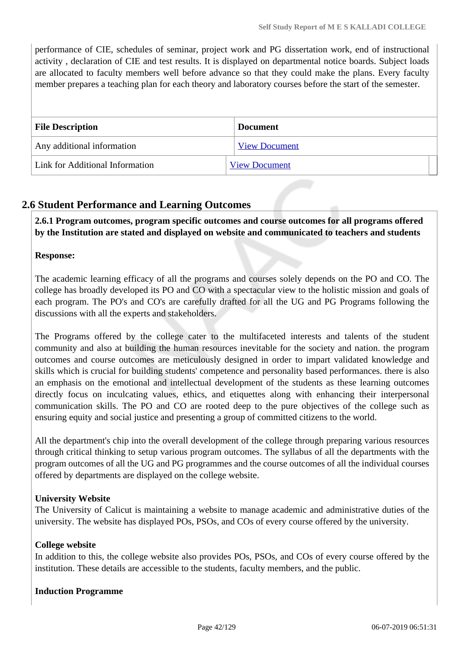performance of CIE, schedules of seminar, project work and PG dissertation work, end of instructional activity , declaration of CIE and test results. It is displayed on departmental notice boards. Subject loads are allocated to faculty members well before advance so that they could make the plans. Every faculty member prepares a teaching plan for each theory and laboratory courses before the start of the semester.

| <b>File Description</b>         | <b>Document</b>      |
|---------------------------------|----------------------|
| Any additional information      | <b>View Document</b> |
| Link for Additional Information | <b>View Document</b> |

# **2.6 Student Performance and Learning Outcomes**

 **2.6.1 Program outcomes, program specific outcomes and course outcomes for all programs offered by the Institution are stated and displayed on website and communicated to teachers and students**

#### **Response:**

The academic learning efficacy of all the programs and courses solely depends on the PO and CO. The college has broadly developed its PO and CO with a spectacular view to the holistic mission and goals of each program. The PO's and CO's are carefully drafted for all the UG and PG Programs following the discussions with all the experts and stakeholders.

The Programs offered by the college cater to the multifaceted interests and talents of the student community and also at building the human resources inevitable for the society and nation. the program outcomes and course outcomes are meticulously designed in order to impart validated knowledge and skills which is crucial for building students' competence and personality based performances. there is also an emphasis on the emotional and intellectual development of the students as these learning outcomes directly focus on inculcating values, ethics, and etiquettes along with enhancing their interpersonal communication skills. The PO and CO are rooted deep to the pure objectives of the college such as ensuring equity and social justice and presenting a group of committed citizens to the world.

All the department's chip into the overall development of the college through preparing various resources through critical thinking to setup various program outcomes. The syllabus of all the departments with the program outcomes of all the UG and PG programmes and the course outcomes of all the individual courses offered by departments are displayed on the college website.

#### **University Website**

The University of Calicut is maintaining a website to manage academic and administrative duties of the university. The website has displayed POs, PSOs, and COs of every course offered by the university.

#### **College website**

In addition to this, the college website also provides POs, PSOs, and COs of every course offered by the institution. These details are accessible to the students, faculty members, and the public.

#### **Induction Programme**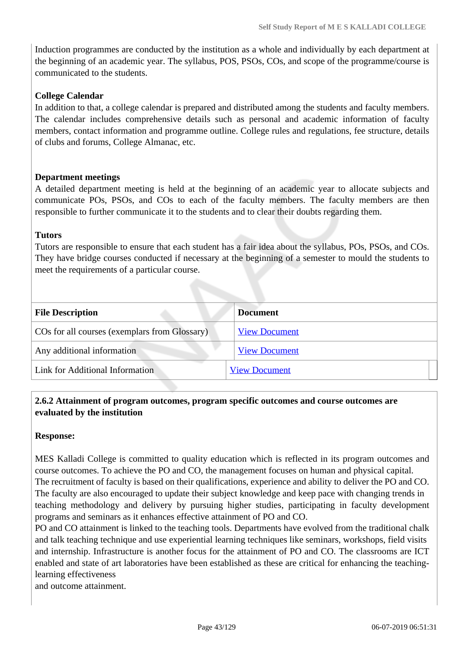Induction programmes are conducted by the institution as a whole and individually by each department at the beginning of an academic year. The syllabus, POS, PSOs, COs, and scope of the programme/course is communicated to the students.

#### **College Calendar**

In addition to that, a college calendar is prepared and distributed among the students and faculty members. The calendar includes comprehensive details such as personal and academic information of faculty members, contact information and programme outline. College rules and regulations, fee structure, details of clubs and forums, College Almanac, etc.

#### **Department meetings**

A detailed department meeting is held at the beginning of an academic year to allocate subjects and communicate POs, PSOs, and COs to each of the faculty members. The faculty members are then responsible to further communicate it to the students and to clear their doubts regarding them.

#### **Tutors**

Tutors are responsible to ensure that each student has a fair idea about the syllabus, POs, PSOs, and COs. They have bridge courses conducted if necessary at the beginning of a semester to mould the students to meet the requirements of a particular course.

| <b>File Description</b>                       | <b>Document</b>      |
|-----------------------------------------------|----------------------|
| COs for all courses (exemplars from Glossary) | <b>View Document</b> |
| Any additional information                    | <b>View Document</b> |
| Link for Additional Information               | <b>View Document</b> |
|                                               |                      |

#### **2.6.2 Attainment of program outcomes, program specific outcomes and course outcomes are evaluated by the institution**

#### **Response:**

MES Kalladi College is committed to quality education which is reflected in its program outcomes and course outcomes. To achieve the PO and CO, the management focuses on human and physical capital. The recruitment of faculty is based on their qualifications, experience and ability to deliver the PO and CO. The faculty are also encouraged to update their subject knowledge and keep pace with changing trends in teaching methodology and delivery by pursuing higher studies, participating in faculty development programs and seminars as it enhances effective attainment of PO and CO.

PO and CO attainment is linked to the teaching tools. Departments have evolved from the traditional chalk and talk teaching technique and use experiential learning techniques like seminars, workshops, field visits and internship. Infrastructure is another focus for the attainment of PO and CO. The classrooms are ICT enabled and state of art laboratories have been established as these are critical for enhancing the teachinglearning effectiveness

and outcome attainment.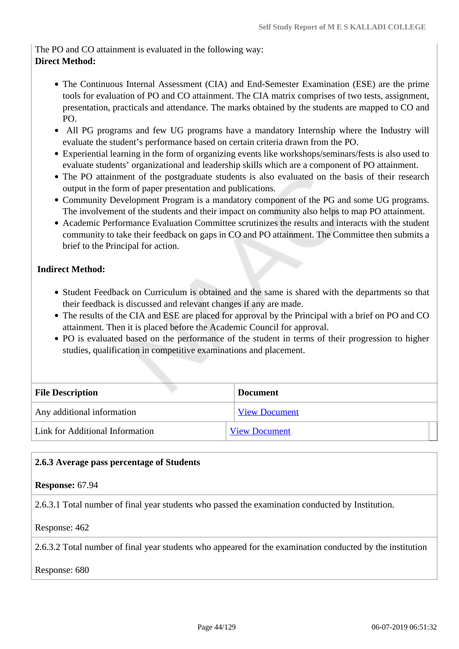The PO and CO attainment is evaluated in the following way: **Direct Method:**

- The Continuous Internal Assessment (CIA) and End-Semester Examination (ESE) are the prime tools for evaluation of PO and CO attainment. The CIA matrix comprises of two tests, assignment, presentation, practicals and attendance. The marks obtained by the students are mapped to CO and PO.
- All PG programs and few UG programs have a mandatory Internship where the Industry will evaluate the student's performance based on certain criteria drawn from the PO.
- Experiential learning in the form of organizing events like workshops/seminars/fests is also used to evaluate students' organizational and leadership skills which are a component of PO attainment.
- The PO attainment of the postgraduate students is also evaluated on the basis of their research output in the form of paper presentation and publications.
- Community Development Program is a mandatory component of the PG and some UG programs. The involvement of the students and their impact on community also helps to map PO attainment.
- Academic Performance Evaluation Committee scrutinizes the results and interacts with the student community to take their feedback on gaps in CO and PO attainment. The Committee then submits a brief to the Principal for action.

#### **Indirect Method:**

- Student Feedback on Curriculum is obtained and the same is shared with the departments so that their feedback is discussed and relevant changes if any are made.
- The results of the CIA and ESE are placed for approval by the Principal with a brief on PO and CO attainment. Then it is placed before the Academic Council for approval.
- PO is evaluated based on the performance of the student in terms of their progression to higher studies, qualification in competitive examinations and placement.

| <b>File Description</b>         | <b>Document</b>      |  |
|---------------------------------|----------------------|--|
| Any additional information      | <b>View Document</b> |  |
| Link for Additional Information | <b>View Document</b> |  |

#### **2.6.3 Average pass percentage of Students**

#### **Response:** 67.94

2.6.3.1 Total number of final year students who passed the examination conducted by Institution.

#### Response: 462

2.6.3.2 Total number of final year students who appeared for the examination conducted by the institution

#### Response: 680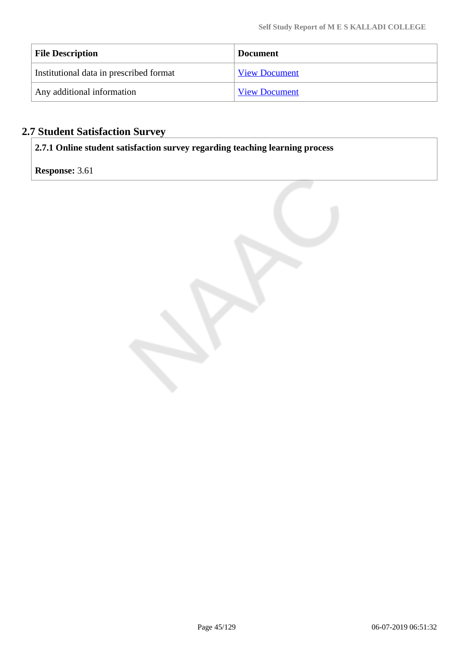| <b>File Description</b>                 | <b>Document</b>      |
|-----------------------------------------|----------------------|
| Institutional data in prescribed format | <b>View Document</b> |
| Any additional information              | <b>View Document</b> |

# **2.7 Student Satisfaction Survey**

**2.7.1 Online student satisfaction survey regarding teaching learning process**

**Response:** 3.61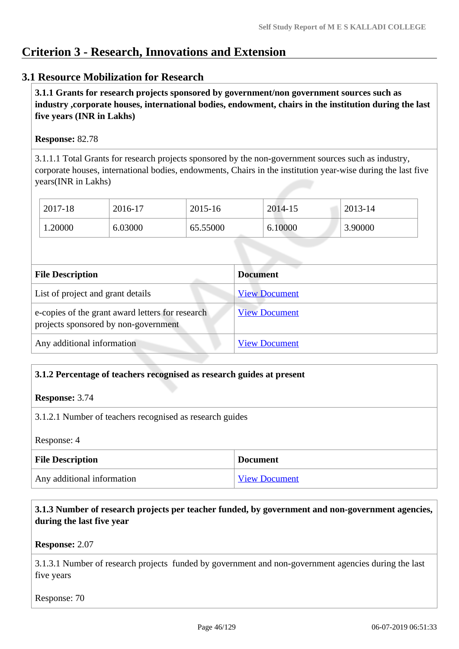# **Criterion 3 - Research, Innovations and Extension**

#### **3.1 Resource Mobilization for Research**

 **3.1.1 Grants for research projects sponsored by government/non government sources such as industry ,corporate houses, international bodies, endowment, chairs in the institution during the last five years (INR in Lakhs)** 

#### **Response:** 82.78

3.1.1.1 Total Grants for research projects sponsored by the non-government sources such as industry, corporate houses, international bodies, endowments, Chairs in the institution year-wise during the last five years(INR in Lakhs)

| 2017-18 | 2016-17 | 2015-16  | 2014-15 | 2013-14 |
|---------|---------|----------|---------|---------|
| 1.20000 | 6.03000 | 65.55000 | 6.10000 | 3.90000 |

| <b>File Description</b>                                                                  | <b>Document</b>      |
|------------------------------------------------------------------------------------------|----------------------|
| List of project and grant details                                                        | <b>View Document</b> |
| e-copies of the grant award letters for research<br>projects sponsored by non-government | <b>View Document</b> |
| Any additional information                                                               | <b>View Document</b> |

#### **3.1.2 Percentage of teachers recognised as research guides at present**

**Response:** 3.74

3.1.2.1 Number of teachers recognised as research guides

Response: 4

| <b>File Description</b>    | <b>Document</b>      |
|----------------------------|----------------------|
| Any additional information | <b>View Document</b> |

#### **3.1.3 Number of research projects per teacher funded, by government and non-government agencies, during the last five year**

#### **Response:** 2.07

3.1.3.1 Number of research projects funded by government and non-government agencies during the last five years

Response: 70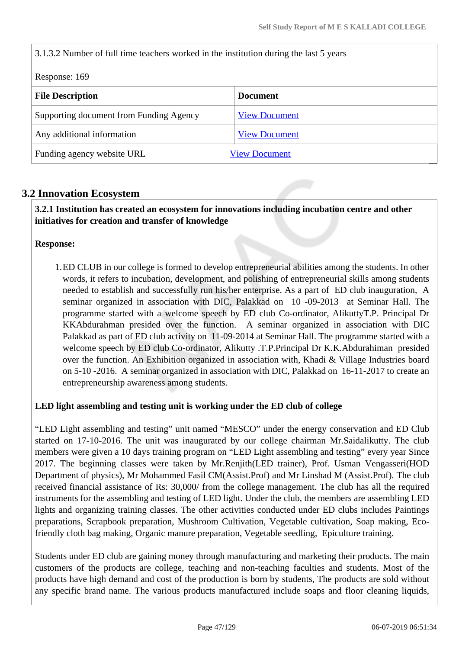| 3.1.3.2 Number of full time teachers worked in the institution during the last 5 years |                      |  |  |
|----------------------------------------------------------------------------------------|----------------------|--|--|
| Response: 169                                                                          |                      |  |  |
| <b>File Description</b>                                                                | <b>Document</b>      |  |  |
| Supporting document from Funding Agency                                                | <b>View Document</b> |  |  |
| Any additional information                                                             | <b>View Document</b> |  |  |
| Funding agency website URL                                                             | <b>View Document</b> |  |  |

# **3.2 Innovation Ecosystem**

 **3.2.1 Institution has created an ecosystem for innovations including incubation centre and other initiatives for creation and transfer of knowledge**

#### **Response:**

1.ED CLUB in our college is formed to develop entrepreneurial abilities among the students. In other words, it refers to incubation, development, and polishing of entrepreneurial skills among students needed to establish and successfully run his/her enterprise. As a part of ED club inauguration, A seminar organized in association with DIC, Palakkad on 10 -09-2013 at Seminar Hall. The programme started with a welcome speech by ED club Co-ordinator, AlikuttyT.P. Principal Dr KKAbdurahman presided over the function. A seminar organized in association with DIC Palakkad as part of ED club activity on 11-09-2014 at Seminar Hall. The programme started with a welcome speech by ED club Co-ordinator, Alikutty .T.P.Principal Dr K.K.Abdurahiman presided over the function. An Exhibition organized in association with, Khadi & Village Industries board on 5-10 -2016. A seminar organized in association with DIC, Palakkad on 16-11-2017 to create an entrepreneurship awareness among students.

#### **LED light assembling and testing unit is working under the ED club of college**

"LED Light assembling and testing" unit named "MESCO" under the energy conservation and ED Club started on 17-10-2016. The unit was inaugurated by our college chairman Mr.Saidalikutty. The club members were given a 10 days training program on "LED Light assembling and testing" every year Since 2017. The beginning classes were taken by Mr.Renjith(LED trainer), Prof. Usman Vengasseri(HOD Department of physics), Mr Mohammed Fasil CM(Assist.Prof) and Mr Linshad M (Assist.Prof). The club received financial assistance of Rs: 30,000/ from the college management. The club has all the required instruments for the assembling and testing of LED light. Under the club, the members are assembling LED lights and organizing training classes. The other activities conducted under ED clubs includes Paintings preparations, Scrapbook preparation, Mushroom Cultivation, Vegetable cultivation, Soap making, Ecofriendly cloth bag making, Organic manure preparation, Vegetable seedling, Epiculture training.

Students under ED club are gaining money through manufacturing and marketing their products. The main customers of the products are college, teaching and non-teaching faculties and students. Most of the products have high demand and cost of the production is born by students, The products are sold without any specific brand name. The various products manufactured include soaps and floor cleaning liquids,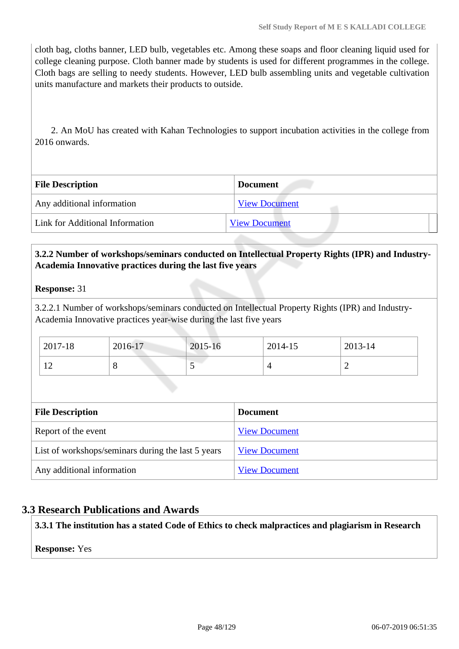cloth bag, cloths banner, LED bulb, vegetables etc. Among these soaps and floor cleaning liquid used for college cleaning purpose. Cloth banner made by students is used for different programmes in the college. Cloth bags are selling to needy students. However, LED bulb assembling units and vegetable cultivation units manufacture and markets their products to outside.

 2. An MoU has created with Kahan Technologies to support incubation activities in the college from 2016 onwards.

| <b>File Description</b>         | <b>Document</b>      |
|---------------------------------|----------------------|
| Any additional information      | <b>View Document</b> |
| Link for Additional Information | <b>View Document</b> |

#### **3.2.2 Number of workshops/seminars conducted on Intellectual Property Rights (IPR) and Industry-Academia Innovative practices during the last five years**

#### **Response:** 31

3.2.2.1 Number of workshops/seminars conducted on Intellectual Property Rights (IPR) and Industry-Academia Innovative practices year-wise during the last five years

| 2017-18             | 2016-17 | 2015-16 | 2014-15 | 2013-14 |
|---------------------|---------|---------|---------|---------|
| 1 <sub>0</sub><br>∸ |         | ັ       |         | -       |

| <b>File Description</b>                            | <b>Document</b>      |
|----------------------------------------------------|----------------------|
| Report of the event                                | <b>View Document</b> |
| List of workshops/seminars during the last 5 years | <b>View Document</b> |
| Any additional information                         | <b>View Document</b> |

#### **3.3 Research Publications and Awards**

**3.3.1 The institution has a stated Code of Ethics to check malpractices and plagiarism in Research**

#### **Response:** Yes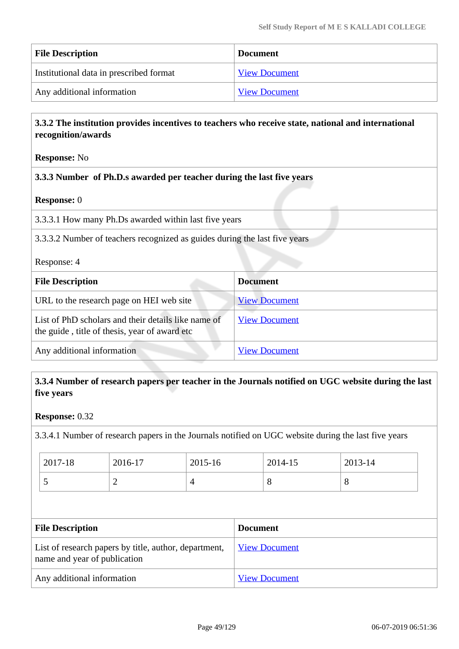| <b>File Description</b>                 | <b>Document</b>      |
|-----------------------------------------|----------------------|
| Institutional data in prescribed format | <b>View Document</b> |
| Any additional information              | <b>View Document</b> |

#### **3.3.2 The institution provides incentives to teachers who receive state, national and international recognition/awards**

#### **Response:** No

#### **3.3.3 Number of Ph.D.s awarded per teacher during the last five years**

| <b>Response:</b> 0                                                                                    |                      |  |  |  |
|-------------------------------------------------------------------------------------------------------|----------------------|--|--|--|
| 3.3.3.1 How many Ph.Ds awarded within last five years                                                 |                      |  |  |  |
| 3.3.3.2 Number of teachers recognized as guides during the last five years                            |                      |  |  |  |
| Response: 4                                                                                           |                      |  |  |  |
| <b>File Description</b>                                                                               | <b>Document</b>      |  |  |  |
| URL to the research page on HEI web site                                                              | <b>View Document</b> |  |  |  |
| List of PhD scholars and their details like name of<br>the guide, title of thesis, year of award etc. | <b>View Document</b> |  |  |  |
| Any additional information                                                                            | <b>View Document</b> |  |  |  |

#### **3.3.4 Number of research papers per teacher in the Journals notified on UGC website during the last five years**

#### **Response:** 0.32

3.3.4.1 Number of research papers in the Journals notified on UGC website during the last five years

| $2017 - 18$ | 2016-17  | 2015-16 | 2014-15 | 2013-14 |
|-------------|----------|---------|---------|---------|
| . .         | <u>_</u> |         | О       | $\circ$ |

| <b>File Description</b>                                                               | <b>Document</b>      |
|---------------------------------------------------------------------------------------|----------------------|
| List of research papers by title, author, department,<br>name and year of publication | <b>View Document</b> |
| Any additional information                                                            | <b>View Document</b> |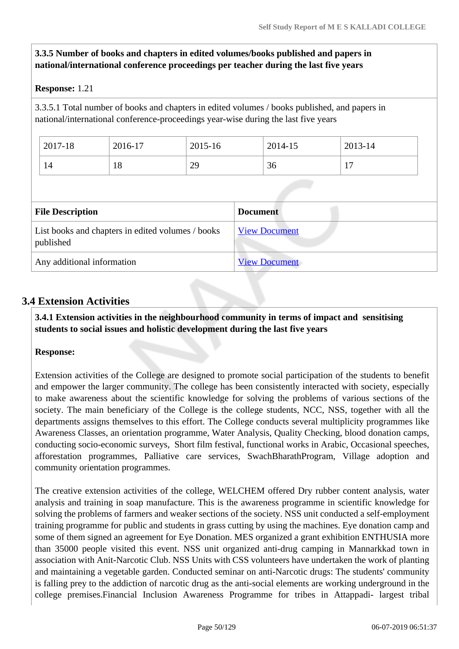#### **3.3.5 Number of books and chapters in edited volumes/books published and papers in national/international conference proceedings per teacher during the last five years**

#### **Response:** 1.21

3.3.5.1 Total number of books and chapters in edited volumes / books published, and papers in national/international conference-proceedings year-wise during the last five years

| 14 | 18 | 29 | 36 | $\mathbf{r}$ |  |
|----|----|----|----|--------------|--|
|    |    |    |    |              |  |

| List books and chapters in edited volumes / books<br>published | <b>View Document</b> |
|----------------------------------------------------------------|----------------------|
| Any additional information                                     | <b>View Document</b> |

#### **3.4 Extension Activities**

 **3.4.1 Extension activities in the neighbourhood community in terms of impact and sensitising students to social issues and holistic development during the last five years**

#### **Response:**

Extension activities of the College are designed to promote social participation of the students to benefit and empower the larger community. The college has been consistently interacted with society, especially to make awareness about the scientific knowledge for solving the problems of various sections of the society. The main beneficiary of the College is the college students, NCC, NSS, together with all the departments assigns themselves to this effort. The College conducts several multiplicity programmes like Awareness Classes, an orientation programme, Water Analysis, Quality Checking, blood donation camps, conducting socio-economic surveys, Short film festival, functional works in Arabic, Occasional speeches, afforestation programmes, Palliative care services, SwachBharathProgram, Village adoption and community orientation programmes.

The creative extension activities of the college, WELCHEM offered Dry rubber content analysis, water analysis and training in soap manufacture. This is the awareness programme in scientific knowledge for solving the problems of farmers and weaker sections of the society. NSS unit conducted a self-employment training programme for public and students in grass cutting by using the machines. Eye donation camp and some of them signed an agreement for Eye Donation. MES organized a grant exhibition ENTHUSIA more than 35000 people visited this event. NSS unit organized anti-drug camping in Mannarkkad town in association with Anit-Narcotic Club. NSS Units with CSS volunteers have undertaken the work of planting and maintaining a vegetable garden. Conducted seminar on anti-Narcotic drugs: The students' community is falling prey to the addiction of narcotic drug as the anti-social elements are working underground in the college premises.Financial Inclusion Awareness Programme for tribes in Attappadi- largest tribal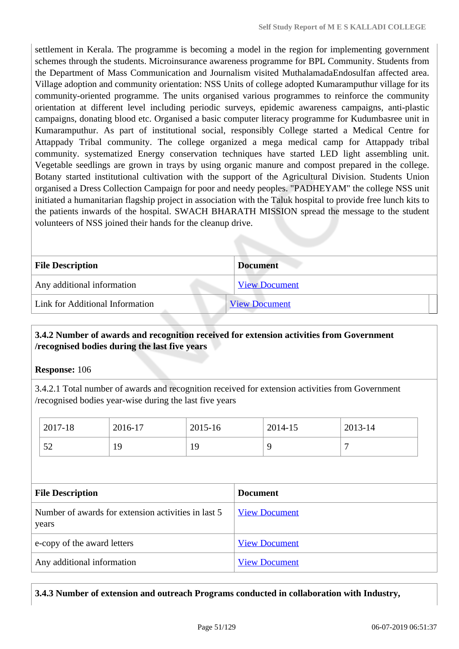settlement in Kerala. The programme is becoming a model in the region for implementing government schemes through the students. Microinsurance awareness programme for BPL Community. Students from the Department of Mass Communication and Journalism visited MuthalamadaEndosulfan affected area. Village adoption and community orientation: NSS Units of college adopted Kumaramputhur village for its community-oriented programme. The units organised various programmes to reinforce the community orientation at different level including periodic surveys, epidemic awareness campaigns, anti-plastic campaigns, donating blood etc. Organised a basic computer literacy programme for Kudumbasree unit in Kumaramputhur. As part of institutional social, responsibly College started a Medical Centre for Attappady Tribal community. The college organized a mega medical camp for Attappady tribal community. systematized Energy conservation techniques have started LED light assembling unit. Vegetable seedlings are grown in trays by using organic manure and compost prepared in the college. Botany started institutional cultivation with the support of the Agricultural Division. Students Union organised a Dress Collection Campaign for poor and needy peoples. "PADHEYAM" the college NSS unit initiated a humanitarian flagship project in association with the Taluk hospital to provide free lunch kits to the patients inwards of the hospital. SWACH BHARATH MISSION spread the message to the student volunteers of NSS joined their hands for the cleanup drive.

| <b>File Description</b>         | <b>Document</b>      |
|---------------------------------|----------------------|
| Any additional information      | <b>View Document</b> |
| Link for Additional Information | <b>View Document</b> |

#### **3.4.2 Number of awards and recognition received for extension activities from Government /recognised bodies during the last five years**

**Response:** 106

3.4.2.1 Total number of awards and recognition received for extension activities from Government /recognised bodies year-wise during the last five years

| 2017-18                                                      | 2016-17 | 2015-16 |                 | 2014-15              | 2013-14        |  |
|--------------------------------------------------------------|---------|---------|-----------------|----------------------|----------------|--|
| 52                                                           | 19      | 19      |                 | 9                    | $\overline{7}$ |  |
|                                                              |         |         |                 |                      |                |  |
| <b>File Description</b>                                      |         |         | <b>Document</b> |                      |                |  |
| Number of awards for extension activities in last 5<br>years |         |         |                 | <b>View Document</b> |                |  |
| e-copy of the award letters                                  |         |         |                 | <b>View Document</b> |                |  |
| Any additional information                                   |         |         |                 | <b>View Document</b> |                |  |

**3.4.3 Number of extension and outreach Programs conducted in collaboration with Industry,**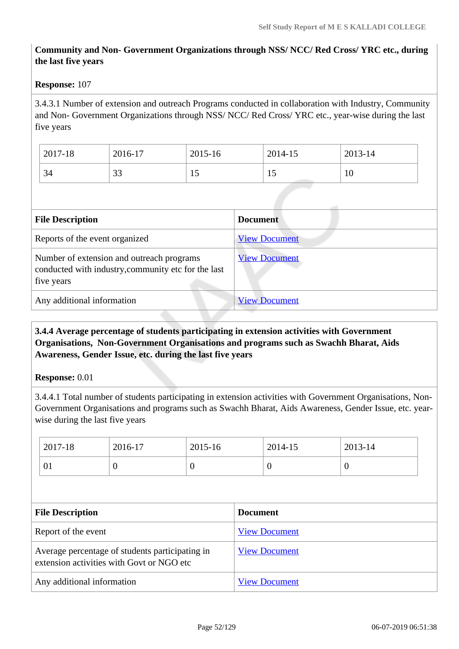#### **Community and Non- Government Organizations through NSS/ NCC/ Red Cross/ YRC etc., during the last five years**

#### **Response:** 107

3.4.3.1 Number of extension and outreach Programs conducted in collaboration with Industry, Community and Non- Government Organizations through NSS/ NCC/ Red Cross/ YRC etc., year-wise during the last five years

| 2017-18 | 2016-17      | 2015-16        | 2014-15 | 2013-14 |
|---------|--------------|----------------|---------|---------|
| 34      | $\cap$<br>33 | $\overline{1}$ | 15      | 10      |

| <b>File Description</b>                                                                                        | <b>Document</b>      |
|----------------------------------------------------------------------------------------------------------------|----------------------|
| Reports of the event organized                                                                                 | <b>View Document</b> |
| Number of extension and outreach programs<br>conducted with industry, community etc for the last<br>five years | <b>View Document</b> |
| Any additional information                                                                                     | <b>View Document</b> |

#### **3.4.4 Average percentage of students participating in extension activities with Government Organisations, Non-Government Organisations and programs such as Swachh Bharat, Aids Awareness, Gender Issue, etc. during the last five years**

#### **Response:** 0.01

3.4.4.1 Total number of students participating in extension activities with Government Organisations, Non-Government Organisations and programs such as Swachh Bharat, Aids Awareness, Gender Issue, etc. yearwise during the last five years

|                         | 2017-18 | 2016-17                                                                                      | 2015-16         |  | 2014-15              | 2013-14        |
|-------------------------|---------|----------------------------------------------------------------------------------------------|-----------------|--|----------------------|----------------|
|                         | 01      | $\overline{0}$                                                                               | $\theta$        |  | $\overline{0}$       | $\overline{0}$ |
|                         |         |                                                                                              |                 |  |                      |                |
| <b>File Description</b> |         |                                                                                              | <b>Document</b> |  |                      |                |
| Report of the event     |         |                                                                                              |                 |  |                      |                |
|                         |         |                                                                                              |                 |  | <b>View Document</b> |                |
|                         |         | Average percentage of students participating in<br>extension activities with Govt or NGO etc |                 |  | <b>View Document</b> |                |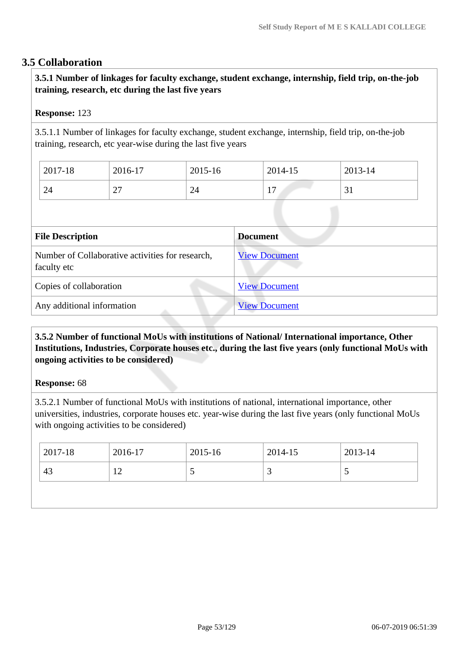#### **3.5 Collaboration**

 **3.5.1 Number of linkages for faculty exchange, student exchange, internship, field trip, on-the-job training, research, etc during the last five years**

#### **Response:** 123

3.5.1.1 Number of linkages for faculty exchange, student exchange, internship, field trip, on-the-job training, research, etc year-wise during the last five years

| 2017-18 | 2016-17        | 2015-16 | 2014-15                                       | 2013-14           |
|---------|----------------|---------|-----------------------------------------------|-------------------|
| 24      | $\sim$<br>ا سے | 24      | $\overline{\phantom{0}}$<br><b>L</b> <i>I</i> | $\sim$<br>≺<br>JІ |

| <b>File Description</b>                                         | <b>Document</b>      |
|-----------------------------------------------------------------|----------------------|
| Number of Collaborative activities for research,<br>faculty etc | <b>View Document</b> |
| Copies of collaboration                                         | <b>View Document</b> |
| Any additional information                                      | <b>View Document</b> |

#### **3.5.2 Number of functional MoUs with institutions of National/ International importance, Other Institutions, Industries, Corporate houses etc., during the last five years (only functional MoUs with ongoing activities to be considered)**

#### **Response:** 68

3.5.2.1 Number of functional MoUs with institutions of national, international importance, other universities, industries, corporate houses etc. year-wise during the last five years (only functional MoUs with ongoing activities to be considered)

| $12017 - 18$ | 2016-17 | 2015-16 | 2014-15  | 2013-14 |
|--------------|---------|---------|----------|---------|
| 43           | ∸       | ັ       | <u>ب</u> | ັ       |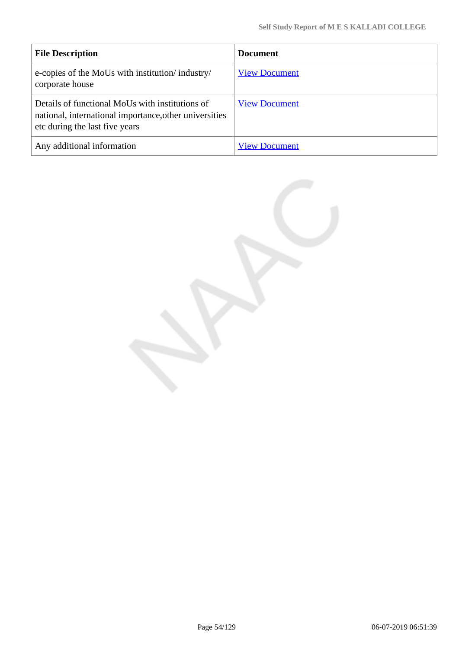| <b>File Description</b>                                                                                                                     | <b>Document</b>      |
|---------------------------------------------------------------------------------------------------------------------------------------------|----------------------|
| e-copies of the MoUs with institution/industry/<br>corporate house                                                                          | <b>View Document</b> |
| Details of functional MoUs with institutions of<br>national, international importance, other universities<br>etc during the last five years | <b>View Document</b> |
| Any additional information                                                                                                                  | <b>View Document</b> |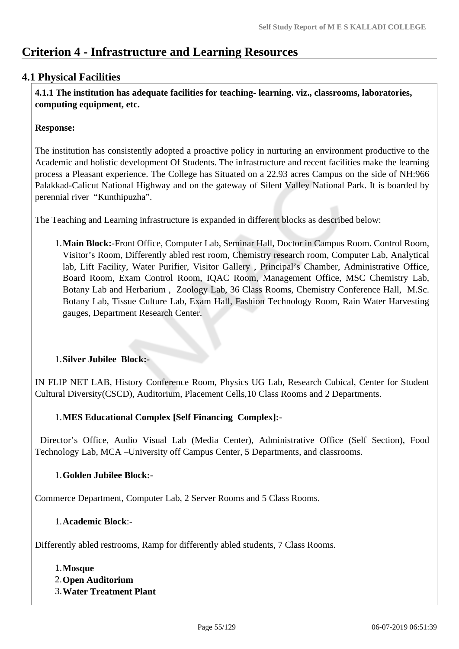# **Criterion 4 - Infrastructure and Learning Resources**

# **4.1 Physical Facilities**

 **4.1.1 The institution has adequate facilities for teaching- learning. viz., classrooms, laboratories, computing equipment, etc.**

#### **Response:**

The institution has consistently adopted a proactive policy in nurturing an environment productive to the Academic and holistic development Of Students. The infrastructure and recent facilities make the learning process a Pleasant experience. The College has Situated on a 22.93 acres Campus on the side of NH:966 Palakkad-Calicut National Highway and on the gateway of Silent Valley National Park. It is boarded by perennial river "Kunthipuzha".

The Teaching and Learning infrastructure is expanded in different blocks as described below:

1.**Main Block:**-Front Office, Computer Lab, Seminar Hall, Doctor in Campus Room. Control Room, Visitor's Room, Differently abled rest room, Chemistry research room, Computer Lab, Analytical lab, Lift Facility, Water Purifier, Visitor Gallery , Principal's Chamber, Administrative Office, Board Room, Exam Control Room, IQAC Room, Management Office, MSC Chemistry Lab, Botany Lab and Herbarium , Zoology Lab, 36 Class Rooms, Chemistry Conference Hall, M.Sc. Botany Lab, Tissue Culture Lab, Exam Hall, Fashion Technology Room, Rain Water Harvesting gauges, Department Research Center.

#### 1.**Silver Jubilee Block:-**

IN FLIP NET LAB, History Conference Room, Physics UG Lab, Research Cubical, Center for Student Cultural Diversity(CSCD), Auditorium, Placement Cells,10 Class Rooms and 2 Departments.

#### 1.**MES Educational Complex [Self Financing Complex]:-**

 Director's Office, Audio Visual Lab (Media Center), Administrative Office (Self Section), Food Technology Lab, MCA –University off Campus Center, 5 Departments, and classrooms.

#### 1.**Golden Jubilee Block:-**

Commerce Department, Computer Lab, 2 Server Rooms and 5 Class Rooms.

#### 1.**Academic Block**:-

Differently abled restrooms, Ramp for differently abled students, 7 Class Rooms.

#### 1.**Mosque**

- 2.**Open Auditorium**
- 3.**Water Treatment Plant**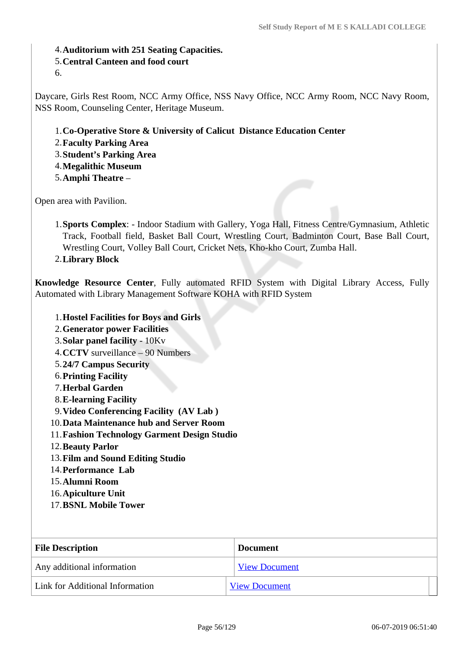4.**Auditorium with 251 Seating Capacities.**

#### 5.**Central Canteen and food court**

6.

Daycare, Girls Rest Room, NCC Army Office, NSS Navy Office, NCC Army Room, NCC Navy Room, NSS Room, Counseling Center, Heritage Museum.

- 1.**Co-Operative Store & University of Calicut Distance Education Center**
- 2.**Faculty Parking Area**
- 3.**Student's Parking Area**
- 4.**Megalithic Museum**
- 5.**Amphi Theatre** –

Open area with Pavilion.

- 1.**Sports Complex**: Indoor Stadium with Gallery, Yoga Hall, Fitness Centre/Gymnasium, Athletic Track, Football field, Basket Ball Court, Wrestling Court, Badminton Court, Base Ball Court, Wrestling Court, Volley Ball Court, Cricket Nets, Kho-kho Court, Zumba Hall.
- 2.**Library Block**

**Knowledge Resource Center**, Fully automated RFID System with Digital Library Access, Fully Automated with Library Management Software KOHA with RFID System

#### 1.**Hostel Facilities for Boys and Girls**

- 2.**Generator power Facilities**
- 3.**Solar panel facility** 10Kv
- 4.**CCTV** surveillance 90 Numbers
- 5.**24/7 Campus Security**
- 6.**Printing Facility**
- 7.**Herbal Garden**
- 8.**E-learning Facility**
- 9.**Video Conferencing Facility (AV Lab )**
- 10.**Data Maintenance hub and Server Room**
- 11.**Fashion Technology Garment Design Studio**
- 12.**Beauty Parlor**
- 13.**Film and Sound Editing Studio**
- 14.**Performance Lab**
- 15.**Alumni Room**
- 16.**Apiculture Unit**
- 17.**BSNL Mobile Tower**

| <b>File Description</b>         | <b>Document</b>      |
|---------------------------------|----------------------|
| Any additional information      | <b>View Document</b> |
| Link for Additional Information | <b>View Document</b> |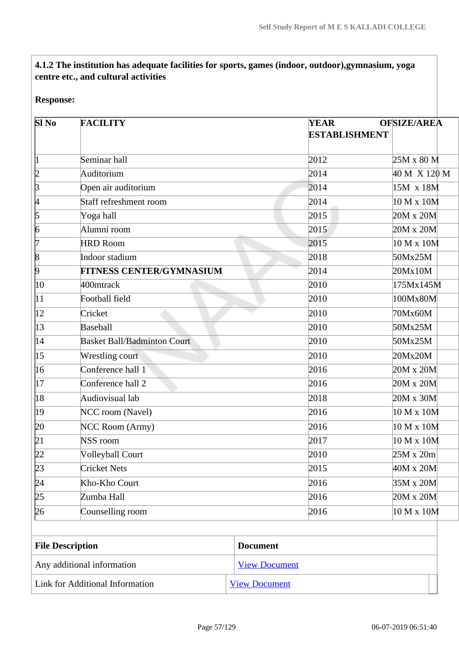# **4.1.2 The institution has adequate facilities for sports, games (indoor, outdoor),gymnasium, yoga centre etc., and cultural activities**

#### **Response:**

| <b>SI No</b>            | <b>FACILITY</b>                    | <b>YEAR</b>     | <b>OFSIZE/AREA</b>   |
|-------------------------|------------------------------------|-----------------|----------------------|
|                         |                                    |                 | <b>ESTABLISHMENT</b> |
|                         | Seminar hall                       | 2012            | $25M \times 80 M$    |
| þ                       | Auditorium                         | 2014            | 40 M X 120 M         |
| þ                       | Open air auditorium                | 2014            | 15M x 18M            |
| 4                       | Staff refreshment room             | 2014            | 10 M x 10M           |
| 5                       | Yoga hall                          | 2015            | 20M x 20M            |
| 6                       | Alumni room                        | 2015            | 20M x 20M            |
| 17                      | <b>HRD Room</b>                    | 2015            | 10 M x 10M           |
| 8                       | Indoor stadium                     | 2018            | 50Mx25M              |
| þ                       | FITNESS CENTER/GYMNASIUM           | 2014            | 20Mx10M              |
| 10                      | 400mtrack                          | 2010            | 175Mx145M            |
| 11                      | Football field                     | 2010            | 100Mx80M             |
| 12                      | Cricket                            | 2010            | 70Mx60M              |
| $\vert$ 13              | Baseball                           | 2010            | 50Mx25M              |
| 14                      | <b>Basket Ball/Badminton Court</b> | 2010            | 50Mx25M              |
| $ 15\rangle$            | Wrestling court                    | 2010            | 20Mx20M              |
| 16                      | Conference hall 1                  | 2016            | 20M x 20M            |
| 17                      | Conference hall 2                  | 2016            | $20M \times 20M$     |
| 18                      | Audiovisual lab                    | 2018            | $20M \times 30M$     |
| 19                      | NCC room (Navel)                   | 2016            | 10 M x 10M           |
| 20                      | NCC Room (Army)                    | 2016            | 10 M x 10M           |
| 21                      | NSS room                           | 2017            | 10 M x 10M           |
| þ2                      | <b>Volleyball Court</b>            | 2010            | 25M x 20m            |
| 23                      | <b>Cricket Nets</b>                | 2015            | 40M x 20M            |
| $\sqrt{24}$             | Kho-Kho Court                      | 2016            | 35M x 20M            |
| 25                      | Zumba Hall                         | 2016            | $20M \times 20M$     |
| 26                      | Counselling room                   | 2016            | 10 M x 10M           |
|                         |                                    |                 |                      |
| <b>File Description</b> |                                    | <b>Document</b> |                      |

| Any additional information      | <b>View Document</b>                   |
|---------------------------------|----------------------------------------|
| Link for Additional Information | $\overline{\phantom{a}}$ View Document |
|                                 |                                        |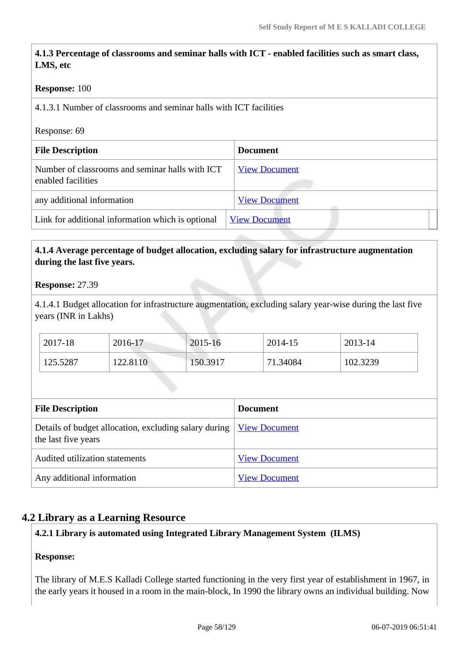## **4.1.3 Percentage of classrooms and seminar halls with ICT - enabled facilities such as smart class, LMS, etc**

#### **Response:** 100

4.1.3.1 Number of classrooms and seminar halls with ICT facilities

#### Response: 69

| <b>File Description</b>                                               | <b>Document</b>      |
|-----------------------------------------------------------------------|----------------------|
| Number of classrooms and seminar halls with ICT<br>enabled facilities | <b>View Document</b> |
| any additional information                                            | <b>View Document</b> |
| Link for additional information which is optional                     | <b>View Document</b> |
|                                                                       |                      |

#### **4.1.4 Average percentage of budget allocation, excluding salary for infrastructure augmentation during the last five years.**

#### **Response:** 27.39

4.1.4.1 Budget allocation for infrastructure augmentation, excluding salary year-wise during the last five years (INR in Lakhs)

| 2017-18  | 2016-17  | 2015-16  | 2014-15  | 2013-14  |
|----------|----------|----------|----------|----------|
| 125.5287 | 122.8110 | 150.3917 | 71.34084 | 102.3239 |

| <b>File Description</b>                                                                           | <b>Document</b>      |  |
|---------------------------------------------------------------------------------------------------|----------------------|--|
| Details of budget allocation, excluding salary during <u>View Document</u><br>the last five years |                      |  |
| Audited utilization statements                                                                    | <b>View Document</b> |  |
| Any additional information                                                                        | <b>View Document</b> |  |

#### **4.2 Library as a Learning Resource**

#### **4.2.1 Library is automated using Integrated Library Management System (ILMS)**

#### **Response:**

The library of M.E.S Kalladi College started functioning in the very first year of establishment in 1967, in the early years it housed in a room in the main-block, In 1990 the library owns an individual building. Now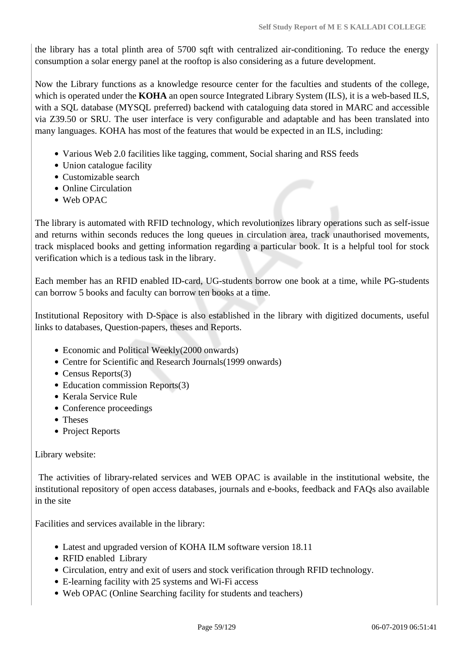the library has a total plinth area of 5700 sqft with centralized air-conditioning. To reduce the energy consumption a solar energy panel at the rooftop is also considering as a future development.

Now the Library functions as a knowledge resource center for the faculties and students of the college, which is operated under the **KOHA** an open source Integrated Library System (ILS), it is a web-based ILS, with a SQL database (MYSQL preferred) backend with cataloguing data stored in MARC and accessible via Z39.50 or SRU. The user interface is very configurable and adaptable and has been translated into many languages. KOHA has most of the features that would be expected in an ILS, including:

- Various Web 2.0 facilities like tagging, comment, Social sharing and RSS feeds
- Union catalogue facility
- Customizable search
- Online Circulation
- Web OPAC

The library is automated with RFID technology, which revolutionizes library operations such as self-issue and returns within seconds reduces the long queues in circulation area, track unauthorised movements, track misplaced books and getting information regarding a particular book. It is a helpful tool for stock verification which is a tedious task in the library.

Each member has an RFID enabled ID-card, UG-students borrow one book at a time, while PG-students can borrow 5 books and faculty can borrow ten books at a time.

Institutional Repository with D-Space is also established in the library with digitized documents, useful links to databases, Question-papers, theses and Reports.

- Economic and Political Weekly(2000 onwards)
- Centre for Scientific and Research Journals(1999 onwards)
- Census Reports(3)
- Education commission Reports(3)
- Kerala Service Rule
- Conference proceedings
- Theses
- Project Reports

#### Library website:

 The activities of library-related services and WEB OPAC is available in the institutional website, the institutional repository of open access databases, journals and e-books, feedback and FAQs also available in the site

Facilities and services available in the library:

- Latest and upgraded version of KOHA ILM software version 18.11
- RFID enabled Library
- Circulation, entry and exit of users and stock verification through RFID technology.
- E-learning facility with 25 systems and Wi-Fi access
- Web OPAC (Online Searching facility for students and teachers)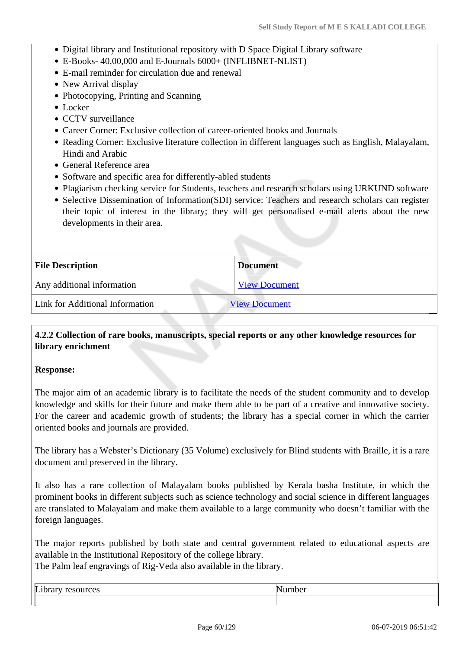- Digital library and Institutional repository with D Space Digital Library software
- E-Books- 40,00,000 and E-Journals 6000+ (INFLIBNET-NLIST)
- E-mail reminder for circulation due and renewal
- New Arrival display
- Photocopying, Printing and Scanning
- Locker
- CCTV surveillance
- Career Corner: Exclusive collection of career-oriented books and Journals
- Reading Corner: Exclusive literature collection in different languages such as English, Malayalam, Hindi and Arabic
- General Reference area
- Software and specific area for differently-abled students
- Plagiarism checking service for Students, teachers and research scholars using URKUND software
- Selective Dissemination of Information(SDI) service: Teachers and research scholars can register their topic of interest in the library; they will get personalised e-mail alerts about the new developments in their area.

| <b>File Description</b>         | <b>Document</b>      |
|---------------------------------|----------------------|
| Any additional information      | <b>View Document</b> |
| Link for Additional Information | <b>View Document</b> |

#### **4.2.2 Collection of rare books, manuscripts, special reports or any other knowledge resources for library enrichment**

#### **Response:**

The major aim of an academic library is to facilitate the needs of the student community and to develop knowledge and skills for their future and make them able to be part of a creative and innovative society. For the career and academic growth of students; the library has a special corner in which the carrier oriented books and journals are provided.

The library has a Webster's Dictionary (35 Volume) exclusively for Blind students with Braille, it is a rare document and preserved in the library.

It also has a rare collection of Malayalam books published by Kerala basha Institute, in which the prominent books in different subjects such as science technology and social science in different languages are translated to Malayalam and make them available to a large community who doesn't familiar with the foreign languages.

The major reports published by both state and central government related to educational aspects are available in the Institutional Repository of the college library.

The Palm leaf engravings of Rig-Veda also available in the library.

| - |  |
|---|--|
|   |  |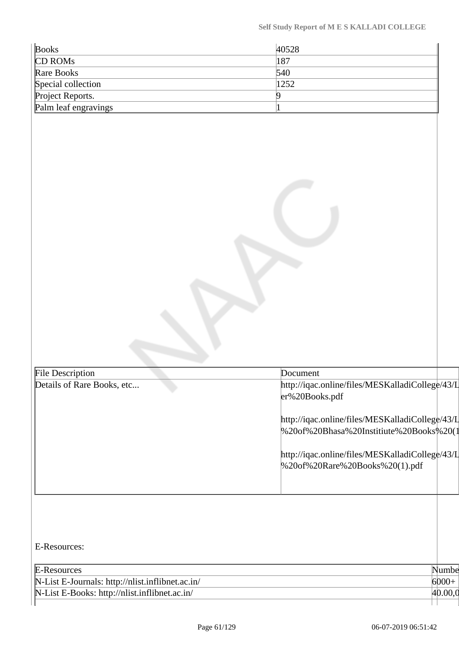| <b>Books</b>                                                                    | 40528                                                                                                                                                                                                                                                |                  |
|---------------------------------------------------------------------------------|------------------------------------------------------------------------------------------------------------------------------------------------------------------------------------------------------------------------------------------------------|------------------|
| CD ROMs                                                                         | 187                                                                                                                                                                                                                                                  |                  |
| Rare Books                                                                      | 540                                                                                                                                                                                                                                                  |                  |
| Special collection                                                              | 1252                                                                                                                                                                                                                                                 |                  |
| Project Reports.                                                                | 9                                                                                                                                                                                                                                                    |                  |
| Palm leaf engravings                                                            |                                                                                                                                                                                                                                                      |                  |
| File Description                                                                | Document                                                                                                                                                                                                                                             |                  |
| Details of Rare Books, etc                                                      | http://iqac.online/files/MESKalladiCollege/43/L<br>er%20Books.pdf<br>http://iqac.online/files/MESKalladiCollege/43/L<br>%20of%20Bhasa%20Institiute%20Books%20(1<br>http://iqac.online/files/MESKalladiCollege/43/L<br>%20of%20Rare%20Books%20(1).pdf |                  |
| E-Resources:<br>E-Resources<br>N-List E-Journals: http://nlist.inflibnet.ac.in/ |                                                                                                                                                                                                                                                      | Numbe<br>$6000+$ |
|                                                                                 |                                                                                                                                                                                                                                                      |                  |
| N-List E-Books: http://nlist.inflibnet.ac.in/                                   |                                                                                                                                                                                                                                                      | 40.00,0          |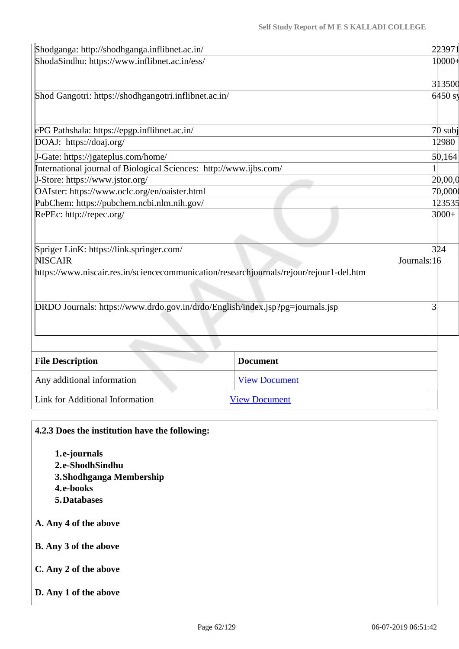| Shodganga: http://shodhganga.inflibnet.ac.in/                                           |                      | 223971       |
|-----------------------------------------------------------------------------------------|----------------------|--------------|
| ShodaSindhu: https://www.inflibnet.ac.in/ess/                                           |                      | $10000 +$    |
|                                                                                         |                      | 313500       |
| Shod Gangotri: https://shodhgangotri.inflibnet.ac.in/                                   |                      | $6450$ sy    |
|                                                                                         |                      |              |
| ePG Pathshala: https://epgp.inflibnet.ac.in/                                            |                      | $70$ subj    |
| DOAJ: https://doaj.org/                                                                 |                      | 12980        |
| J-Gate: https://jgateplus.com/home/                                                     |                      | 50,164       |
| International journal of Biological Sciences: http://www.ijbs.com/                      |                      |              |
| J-Store: https://www.jstor.org/                                                         |                      | 20,00,0      |
| OAIster: https://www.oclc.org/en/oaister.html<br>70,000                                 |                      |              |
| PubChem: https://pubchem.ncbi.nlm.nih.gov/<br>123535                                    |                      |              |
| RePEc: http://repec.org/                                                                |                      | $3000+$      |
| Spriger LinK: https://link.springer.com/                                                |                      | 324          |
| <b>NISCAIR</b>                                                                          |                      | Journals: 16 |
| https://www.niscair.res.in/sciencecommunication/researchjournals/rejour/rejour1-del.htm |                      |              |
| DRDO Journals: https://www.drdo.gov.in/drdo/English/index.jsp?pg=journals.jsp           |                      |              |
|                                                                                         |                      |              |
| <b>File Description</b>                                                                 | <b>Document</b>      |              |
| Any additional information                                                              | <b>View Document</b> |              |
| Link for Additional Information                                                         | <b>View Document</b> |              |
|                                                                                         |                      |              |

| 4.2.3 Does the institution have the following: |  |  |
|------------------------------------------------|--|--|
| 1.e-journals                                   |  |  |
| 2.e-ShodhSindhu                                |  |  |
| 3. Shodhganga Membership                       |  |  |
| 4.e-books                                      |  |  |
| 5. Databases                                   |  |  |
| A. Any 4 of the above                          |  |  |
| <b>B.</b> Any 3 of the above                   |  |  |
| C. Any 2 of the above                          |  |  |
| D. Any 1 of the above                          |  |  |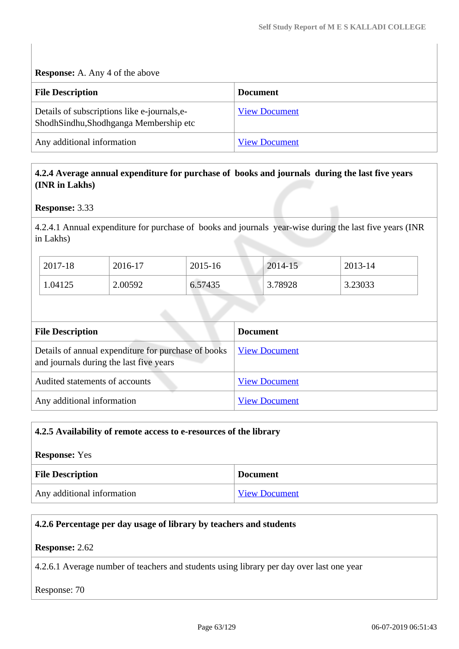**Response:** A. Any 4 of the above

| <b>File Description</b>                                                               | <b>Document</b>      |
|---------------------------------------------------------------------------------------|----------------------|
| Details of subscriptions like e-journals, e-<br>ShodhSindhu,Shodhganga Membership etc | <b>View Document</b> |
| Any additional information                                                            | <b>View Document</b> |

#### **4.2.4 Average annual expenditure for purchase of books and journals during the last five years (INR in Lakhs)**

#### **Response:** 3.33

4.2.4.1 Annual expenditure for purchase of books and journals year-wise during the last five years (INR in Lakhs)

| 2017-18 | 2016-17 | 2015-16 | 2014-15 | 2013-14 |
|---------|---------|---------|---------|---------|
| 1.04125 | 2.00592 | 6.57435 | 3.78928 | 3.23033 |

| <b>File Description</b>                                                                        | <b>Document</b>      |
|------------------------------------------------------------------------------------------------|----------------------|
| Details of annual expenditure for purchase of books<br>and journals during the last five years | <b>View Document</b> |
| Audited statements of accounts                                                                 | <b>View Document</b> |
| Any additional information                                                                     | <b>View Document</b> |

# **4.2.5 Availability of remote access to e-resources of the library Response:** Yes **File Description Document** Any additional information [View Document](https://assessmentonline.naac.gov.in/storage/app/hei/SSR/102373/4.2.5_1555428224_2509.pdf)

# **4.2.6 Percentage per day usage of library by teachers and students Response:** 2.62 4.2.6.1 Average number of teachers and students using library per day over last one year Response: 70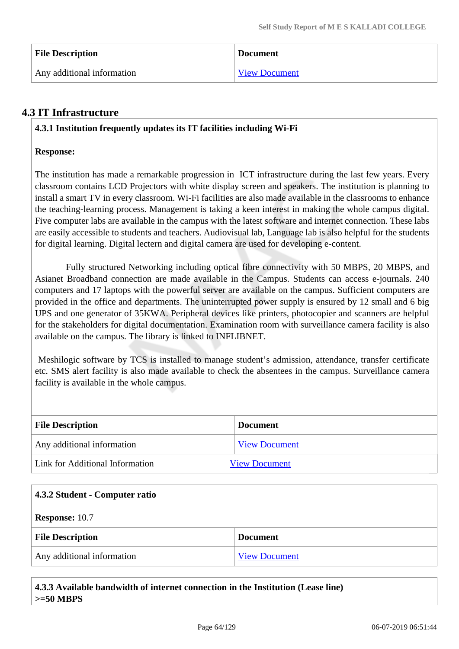| <b>File Description</b>    | <b>Document</b>      |
|----------------------------|----------------------|
| Any additional information | <b>View Document</b> |

# **4.3 IT Infrastructure**

#### **4.3.1 Institution frequently updates its IT facilities including Wi-Fi**

#### **Response:**

The institution has made a remarkable progression in ICT infrastructure during the last few years. Every classroom contains LCD Projectors with white display screen and speakers. The institution is planning to install a smart TV in every classroom. Wi-Fi facilities are also made available in the classrooms to enhance the teaching-learning process. Management is taking a keen interest in making the whole campus digital. Five computer labs are available in the campus with the latest software and internet connection. These labs are easily accessible to students and teachers. Audiovisual lab, Language lab is also helpful for the students for digital learning. Digital lectern and digital camera are used for developing e-content.

 Fully structured Networking including optical fibre connectivity with 50 MBPS, 20 MBPS, and Asianet Broadband connection are made available in the Campus. Students can access e-journals. 240 computers and 17 laptops with the powerful server are available on the campus. Sufficient computers are provided in the office and departments. The uninterrupted power supply is ensured by 12 small and 6 big UPS and one generator of 35KWA. Peripheral devices like printers, photocopier and scanners are helpful for the stakeholders for digital documentation. Examination room with surveillance camera facility is also available on the campus. The library is linked to INFLIBNET.

 Meshilogic software by TCS is installed to manage student's admission, attendance, transfer certificate etc. SMS alert facility is also made available to check the absentees in the campus. Surveillance camera facility is available in the whole campus.

| <b>File Description</b>         | <b>Document</b>      |  |
|---------------------------------|----------------------|--|
| Any additional information      | <b>View Document</b> |  |
| Link for Additional Information | <b>View Document</b> |  |

| 4.3.2 Student - Computer ratio |                      |  |
|--------------------------------|----------------------|--|
| <b>Response: 10.7</b>          |                      |  |
| <b>File Description</b>        | <b>Document</b>      |  |
| Any additional information     | <b>View Document</b> |  |

| $\mid$ 4.3.3 Available bandwidth of internet connection in the Institution (Lease line) |
|-----------------------------------------------------------------------------------------|
| $\ge$ =50 MBPS                                                                          |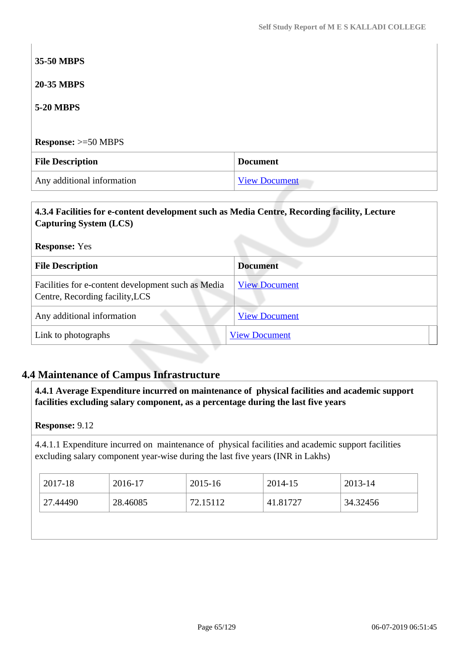# **35-50 MBPS 20-35 MBPS 5-20 MBPS Response:** >=50 MBPS **File Description Document** Any additional information [View Document](https://assessmentonline.naac.gov.in/storage/app/hei/SSR/102373/4.3.3_1554728557_2509.pdf)

#### **4.3.4 Facilities for e-content development such as Media Centre, Recording facility, Lecture Capturing System (LCS)**

**Response:** Yes

| <b>File Description</b>                                                               | <b>Document</b>      |
|---------------------------------------------------------------------------------------|----------------------|
| Facilities for e-content development such as Media<br>Centre, Recording facility, LCS | <b>View Document</b> |
| Any additional information                                                            | <b>View Document</b> |
| Link to photographs                                                                   | <b>View Document</b> |

# **4.4 Maintenance of Campus Infrastructure**

 **4.4.1 Average Expenditure incurred on maintenance of physical facilities and academic support facilities excluding salary component, as a percentage during the last five years**

#### **Response:** 9.12

4.4.1.1 Expenditure incurred on maintenance of physical facilities and academic support facilities excluding salary component year-wise during the last five years (INR in Lakhs)

| 2017-18  | 2016-17  | 2015-16  | 2014-15  | 2013-14  |
|----------|----------|----------|----------|----------|
| 27.44490 | 28.46085 | 72.15112 | 41.81727 | 34.32456 |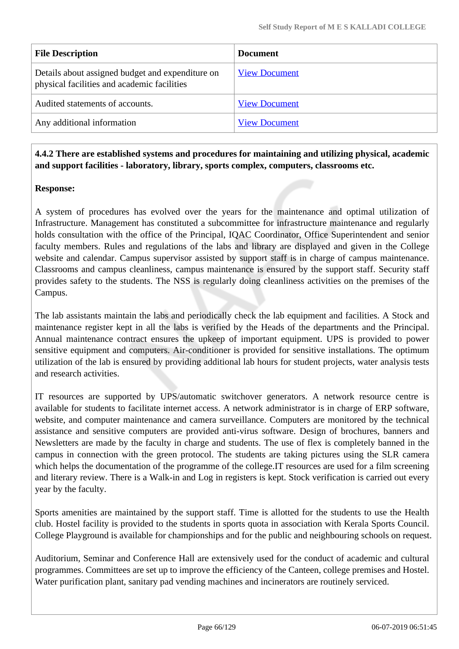| <b>File Description</b>                                                                         | <b>Document</b>      |
|-------------------------------------------------------------------------------------------------|----------------------|
| Details about assigned budget and expenditure on<br>physical facilities and academic facilities | <b>View Document</b> |
| Audited statements of accounts.                                                                 | <b>View Document</b> |
| Any additional information                                                                      | <b>View Document</b> |

 **4.4.2 There are established systems and procedures for maintaining and utilizing physical, academic and support facilities - laboratory, library, sports complex, computers, classrooms etc.**

#### **Response:**

A system of procedures has evolved over the years for the maintenance and optimal utilization of Infrastructure. Management has constituted a subcommittee for infrastructure maintenance and regularly holds consultation with the office of the Principal, IQAC Coordinator, Office Superintendent and senior faculty members. Rules and regulations of the labs and library are displayed and given in the College website and calendar. Campus supervisor assisted by support staff is in charge of campus maintenance. Classrooms and campus cleanliness, campus maintenance is ensured by the support staff. Security staff provides safety to the students. The NSS is regularly doing cleanliness activities on the premises of the Campus.

The lab assistants maintain the labs and periodically check the lab equipment and facilities. A Stock and maintenance register kept in all the labs is verified by the Heads of the departments and the Principal. Annual maintenance contract ensures the upkeep of important equipment. UPS is provided to power sensitive equipment and computers. Air-conditioner is provided for sensitive installations. The optimum utilization of the lab is ensured by providing additional lab hours for student projects, water analysis tests and research activities.

IT resources are supported by UPS/automatic switchover generators. A network resource centre is available for students to facilitate internet access. A network administrator is in charge of ERP software, website, and computer maintenance and camera surveillance. Computers are monitored by the technical assistance and sensitive computers are provided anti-virus software. Design of brochures, banners and Newsletters are made by the faculty in charge and students. The use of flex is completely banned in the campus in connection with the green protocol. The students are taking pictures using the SLR camera which helps the documentation of the programme of the college. IT resources are used for a film screening and literary review. There is a Walk-in and Log in registers is kept. Stock verification is carried out every year by the faculty.

Sports amenities are maintained by the support staff. Time is allotted for the students to use the Health club. Hostel facility is provided to the students in sports quota in association with Kerala Sports Council. College Playground is available for championships and for the public and neighbouring schools on request.

Auditorium, Seminar and Conference Hall are extensively used for the conduct of academic and cultural programmes. Committees are set up to improve the efficiency of the Canteen, college premises and Hostel. Water purification plant, sanitary pad vending machines and incinerators are routinely serviced.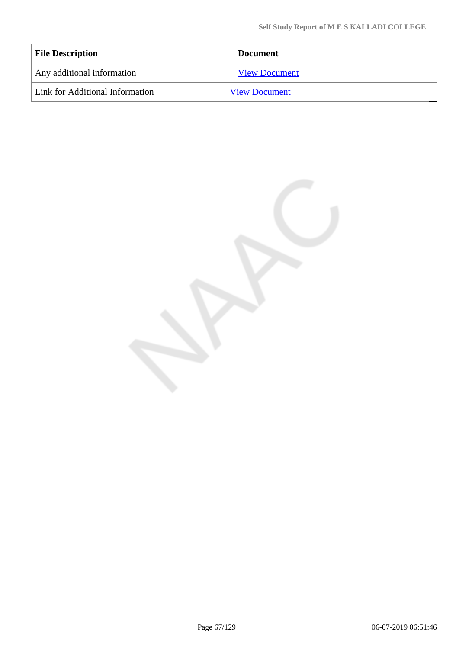| <b>File Description</b>         | <b>Document</b>      |
|---------------------------------|----------------------|
| Any additional information      | <b>View Document</b> |
| Link for Additional Information | <b>View Document</b> |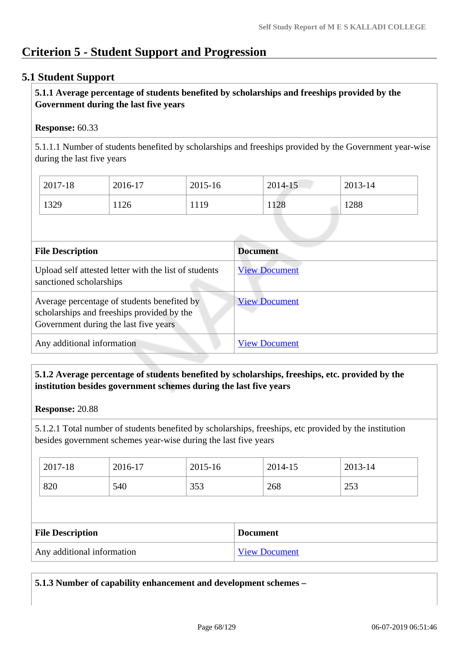# **Criterion 5 - Student Support and Progression**

#### **5.1 Student Support**

#### **5.1.1 Average percentage of students benefited by scholarships and freeships provided by the Government during the last five years**

#### **Response:** 60.33

5.1.1.1 Number of students benefited by scholarships and freeships provided by the Government year-wise during the last five years

| 2017-18 | 2016-17 | 2015-16 | 2014-15 | 2013-14 |
|---------|---------|---------|---------|---------|
| 1329    | 126     | 1119    | 1128    | 1288    |

| <b>File Description</b>                                                                                                            | <b>Document</b>      |
|------------------------------------------------------------------------------------------------------------------------------------|----------------------|
| Upload self attested letter with the list of students<br>sanctioned scholarships                                                   | <b>View Document</b> |
| Average percentage of students benefited by<br>scholarships and freeships provided by the<br>Government during the last five years | <b>View Document</b> |
| Any additional information                                                                                                         | <b>View Document</b> |

#### **5.1.2 Average percentage of students benefited by scholarships, freeships, etc. provided by the institution besides government schemes during the last five years**

#### **Response:** 20.88

5.1.2.1 Total number of students benefited by scholarships, freeships, etc provided by the institution besides government schemes year-wise during the last five years

| 2017-18 | 2016-17 | 2015-16    | 2014-15 | 2013-14 |
|---------|---------|------------|---------|---------|
| 820     | 540     | 252<br>JJJ | 268     | 253     |

| <b>File Description</b>    | <b>Document</b>      |
|----------------------------|----------------------|
| Any additional information | <b>View Document</b> |

**5.1.3 Number of capability enhancement and development schemes –**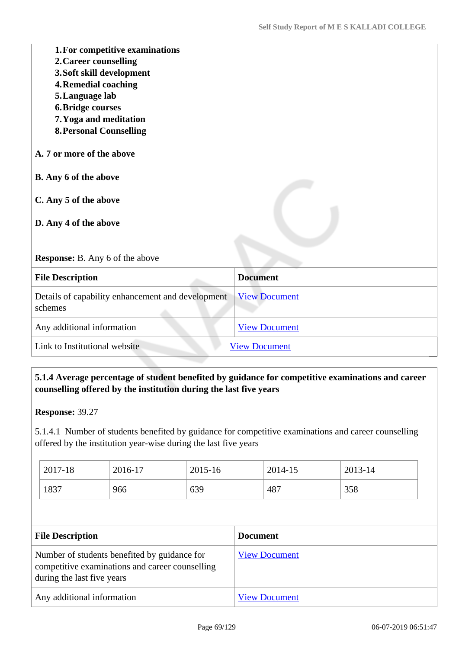| 1. For competitive examinations<br>2. Career counselling<br>3. Soft skill development<br><b>4. Remedial coaching</b><br>5. Language lab<br><b>6. Bridge courses</b><br>7. Yoga and meditation<br><b>8. Personal Counselling</b> |                      |
|---------------------------------------------------------------------------------------------------------------------------------------------------------------------------------------------------------------------------------|----------------------|
| A. 7 or more of the above                                                                                                                                                                                                       |                      |
| B. Any 6 of the above                                                                                                                                                                                                           |                      |
| C. Any 5 of the above                                                                                                                                                                                                           |                      |
| D. Any 4 of the above                                                                                                                                                                                                           |                      |
| <b>Response:</b> B. Any 6 of the above                                                                                                                                                                                          |                      |
| <b>File Description</b>                                                                                                                                                                                                         | <b>Document</b>      |
| Details of capability enhancement and development<br>schemes                                                                                                                                                                    | <b>View Document</b> |
| Any additional information                                                                                                                                                                                                      | <b>View Document</b> |
| Link to Institutional website                                                                                                                                                                                                   | <b>View Document</b> |

## **5.1.4 Average percentage of student benefited by guidance for competitive examinations and career counselling offered by the institution during the last five years**

5.1.4.1 Number of students benefited by guidance for competitive examinations and career counselling offered by the institution year-wise during the last five years

| 2017-18 | 2016-17 | 2015-16 | 2014-15 | 2013-14 |
|---------|---------|---------|---------|---------|
| 1837    | 966     | 639     | 487     | 358     |

| <b>File Description</b>                                                                                                       | <b>Document</b>      |
|-------------------------------------------------------------------------------------------------------------------------------|----------------------|
| Number of students benefited by guidance for<br>competitive examinations and career counselling<br>during the last five years | <b>View Document</b> |
| Any additional information                                                                                                    | <b>View Document</b> |

**Response:** 39.27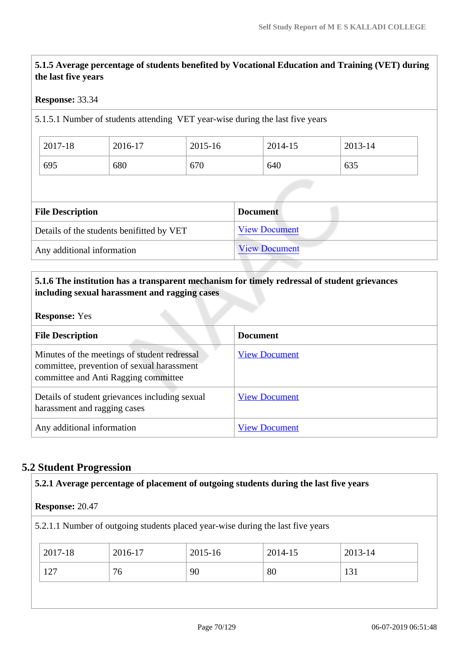# **5.1.5 Average percentage of students benefited by Vocational Education and Training (VET) during the last five years**

#### **Response:** 33.34

5.1.5.1 Number of students attending VET year-wise during the last five years

| 2017-18 | 2016-17 | 2015-16 | 2014-15 | 2013-14 |
|---------|---------|---------|---------|---------|
| 695     | 680     | 670     | 640     | 635     |

| <b>File Description</b>                   | <b>Document</b>      |
|-------------------------------------------|----------------------|
| Details of the students benifitted by VET | <b>View Document</b> |
| Any additional information                | <b>View Document</b> |

#### **5.1.6 The institution has a transparent mechanism for timely redressal of student grievances including sexual harassment and ragging cases**

#### **Response:** Yes

| <b>File Description</b>                                                                                                            | <b>Document</b>      |
|------------------------------------------------------------------------------------------------------------------------------------|----------------------|
| Minutes of the meetings of student redressal<br>committee, prevention of sexual harassment<br>committee and Anti Ragging committee | <b>View Document</b> |
| Details of student grievances including sexual<br>harassment and ragging cases                                                     | <b>View Document</b> |
| Any additional information                                                                                                         | <b>View Document</b> |

#### **5.2 Student Progression**

| 5.2.1 Average percentage of placement of outgoing students during the last five years |         |         |         |         |  |
|---------------------------------------------------------------------------------------|---------|---------|---------|---------|--|
| <b>Response: 20.47</b>                                                                |         |         |         |         |  |
| 5.2.1.1 Number of outgoing students placed year-wise during the last five years       |         |         |         |         |  |
| 2017-18                                                                               | 2016-17 | 2015-16 | 2014-15 | 2013-14 |  |
| 127                                                                                   | 76      | 90      | 80      | 131     |  |
|                                                                                       |         |         |         |         |  |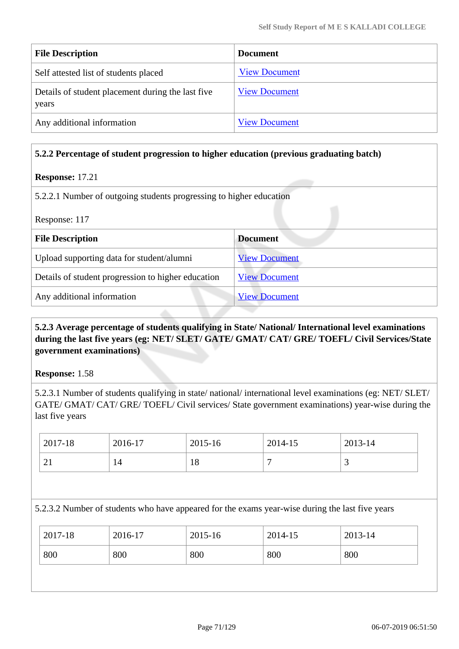| <b>File Description</b>                                    | <b>Document</b>      |
|------------------------------------------------------------|----------------------|
| Self attested list of students placed                      | <b>View Document</b> |
| Details of student placement during the last five<br>years | <b>View Document</b> |
| Any additional information                                 | <b>View Document</b> |

#### **5.2.2 Percentage of student progression to higher education (previous graduating batch)**

#### **Response:** 17.21

5.2.2.1 Number of outgoing students progressing to higher education

| Response: 117                                      |                      |  |  |
|----------------------------------------------------|----------------------|--|--|
| <b>File Description</b>                            | <b>Document</b>      |  |  |
| Upload supporting data for student/alumni          | <b>View Document</b> |  |  |
| Details of student progression to higher education | <b>View Document</b> |  |  |
| Any additional information                         | <b>View Document</b> |  |  |

#### **5.2.3 Average percentage of students qualifying in State/ National/ International level examinations during the last five years (eg: NET/ SLET/ GATE/ GMAT/ CAT/ GRE/ TOEFL/ Civil Services/State government examinations)**

**Response:** 1.58

5.2.3.1 Number of students qualifying in state/ national/ international level examinations (eg: NET/ SLET/ GATE/ GMAT/ CAT/ GRE/ TOEFL/ Civil services/ State government examinations) year-wise during the last five years

| $\frac{1}{2017}$ -18  | 2016-17 | 2015-16 | 2014-15 | 2013-14 |
|-----------------------|---------|---------|---------|---------|
| $\bigcap$<br>$\sim$ 1 |         | 10      |         | ັ       |

#### 5.2.3.2 Number of students who have appeared for the exams year-wise during the last five years

| 2017-18<br>2016-17<br>2015-16<br>2014-15 | 2013-14 |
|------------------------------------------|---------|
| 800<br>800<br>800<br>800<br>800          |         |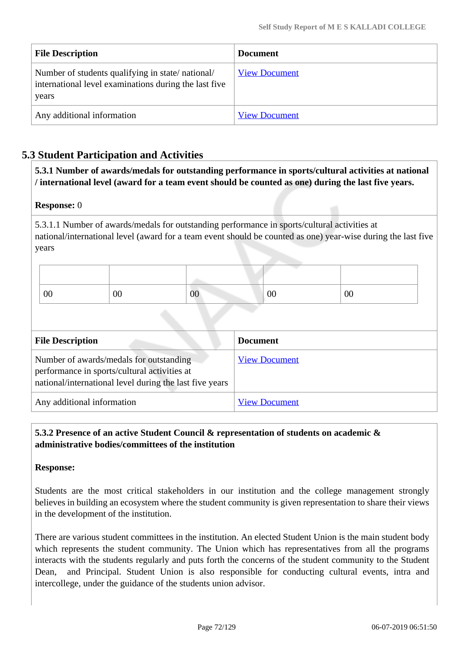| <b>File Description</b>                                                                                            | <b>Document</b>      |
|--------------------------------------------------------------------------------------------------------------------|----------------------|
| Number of students qualifying in state/national/<br>international level examinations during the last five<br>years | <b>View Document</b> |
| Any additional information                                                                                         | <b>View Document</b> |

# **5.3 Student Participation and Activities**

**5.3.1 Number of awards/medals for outstanding performance in sports/cultural activities at national / international level (award for a team event should be counted as one) during the last five years.**

#### **Response:** 0

5.3.1.1 Number of awards/medals for outstanding performance in sports/cultural activities at national/international level (award for a team event should be counted as one) year-wise during the last five years

| 00 | 00 | $00\,$ | 00 | 00 |
|----|----|--------|----|----|

| <b>File Description</b>                                                                                                                            | <b>Document</b>      |
|----------------------------------------------------------------------------------------------------------------------------------------------------|----------------------|
| Number of awards/medals for outstanding<br>performance in sports/cultural activities at<br>national/international level during the last five years | <b>View Document</b> |
| Any additional information                                                                                                                         | <b>View Document</b> |

#### **5.3.2 Presence of an active Student Council & representation of students on academic & administrative bodies/committees of the institution**

#### **Response:**

Students are the most critical stakeholders in our institution and the college management strongly believes in building an ecosystem where the student community is given representation to share their views in the development of the institution.

There are various student committees in the institution. An elected Student Union is the main student body which represents the student community. The Union which has representatives from all the programs interacts with the students regularly and puts forth the concerns of the student community to the Student Dean, and Principal. Student Union is also responsible for conducting cultural events, intra and intercollege, under the guidance of the students union advisor.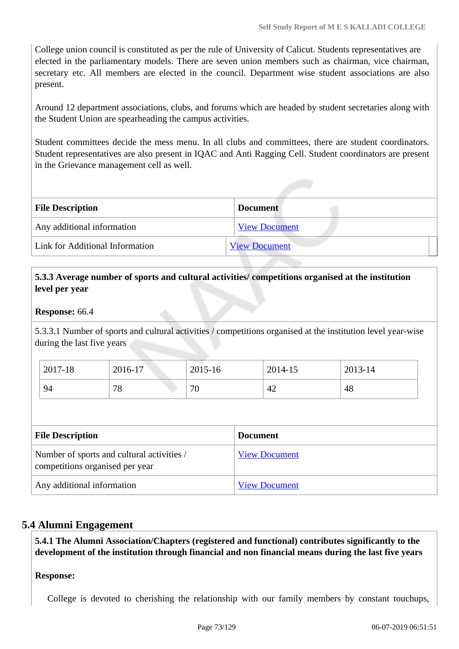College union council is constituted as per the rule of University of Calicut. Students representatives are elected in the parliamentary models. There are seven union members such as chairman, vice chairman, secretary etc. All members are elected in the council. Department wise student associations are also present.

Around 12 department associations, clubs, and forums which are headed by student secretaries along with the Student Union are spearheading the campus activities.

Student committees decide the mess menu. In all clubs and committees, there are student coordinators. Student representatives are also present in IQAC and Anti Ragging Cell. Student coordinators are present in the Grievance management cell as well.

| <b>File Description</b>         | <b>Document</b>      |  |
|---------------------------------|----------------------|--|
| Any additional information      | <b>View Document</b> |  |
| Link for Additional Information | <b>View Document</b> |  |

# **5.3.3 Average number of sports and cultural activities/ competitions organised at the institution level per year**

#### **Response:** 66.4

5.3.3.1 Number of sports and cultural activities / competitions organised at the institution level year-wise during the last five years

| 2017-18 | 2016-17 | 2015-16 | 2014-15 | 2013-14 |
|---------|---------|---------|---------|---------|
| 94      | 78      | 70      | 42      | 48      |

| <b>File Description</b>                                                       | <b>Document</b>      |
|-------------------------------------------------------------------------------|----------------------|
| Number of sports and cultural activities /<br>competitions organised per year | <b>View Document</b> |
| Any additional information                                                    | <b>View Document</b> |

# **5.4 Alumni Engagement**

**5.4.1 The Alumni Association/Chapters (registered and functional) contributes significantly to the development of the institution through financial and non financial means during the last five years**

# **Response:**

College is devoted to cherishing the relationship with our family members by constant touchups,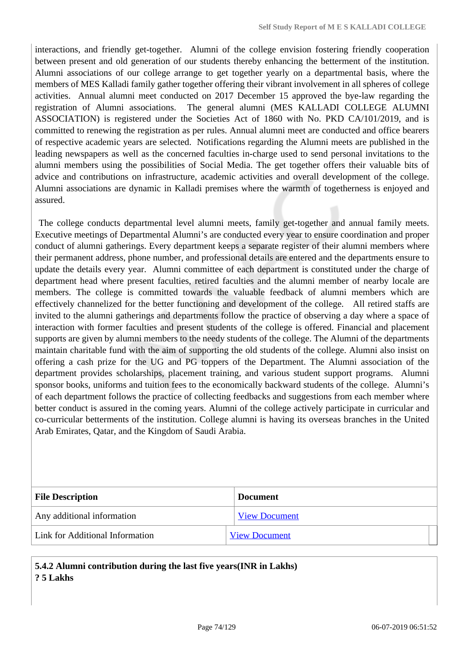interactions, and friendly get-together. Alumni of the college envision fostering friendly cooperation between present and old generation of our students thereby enhancing the betterment of the institution. Alumni associations of our college arrange to get together yearly on a departmental basis, where the members of MES Kalladi family gather together offering their vibrant involvement in all spheres of college activities. Annual alumni meet conducted on 2017 December 15 approved the bye-law regarding the registration of Alumni associations. The general alumni (MES KALLADI COLLEGE ALUMNI ASSOCIATION) is registered under the Societies Act of 1860 with No. PKD CA/101/2019, and is committed to renewing the registration as per rules. Annual alumni meet are conducted and office bearers of respective academic years are selected. Notifications regarding the Alumni meets are published in the leading newspapers as well as the concerned faculties in-charge used to send personal invitations to the alumni members using the possibilities of Social Media. The get together offers their valuable bits of advice and contributions on infrastructure, academic activities and overall development of the college. Alumni associations are dynamic in Kalladi premises where the warmth of togetherness is enjoyed and assured.

 The college conducts departmental level alumni meets, family get-together and annual family meets. Executive meetings of Departmental Alumni's are conducted every year to ensure coordination and proper conduct of alumni gatherings. Every department keeps a separate register of their alumni members where their permanent address, phone number, and professional details are entered and the departments ensure to update the details every year. Alumni committee of each department is constituted under the charge of department head where present faculties, retired faculties and the alumni member of nearby locale are members. The college is committed towards the valuable feedback of alumni members which are effectively channelized for the better functioning and development of the college. All retired staffs are invited to the alumni gatherings and departments follow the practice of observing a day where a space of interaction with former faculties and present students of the college is offered. Financial and placement supports are given by alumni members to the needy students of the college. The Alumni of the departments maintain charitable fund with the aim of supporting the old students of the college. Alumni also insist on offering a cash prize for the UG and PG toppers of the Department. The Alumni association of the department provides scholarships, placement training, and various student support programs. Alumni sponsor books, uniforms and tuition fees to the economically backward students of the college. Alumni's of each department follows the practice of collecting feedbacks and suggestions from each member where better conduct is assured in the coming years. Alumni of the college actively participate in curricular and co-curricular betterments of the institution. College alumni is having its overseas branches in the United Arab Emirates, Qatar, and the Kingdom of Saudi Arabia.

| <b>File Description</b>         | <b>Document</b>      |
|---------------------------------|----------------------|
| Any additional information      | <b>View Document</b> |
| Link for Additional Information | <b>View Document</b> |

# **5.4.2 Alumni contribution during the last five years(INR in Lakhs) ? 5 Lakhs**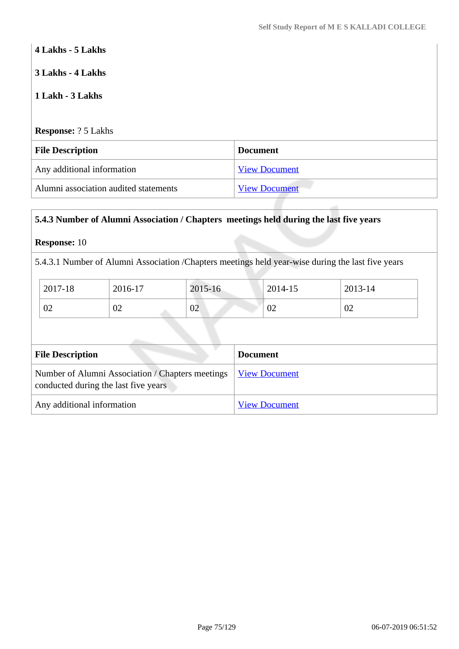# **4 Lakhs - 5 Lakhs**

# **3 Lakhs - 4 Lakhs**

# **1 Lakh - 3 Lakhs**

**Response:** ? 5 Lakhs

| <b>File Description</b>               | <b>Document</b>      |
|---------------------------------------|----------------------|
| Any additional information            | <b>View Document</b> |
| Alumni association audited statements | <b>View Document</b> |

# **5.4.3 Number of Alumni Association / Chapters meetings held during the last five years**

# **Response:** 10

5.4.3.1 Number of Alumni Association /Chapters meetings held year-wise during the last five years

| 2017-18      | 2016-17 | 2015-16 | 2014-15 | 2013-14 |
|--------------|---------|---------|---------|---------|
| $\cap$<br>UZ | 02      | 02      | 02      | 02      |

| <b>File Description</b>                                                                                  | <b>Document</b>      |
|----------------------------------------------------------------------------------------------------------|----------------------|
| Number of Alumni Association / Chapters meetings   View Document<br>conducted during the last five years |                      |
| Any additional information                                                                               | <b>View Document</b> |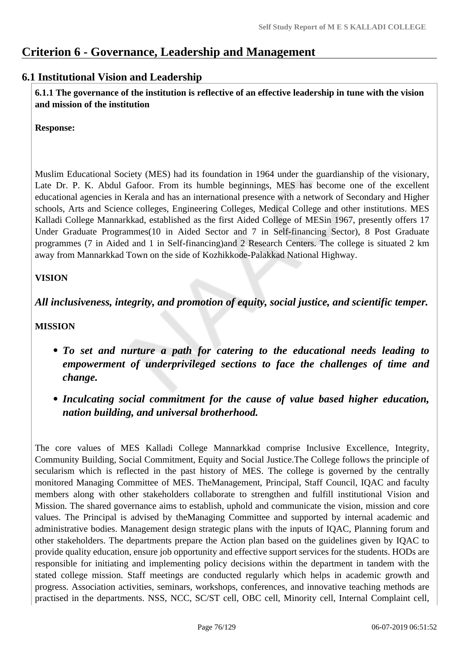# **Criterion 6 - Governance, Leadership and Management**

# **6.1 Institutional Vision and Leadership**

**6.1.1 The governance of the institution is reflective of an effective leadership in tune with the vision and mission of the institution**

**Response:** 

Muslim Educational Society (MES) had its foundation in 1964 under the guardianship of the visionary, Late Dr. P. K. Abdul Gafoor. From its humble beginnings, MES has become one of the excellent educational agencies in Kerala and has an international presence with a network of Secondary and Higher schools, Arts and Science colleges, Engineering Colleges, Medical College and other institutions. MES Kalladi College Mannarkkad, established as the first Aided College of MESin 1967, presently offers 17 Under Graduate Programmes(10 in Aided Sector and 7 in Self-financing Sector), 8 Post Graduate programmes (7 in Aided and 1 in Self-financing)and 2 Research Centers. The college is situated 2 km away from Mannarkkad Town on the side of Kozhikkode-Palakkad National Highway.

# **VISION**

*All inclusiveness, integrity, and promotion of equity, social justice, and scientific temper.*

**MISSION**

- *To set and nurture a path for catering to the educational needs leading to empowerment of underprivileged sections to face the challenges of time and change.*
- *Inculcating social commitment for the cause of value based higher education, nation building, and universal brotherhood.*

The core values of MES Kalladi College Mannarkkad comprise Inclusive Excellence, Integrity, Community Building, Social Commitment, Equity and Social Justice.The College follows the principle of secularism which is reflected in the past history of MES. The college is governed by the centrally monitored Managing Committee of MES. TheManagement, Principal, Staff Council, IQAC and faculty members along with other stakeholders collaborate to strengthen and fulfill institutional Vision and Mission. The shared governance aims to establish, uphold and communicate the vision, mission and core values. The Principal is advised by theManaging Committee and supported by internal academic and administrative bodies. Management design strategic plans with the inputs of IQAC, Planning forum and other stakeholders. The departments prepare the Action plan based on the guidelines given by IQAC to provide quality education, ensure job opportunity and effective support services for the students. HODs are responsible for initiating and implementing policy decisions within the department in tandem with the stated college mission. Staff meetings are conducted regularly which helps in academic growth and progress. Association activities, seminars, workshops, conferences, and innovative teaching methods are practised in the departments. NSS, NCC, SC/ST cell, OBC cell, Minority cell, Internal Complaint cell,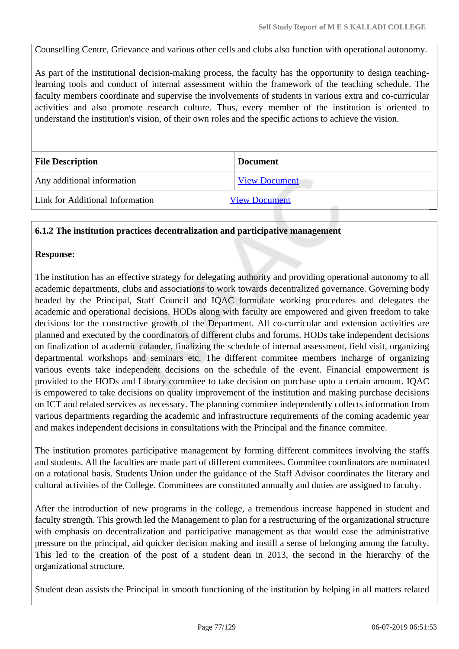Counselling Centre, Grievance and various other cells and clubs also function with operational autonomy.

As part of the institutional decision-making process, the faculty has the opportunity to design teachinglearning tools and conduct of internal assessment within the framework of the teaching schedule. The faculty members coordinate and supervise the involvements of students in various extra and co-curricular activities and also promote research culture. Thus, every member of the institution is oriented to understand the institution's vision, of their own roles and the specific actions to achieve the vision.

| <b>File Description</b>         | <b>Document</b>      |
|---------------------------------|----------------------|
| Any additional information      | <b>View Document</b> |
| Link for Additional Information | <b>View Document</b> |

#### **6.1.2 The institution practices decentralization and participative management**

#### **Response:**

The institution has an effective strategy for delegating authority and providing operational autonomy to all academic departments, clubs and associations to work towards decentralized governance. Governing body headed by the Principal, Staff Council and IQAC formulate working procedures and delegates the academic and operational decisions. HODs along with faculty are empowered and given freedom to take decisions for the constructive growth of the Department. All co-curricular and extension activities are planned and executed by the coordinators of different clubs and forums. HODs take independent decisions on finalization of academic calander, finalizing the schedule of internal assessment, field visit, organizing departmental workshops and seminars etc. The different commitee members incharge of organizing various events take independent decisions on the schedule of the event. Financial empowerment is provided to the HODs and Library commitee to take decision on purchase upto a certain amount. IQAC is empowered to take decisions on quality improvement of the institution and making purchase decisions on ICT and related services as necessary. The planning commitee independently collects information from various departments regarding the academic and infrastructure requirements of the coming academic year and makes independent decisions in consultations with the Principal and the finance commitee.

The institution promotes participative management by forming different commitees involving the staffs and students. All the faculties are made part of different commitees. Commitee coordinators are nominated on a rotational basis. Students Union under the guidance of the Staff Advisor coordinates the literary and cultural activities of the College. Committees are constituted annually and duties are assigned to faculty.

After the introduction of new programs in the college, a tremendous increase happened in student and faculty strength. This growth led the Management to plan for a restructuring of the organizational structure with emphasis on decentralization and participative management as that would ease the administrative pressure on the principal, aid quicker decision making and instill a sense of belonging among the faculty. This led to the creation of the post of a student dean in 2013, the second in the hierarchy of the organizational structure.

Student dean assists the Principal in smooth functioning of the institution by helping in all matters related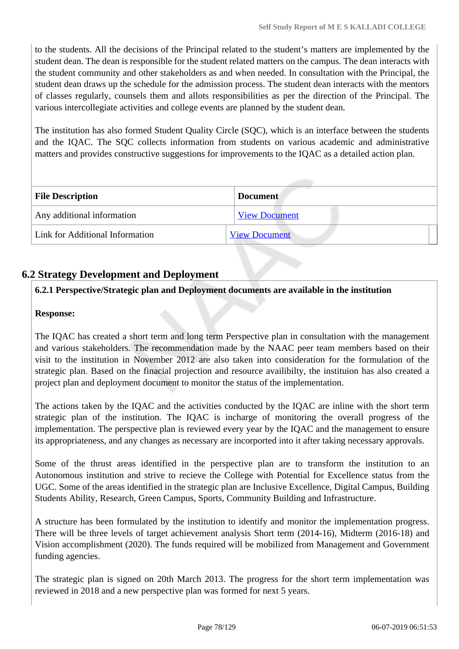to the students. All the decisions of the Principal related to the student's matters are implemented by the student dean. The dean is responsible for the student related matters on the campus. The dean interacts with the student community and other stakeholders as and when needed. In consultation with the Principal, the student dean draws up the schedule for the admission process. The student dean interacts with the mentors of classes regularly, counsels them and allots responsibilities as per the direction of the Principal. The various intercollegiate activities and college events are planned by the student dean.

The institution has also formed Student Quality Circle (SQC), which is an interface between the students and the IQAC. The SQC collects information from students on various academic and administrative matters and provides constructive suggestions for improvements to the IQAC as a detailed action plan.

| <b>File Description</b>         | <b>Document</b>      |  |
|---------------------------------|----------------------|--|
| Any additional information      | <b>View Document</b> |  |
| Link for Additional Information | <b>View Document</b> |  |

# **6.2 Strategy Development and Deployment**

# **6.2.1 Perspective/Strategic plan and Deployment documents are available in the institution**

#### **Response:**

The IQAC has created a short term and long term Perspective plan in consultation with the management and various stakeholders. The recommendation made by the NAAC peer team members based on their visit to the institution in November 2012 are also taken into consideration for the formulation of the strategic plan. Based on the finacial projection and resource availibilty, the instituion has also created a project plan and deployment document to monitor the status of the implementation.

The actions taken by the IQAC and the activities conducted by the IQAC are inline with the short term strategic plan of the institution. The IQAC is incharge of monitoring the overall progress of the implementation. The perspective plan is reviewed every year by the IQAC and the management to ensure its appropriateness, and any changes as necessary are incorported into it after taking necessary approvals.

Some of the thrust areas identified in the perspective plan are to transform the institution to an Autonomous institution and strive to recieve the College with Potential for Excellence status from the UGC. Some of the areas identified in the strategic plan are Inclusive Excellence, Digital Campus, Building Students Ability, Research, Green Campus, Sports, Community Building and Infrastructure.

A structure has been formulated by the institution to identify and monitor the implementation progress. There will be three levels of target achievement analysis Short term (2014-16), Midterm (2016-18) and Vision accomplishment (2020). The funds required will be mobilized from Management and Government funding agencies.

The strategic plan is signed on 20th March 2013. The progress for the short term implementation was reviewed in 2018 and a new perspective plan was formed for next 5 years.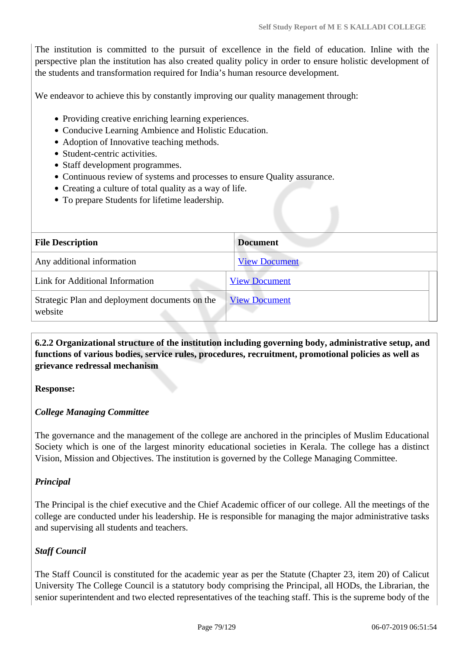The institution is committed to the pursuit of excellence in the field of education. Inline with the perspective plan the institution has also created quality policy in order to ensure holistic development of the students and transformation required for India's human resource development.

We endeavor to achieve this by constantly improving our quality management through:

- Providing creative enriching learning experiences.
- Conducive Learning Ambience and Holistic Education.
- Adoption of Innovative teaching methods.
- Student-centric activities.
- Staff development programmes.
- Continuous review of systems and processes to ensure Quality assurance.
- Creating a culture of total quality as a way of life.
- To prepare Students for lifetime leadership.

| <b>File Description</b>                                   | <b>Document</b>      |
|-----------------------------------------------------------|----------------------|
| Any additional information                                | <b>View Document</b> |
| Link for Additional Information                           | <b>View Document</b> |
| Strategic Plan and deployment documents on the<br>website | <b>View Document</b> |

**6.2.2 Organizational structure of the institution including governing body, administrative setup, and functions of various bodies, service rules, procedures, recruitment, promotional policies as well as grievance redressal mechanism**

#### **Response:**

# *College Managing Committee*

The governance and the management of the college are anchored in the principles of Muslim Educational Society which is one of the largest minority educational societies in Kerala. The college has a distinct Vision, Mission and Objectives. The institution is governed by the College Managing Committee.

# *Principal*

The Principal is the chief executive and the Chief Academic officer of our college. All the meetings of the college are conducted under his leadership. He is responsible for managing the major administrative tasks and supervising all students and teachers.

# *Staff Council*

The Staff Council is constituted for the academic year as per the Statute (Chapter 23, item 20) of Calicut University The College Council is a statutory body comprising the Principal, all HODs, the Librarian, the senior superintendent and two elected representatives of the teaching staff. This is the supreme body of the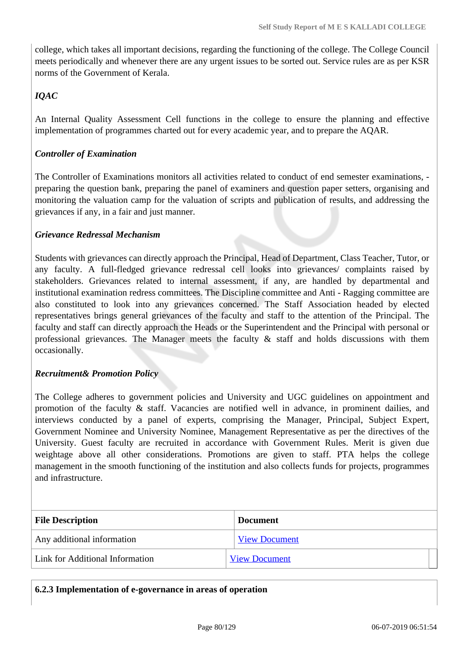college, which takes all important decisions, regarding the functioning of the college. The College Council meets periodically and whenever there are any urgent issues to be sorted out. Service rules are as per KSR norms of the Government of Kerala.

# *IQAC*

An Internal Quality Assessment Cell functions in the college to ensure the planning and effective implementation of programmes charted out for every academic year, and to prepare the AQAR.

# *Controller of Examination*

The Controller of Examinations monitors all activities related to conduct of end semester examinations, preparing the question bank, preparing the panel of examiners and question paper setters, organising and monitoring the valuation camp for the valuation of scripts and publication of results, and addressing the grievances if any, in a fair and just manner.

# *Grievance Redressal Mechanism*

Students with grievances can directly approach the Principal, Head of Department, Class Teacher, Tutor, or any faculty. A full-fledged grievance redressal cell looks into grievances/ complaints raised by stakeholders. Grievances related to internal assessment, if any, are handled by departmental and institutional examination redress committees. The Discipline committee and Anti - Ragging committee are also constituted to look into any grievances concerned. The Staff Association headed by elected representatives brings general grievances of the faculty and staff to the attention of the Principal. The faculty and staff can directly approach the Heads or the Superintendent and the Principal with personal or professional grievances. The Manager meets the faculty  $\&$  staff and holds discussions with them occasionally.

# *Recruitment& Promotion Policy*

The College adheres to government policies and University and UGC guidelines on appointment and promotion of the faculty & staff. Vacancies are notified well in advance, in prominent dailies, and interviews conducted by a panel of experts, comprising the Manager, Principal, Subject Expert, Government Nominee and University Nominee, Management Representative as per the directives of the University. Guest faculty are recruited in accordance with Government Rules. Merit is given due weightage above all other considerations. Promotions are given to staff. PTA helps the college management in the smooth functioning of the institution and also collects funds for projects, programmes and infrastructure.

| <b>File Description</b>         | <b>Document</b>      |  |
|---------------------------------|----------------------|--|
| Any additional information      | <b>View Document</b> |  |
| Link for Additional Information | <b>View Document</b> |  |

# **6.2.3 Implementation of e-governance in areas of operation**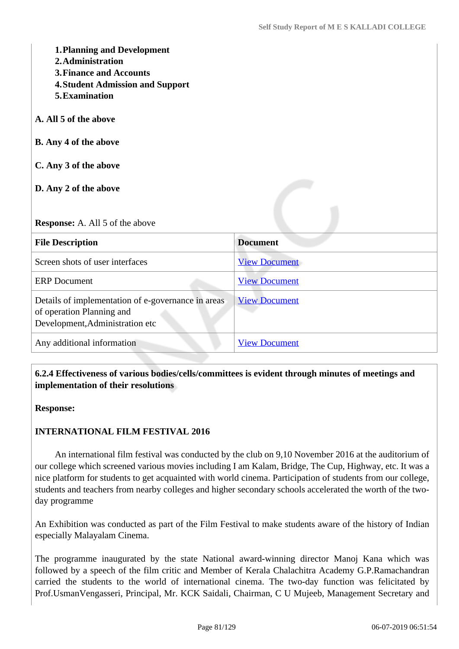| <b>1. Planning and Development</b><br>2. Administration<br><b>3. Finance and Accounts</b><br><b>4. Student Admission and Support</b><br>5. Examination |                      |  |
|--------------------------------------------------------------------------------------------------------------------------------------------------------|----------------------|--|
| A. All 5 of the above                                                                                                                                  |                      |  |
| <b>B.</b> Any 4 of the above                                                                                                                           |                      |  |
| C. Any 3 of the above                                                                                                                                  |                      |  |
| D. Any 2 of the above                                                                                                                                  |                      |  |
| <b>Response:</b> A. All 5 of the above                                                                                                                 |                      |  |
| <b>File Description</b>                                                                                                                                | <b>Document</b>      |  |
| Screen shots of user interfaces                                                                                                                        | <b>View Document</b> |  |
| <b>ERP</b> Document                                                                                                                                    | <b>View Document</b> |  |
| Details of implementation of e-governance in areas<br>of operation Planning and<br>Development, Administration etc                                     | <b>View Document</b> |  |
| Any additional information                                                                                                                             | <b>View Document</b> |  |

# **6.2.4 Effectiveness of various bodies/cells/committees is evident through minutes of meetings and implementation of their resolutions**

**Response:** 

# **INTERNATIONAL FILM FESTIVAL 2016**

 An international film festival was conducted by the club on 9,10 November 2016 at the auditorium of our college which screened various movies including I am Kalam, Bridge, The Cup, Highway, etc. It was a nice platform for students to get acquainted with world cinema. Participation of students from our college, students and teachers from nearby colleges and higher secondary schools accelerated the worth of the twoday programme

An Exhibition was conducted as part of the Film Festival to make students aware of the history of Indian especially Malayalam Cinema.

The programme inaugurated by the state National award-winning director Manoj Kana which was followed by a speech of the film critic and Member of Kerala Chalachitra Academy G.P.Ramachandran carried the students to the world of international cinema. The two-day function was felicitated by Prof.UsmanVengasseri, Principal, Mr. KCK Saidali, Chairman, C U Mujeeb, Management Secretary and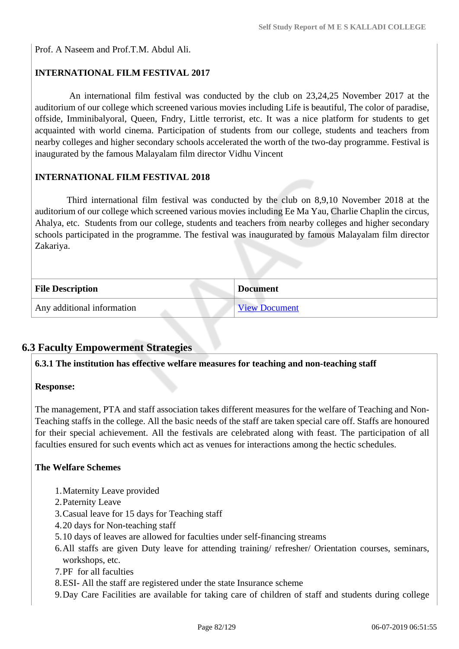Prof. A Naseem and Prof.T.M. Abdul Ali.

# **INTERNATIONAL FILM FESTIVAL 2017**

An international film festival was conducted by the club on 23,24,25 November 2017 at the auditorium of our college which screened various movies including Life is beautiful, The color of paradise, offside, Imminibalyoral, Queen, Fndry, Little terrorist, etc. It was a nice platform for students to get acquainted with world cinema. Participation of students from our college, students and teachers from nearby colleges and higher secondary schools accelerated the worth of the two-day programme. Festival is inaugurated by the famous Malayalam film director Vidhu Vincent

# **INTERNATIONAL FILM FESTIVAL 2018**

Third international film festival was conducted by the club on 8,9,10 November 2018 at the auditorium of our college which screened various movies including Ee Ma Yau, Charlie Chaplin the circus, Ahalya, etc. Students from our college, students and teachers from nearby colleges and higher secondary schools participated in the programme. The festival was inaugurated by famous Malayalam film director Zakariya.

| <b>File Description</b>    | <b>Document</b>      |
|----------------------------|----------------------|
| Any additional information | <b>View Document</b> |

# **6.3 Faculty Empowerment Strategies**

**6.3.1 The institution has effective welfare measures for teaching and non-teaching staff**

#### **Response:**

The management, PTA and staff association takes different measures for the welfare of Teaching and Non-Teaching staffs in the college. All the basic needs of the staff are taken special care off. Staffs are honoured for their special achievement. All the festivals are celebrated along with feast. The participation of all faculties ensured for such events which act as venues for interactions among the hectic schedules.

# **The Welfare Schemes**

- 1.Maternity Leave provided
- 2.Paternity Leave
- 3.Casual leave for 15 days for Teaching staff
- 4.20 days for Non-teaching staff
- 5.10 days of leaves are allowed for faculties under self-financing streams
- 6.All staffs are given Duty leave for attending training/ refresher/ Orientation courses, seminars, workshops, etc.
- 7.PF for all faculties
- 8.ESI- All the staff are registered under the state Insurance scheme
- 9.Day Care Facilities are available for taking care of children of staff and students during college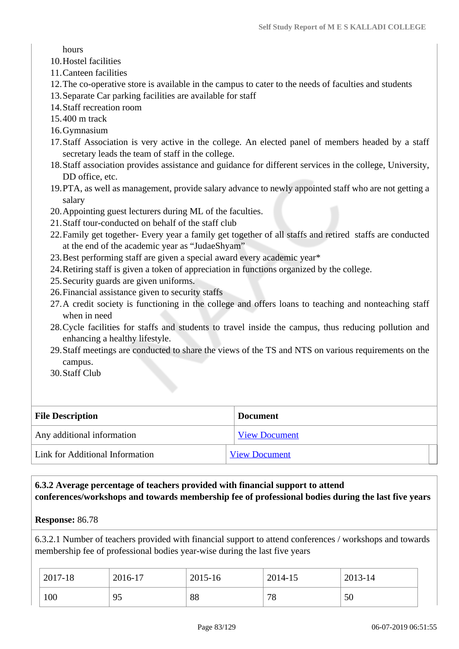hours

- 10.Hostel facilities
- 11.Canteen facilities
- 12.The co-operative store is available in the campus to cater to the needs of faculties and students
- 13.Separate Car parking facilities are available for staff
- 14.Staff recreation room
- 15.400 m track
- 16.Gymnasium
- 17.Staff Association is very active in the college. An elected panel of members headed by a staff secretary leads the team of staff in the college.
- 18.Staff association provides assistance and guidance for different services in the college, University, DD office, etc.
- 19.PTA, as well as management, provide salary advance to newly appointed staff who are not getting a salary
- 20.Appointing guest lecturers during ML of the faculties.
- 21.Staff tour-conducted on behalf of the staff club
- 22.Family get together- Every year a family get together of all staffs and retired staffs are conducted at the end of the academic year as "JudaeShyam"
- 23.Best performing staff are given a special award every academic year\*
- 24.Retiring staff is given a token of appreciation in functions organized by the college.
- 25.Security guards are given uniforms.
- 26.Financial assistance given to security staffs
- 27.A credit society is functioning in the college and offers loans to teaching and nonteaching staff when in need
- 28.Cycle facilities for staffs and students to travel inside the campus, thus reducing pollution and enhancing a healthy lifestyle.
- 29.Staff meetings are conducted to share the views of the TS and NTS on various requirements on the campus.
- 30.Staff Club

| <b>File Description</b>         | <b>Document</b>      |
|---------------------------------|----------------------|
| Any additional information      | <b>View Document</b> |
| Link for Additional Information | <b>View Document</b> |

# **6.3.2 Average percentage of teachers provided with financial support to attend conferences/workshops and towards membership fee of professional bodies during the last five years**

#### **Response:** 86.78

6.3.2.1 Number of teachers provided with financial support to attend conferences / workshops and towards membership fee of professional bodies year-wise during the last five years

| 2017-18 | 2016-17 | 2015-16 | 2014-15 | 2013-14 |
|---------|---------|---------|---------|---------|
| 100     | 95      | 88      | 78      | 50      |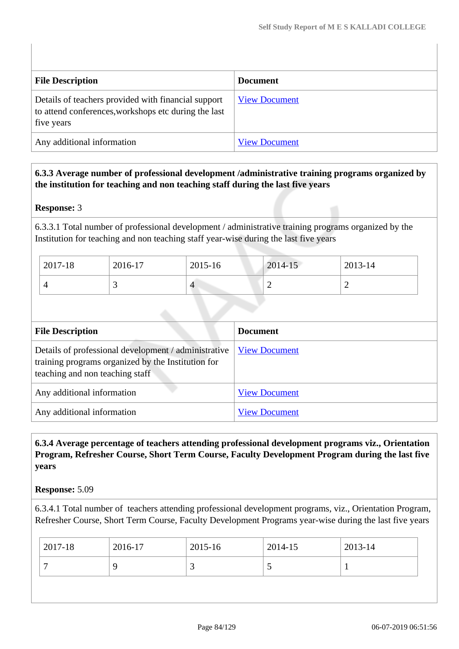| <b>File Description</b>                                                                                                   | <b>Document</b>      |
|---------------------------------------------------------------------------------------------------------------------------|----------------------|
| Details of teachers provided with financial support<br>to attend conferences, workshops etc during the last<br>five years | <b>View Document</b> |
| Any additional information                                                                                                | <b>View Document</b> |

# **6.3.3 Average number of professional development /administrative training programs organized by the institution for teaching and non teaching staff during the last five years**

# **Response:** 3

6.3.3.1 Total number of professional development / administrative training programs organized by the Institution for teaching and non teaching staff year-wise during the last five years

| 2017-18 | 2016-17  | 2015-16 | 2014-15 | 2013-14 |
|---------|----------|---------|---------|---------|
|         | <u>ب</u> | 4       | ∽       | -       |

| <b>File Description</b>                                                                                                                       | <b>Document</b>      |
|-----------------------------------------------------------------------------------------------------------------------------------------------|----------------------|
| Details of professional development / administrative<br>training programs organized by the Institution for<br>teaching and non teaching staff | <b>View Document</b> |
| Any additional information                                                                                                                    | <b>View Document</b> |
| Any additional information                                                                                                                    | <b>View Document</b> |

# **6.3.4 Average percentage of teachers attending professional development programs viz., Orientation Program, Refresher Course, Short Term Course, Faculty Development Program during the last five years**

# **Response:** 5.09

6.3.4.1 Total number of teachers attending professional development programs, viz., Orientation Program, Refresher Course, Short Term Course, Faculty Development Programs year-wise during the last five years

| 2017-18 | 2016-17 | 2015-16 | 2014-15  | 2013-14 |
|---------|---------|---------|----------|---------|
|         |         |         | $\sim$ . |         |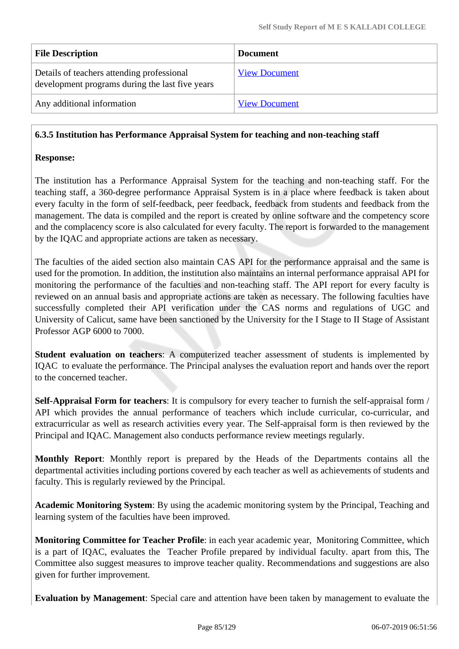| <b>File Description</b>                                                                       | <b>Document</b>      |
|-----------------------------------------------------------------------------------------------|----------------------|
| Details of teachers attending professional<br>development programs during the last five years | <b>View Document</b> |
| Any additional information                                                                    | <b>View Document</b> |

# **6.3.5 Institution has Performance Appraisal System for teaching and non-teaching staff**

### **Response:**

The institution has a Performance Appraisal System for the teaching and non-teaching staff. For the teaching staff, a 360-degree performance Appraisal System is in a place where feedback is taken about every faculty in the form of self-feedback, peer feedback, feedback from students and feedback from the management. The data is compiled and the report is created by online software and the competency score and the complacency score is also calculated for every faculty. The report is forwarded to the management by the IQAC and appropriate actions are taken as necessary.

The faculties of the aided section also maintain CAS API for the performance appraisal and the same is used for the promotion. In addition, the institution also maintains an internal performance appraisal API for monitoring the performance of the faculties and non-teaching staff. The API report for every faculty is reviewed on an annual basis and appropriate actions are taken as necessary. The following faculties have successfully completed their API verification under the CAS norms and regulations of UGC and University of Calicut, same have been sanctioned by the University for the I Stage to II Stage of Assistant Professor AGP 6000 to 7000.

**Student evaluation on teachers**: A computerized teacher assessment of students is implemented by IQAC to evaluate the performance. The Principal analyses the evaluation report and hands over the report to the concerned teacher.

**Self-Appraisal Form for teachers**: It is compulsory for every teacher to furnish the self-appraisal form / API which provides the annual performance of teachers which include curricular, co-curricular, and extracurricular as well as research activities every year. The Self-appraisal form is then reviewed by the Principal and IQAC. Management also conducts performance review meetings regularly.

**Monthly Report**: Monthly report is prepared by the Heads of the Departments contains all the departmental activities including portions covered by each teacher as well as achievements of students and faculty. This is regularly reviewed by the Principal.

**Academic Monitoring System**: By using the academic monitoring system by the Principal, Teaching and learning system of the faculties have been improved.

**Monitoring Committee for Teacher Profile**: in each year academic year, Monitoring Committee, which is a part of IQAC, evaluates the Teacher Profile prepared by individual faculty. apart from this, The Committee also suggest measures to improve teacher quality. Recommendations and suggestions are also given for further improvement.

**Evaluation by Management**: Special care and attention have been taken by management to evaluate the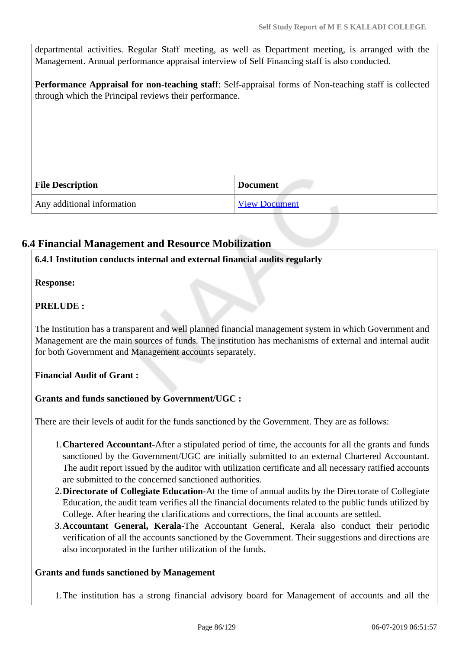departmental activities. Regular Staff meeting, as well as Department meeting, is arranged with the Management. Annual performance appraisal interview of Self Financing staff is also conducted.

**Performance Appraisal for non-teaching staf**f: Self-appraisal forms of Non-teaching staff is collected through which the Principal reviews their performance.

| <b>File Description</b>    | <b>Document</b>      |
|----------------------------|----------------------|
| Any additional information | <b>View Document</b> |

# **6.4 Financial Management and Resource Mobilization**

# **6.4.1 Institution conducts internal and external financial audits regularly**

**Response:** 

# **PRELUDE :**

The Institution has a transparent and well planned financial management system in which Government and Management are the main sources of funds. The institution has mechanisms of external and internal audit for both Government and Management accounts separately.

# **Financial Audit of Grant :**

# **Grants and funds sanctioned by Government/UGC :**

There are their levels of audit for the funds sanctioned by the Government. They are as follows:

- 1.**Chartered Accountant-**After a stipulated period of time, the accounts for all the grants and funds sanctioned by the Government/UGC are initially submitted to an external Chartered Accountant. The audit report issued by the auditor with utilization certificate and all necessary ratified accounts are submitted to the concerned sanctioned authorities.
- 2.**Directorate of Collegiate Education**-At the time of annual audits by the Directorate of Collegiate Education, the audit team verifies all the financial documents related to the public funds utilized by College. After hearing the clarifications and corrections, the final accounts are settled.
- 3.**Accountant General, Kerala**-The Accountant General, Kerala also conduct their periodic verification of all the accounts sanctioned by the Government. Their suggestions and directions are also incorporated in the further utilization of the funds.

#### **Grants and funds sanctioned by Management**

1.The institution has a strong financial advisory board for Management of accounts and all the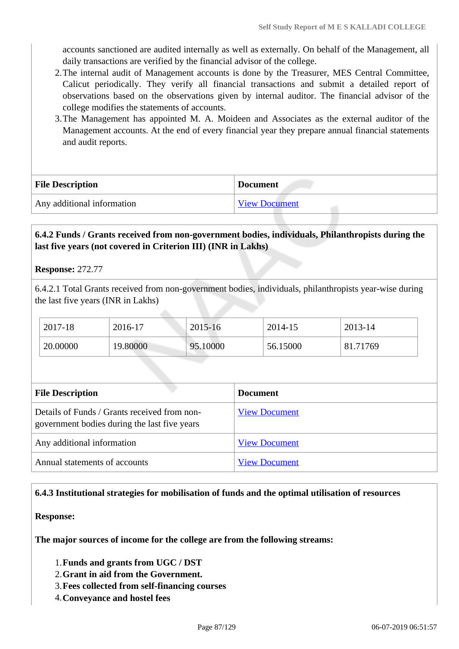accounts sanctioned are audited internally as well as externally. On behalf of the Management, all daily transactions are verified by the financial advisor of the college.

- 2.The internal audit of Management accounts is done by the Treasurer, MES Central Committee, Calicut periodically. They verify all financial transactions and submit a detailed report of observations based on the observations given by internal auditor. The financial advisor of the college modifies the statements of accounts.
- 3.The Management has appointed M. A. Moideen and Associates as the external auditor of the Management accounts. At the end of every financial year they prepare annual financial statements and audit reports.

| <b>File Description</b>    | <b>Document</b> |
|----------------------------|-----------------|
| Any additional information | View Document   |

# **6.4.2 Funds / Grants received from non-government bodies, individuals, Philanthropists during the last five years (not covered in Criterion III) (INR in Lakhs)**

#### **Response:** 272.77

6.4.2.1 Total Grants received from non-government bodies, individuals, philanthropists year-wise during the last five years (INR in Lakhs)

| 2017-18  | 2016-17  | $2015 - 16$ | 2014-15  | $2013 - 14$ |
|----------|----------|-------------|----------|-------------|
| 20.00000 | 19.80000 | 95.10000    | 56.15000 | 81.71769    |

| <b>File Description</b>                                                                      | <b>Document</b>      |
|----------------------------------------------------------------------------------------------|----------------------|
| Details of Funds / Grants received from non-<br>government bodies during the last five years | <b>View Document</b> |
| Any additional information                                                                   | <b>View Document</b> |
| Annual statements of accounts                                                                | <b>View Document</b> |

# **6.4.3 Institutional strategies for mobilisation of funds and the optimal utilisation of resources**

#### **Response:**

**The major sources of income for the college are from the following streams:**

1.**Funds and grants from UGC / DST**

- 2.**Grant in aid from the Government.**
- 3.**Fees collected from self-financing courses**
- 4.**Conveyance and hostel fees**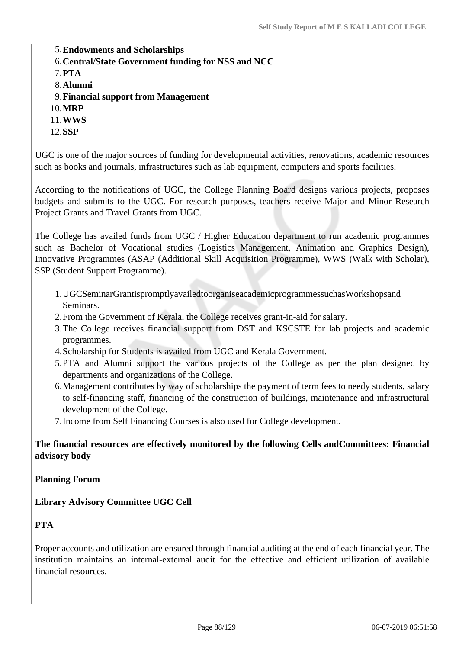- 5.**Endowments and Scholarships**
- 6.**Central/State Government funding for NSS and NCC**
- 7.**PTA**
- 8.**Alumni**
- 9.**Financial support from Management**
- 10.**MRP**
- 11.**WWS**
- 12.**SSP**

UGC is one of the major sources of funding for developmental activities, renovations, academic resources such as books and journals, infrastructures such as lab equipment, computers and sports facilities.

According to the notifications of UGC, the College Planning Board designs various projects, proposes budgets and submits to the UGC. For research purposes, teachers receive Major and Minor Research Project Grants and Travel Grants from UGC.

The College has availed funds from UGC / Higher Education department to run academic programmes such as Bachelor of Vocational studies (Logistics Management, Animation and Graphics Design), Innovative Programmes (ASAP (Additional Skill Acquisition Programme), WWS (Walk with Scholar), SSP (Student Support Programme).

- 1.UGCSeminarGrantispromptlyavailedtoorganiseacademicprogrammessuchasWorkshopsand Seminars.
- 2.From the Government of Kerala, the College receives grant-in-aid for salary.
- 3.The College receives financial support from DST and KSCSTE for lab projects and academic programmes.
- 4.Scholarship for Students is availed from UGC and Kerala Government.
- 5.PTA and Alumni support the various projects of the College as per the plan designed by departments and organizations of the College.
- 6.Management contributes by way of scholarships the payment of term fees to needy students, salary to self-financing staff, financing of the construction of buildings, maintenance and infrastructural development of the College.
- 7.Income from Self Financing Courses is also used for College development.

**The financial resources are effectively monitored by the following Cells andCommittees: Financial advisory body**

**Planning Forum**

**Library Advisory Committee UGC Cell**

# **PTA**

Proper accounts and utilization are ensured through financial auditing at the end of each financial year. The institution maintains an internal-external audit for the effective and efficient utilization of available financial resources.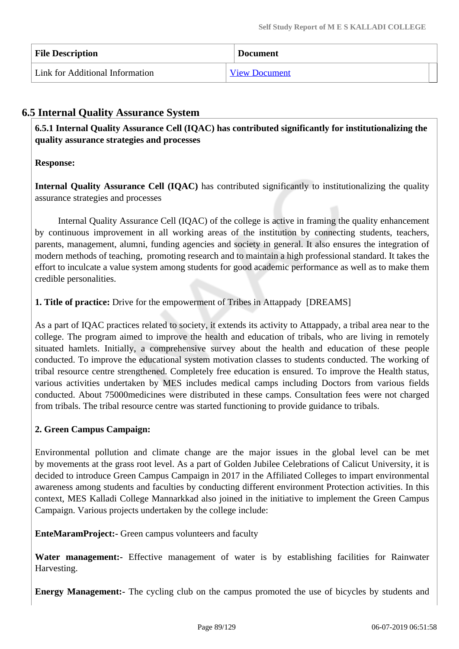| <b>File Description</b>         | <b>Document</b>      |
|---------------------------------|----------------------|
| Link for Additional Information | <b>View Document</b> |

# **6.5 Internal Quality Assurance System**

 **6.5.1 Internal Quality Assurance Cell (IQAC) has contributed significantly for institutionalizing the quality assurance strategies and processes**

# **Response:**

**Internal Quality Assurance Cell (IQAC)** has contributed significantly to institutionalizing the quality assurance strategies and processes

 Internal Quality Assurance Cell (IQAC) of the college is active in framing the quality enhancement by continuous improvement in all working areas of the institution by connecting students, teachers, parents, management, alumni, funding agencies and society in general. It also ensures the integration of modern methods of teaching, promoting research and to maintain a high professional standard. It takes the effort to inculcate a value system among students for good academic performance as well as to make them credible personalities.

# **1. Title of practice:** Drive for the empowerment of Tribes in Attappady [DREAMS]

As a part of IQAC practices related to society, it extends its activity to Attappady, a tribal area near to the college. The program aimed to improve the health and education of tribals, who are living in remotely situated hamlets. Initially, a comprehensive survey about the health and education of these people conducted. To improve the educational system motivation classes to students conducted. The working of tribal resource centre strengthened. Completely free education is ensured. To improve the Health status, various activities undertaken by MES includes medical camps including Doctors from various fields conducted. About 75000medicines were distributed in these camps. Consultation fees were not charged from tribals. The tribal resource centre was started functioning to provide guidance to tribals.

# **2. Green Campus Campaign:**

Environmental pollution and climate change are the major issues in the global level can be met by movements at the grass root level. As a part of Golden Jubilee Celebrations of Calicut University, it is decided to introduce Green Campus Campaign in 2017 in the Affiliated Colleges to impart environmental awareness among students and faculties by conducting different environment Protection activities. In this context, MES Kalladi College Mannarkkad also joined in the initiative to implement the Green Campus Campaign. Various projects undertaken by the college include:

**EnteMaramProject:-** Green campus volunteers and faculty

Water management:- Effective management of water is by establishing facilities for Rainwater Harvesting.

**Energy Management:-** The cycling club on the campus promoted the use of bicycles by students and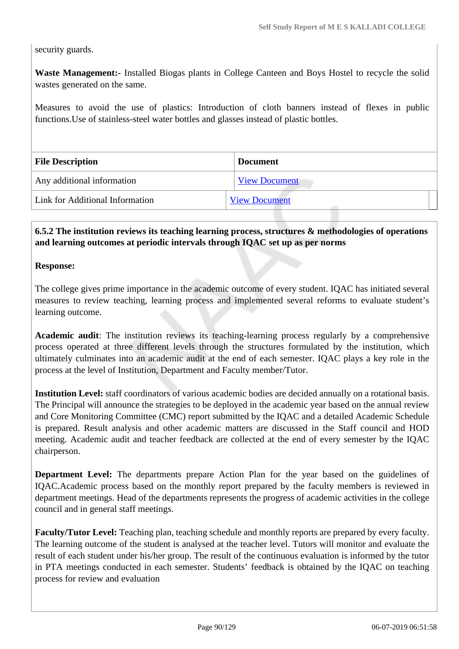security guards.

**Waste Management:-** Installed Biogas plants in College Canteen and Boys Hostel to recycle the solid wastes generated on the same.

Measures to avoid the use of plastics: Introduction of cloth banners instead of flexes in public functions.Use of stainless-steel water bottles and glasses instead of plastic bottles.

| <b>File Description</b>         | <b>Document</b>      |
|---------------------------------|----------------------|
| Any additional information      | <b>View Document</b> |
| Link for Additional Information | <b>View Document</b> |

# **6.5.2 The institution reviews its teaching learning process, structures & methodologies of operations and learning outcomes at periodic intervals through IQAC set up as per norms**

#### **Response:**

The college gives prime importance in the academic outcome of every student. IQAC has initiated several measures to review teaching, learning process and implemented several reforms to evaluate student's learning outcome.

**Academic audit**: The institution reviews its teaching-learning process regularly by a comprehensive process operated at three different levels through the structures formulated by the institution, which ultimately culminates into an academic audit at the end of each semester. IQAC plays a key role in the process at the level of Institution, Department and Faculty member/Tutor.

**Institution Level:** staff coordinators of various academic bodies are decided annually on a rotational basis. The Principal will announce the strategies to be deployed in the academic year based on the annual review and Core Monitoring Committee (CMC) report submitted by the IQAC and a detailed Academic Schedule is prepared. Result analysis and other academic matters are discussed in the Staff council and HOD meeting. Academic audit and teacher feedback are collected at the end of every semester by the IQAC chairperson.

**Department Level:** The departments prepare Action Plan for the year based on the guidelines of IQAC.Academic process based on the monthly report prepared by the faculty members is reviewed in department meetings. Head of the departments represents the progress of academic activities in the college council and in general staff meetings.

**Faculty/Tutor Level:** Teaching plan, teaching schedule and monthly reports are prepared by every faculty. The learning outcome of the student is analysed at the teacher level. Tutors will monitor and evaluate the result of each student under his/her group. The result of the continuous evaluation is informed by the tutor in PTA meetings conducted in each semester. Students' feedback is obtained by the IQAC on teaching process for review and evaluation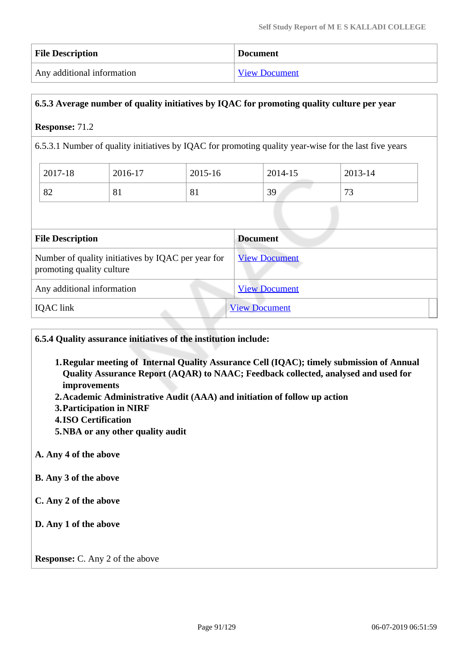| <b>File Description</b>    | <b>Document</b>      |
|----------------------------|----------------------|
| Any additional information | <b>View Document</b> |

# **6.5.3 Average number of quality initiatives by IQAC for promoting quality culture per year**

#### **Response:** 71.2

6.5.3.1 Number of quality initiatives by IQAC for promoting quality year-wise for the last five years

| 2017-18 | 2016-17 | 2015-16 | 2014-15 | 2013-14             |
|---------|---------|---------|---------|---------------------|
| 82      | 01      | 81      | 39      | $\mathbf{z}$<br>ر ر |

| <b>File Description</b>                                                         | <b>Document</b>      |
|---------------------------------------------------------------------------------|----------------------|
| Number of quality initiatives by IQAC per year for<br>promoting quality culture | <b>View Document</b> |
| Any additional information                                                      | <b>View Document</b> |
| <b>IQAC</b> link                                                                | <b>View Document</b> |

**6.5.4 Quality assurance initiatives of the institution include:**

- **1.Regular meeting of Internal Quality Assurance Cell (IQAC); timely submission of Annual Quality Assurance Report (AQAR) to NAAC; Feedback collected, analysed and used for improvements**
- **2.Academic Administrative Audit (AAA) and initiation of follow up action**
- **3.Participation in NIRF**
- **4.ISO Certification**
- **5.NBA or any other quality audit**

#### **A. Any 4 of the above**

- **B. Any 3 of the above**
- **C. Any 2 of the above**
- **D. Any 1 of the above**

**Response:** C. Any 2 of the above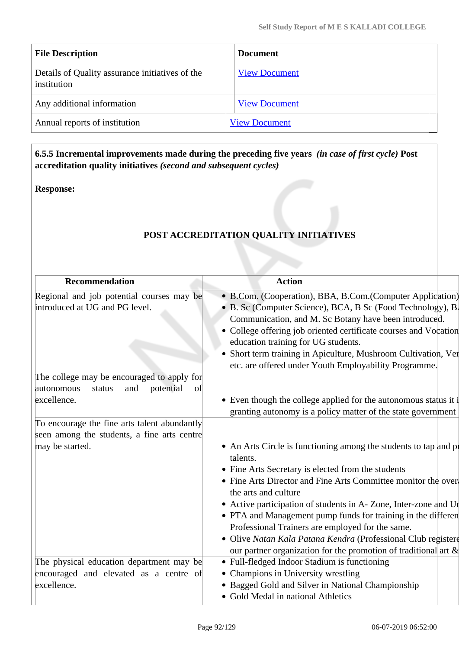| <b>File Description</b>                                        | <b>Document</b>      |
|----------------------------------------------------------------|----------------------|
| Details of Quality assurance initiatives of the<br>institution | <b>View Document</b> |
| Any additional information                                     | <b>View Document</b> |
| Annual reports of institution                                  | <b>View Document</b> |

 **6.5.5 Incremental improvements made during the preceding five years** *(in case of first cycle)* **Post accreditation quality initiatives** *(second and subsequent cycles)*

#### **Response:**

# **POST ACCREDITATION QUALITY INITIATIVES**

| <b>Recommendation</b>                                                       | <b>Action</b>                                                                                                                                                                                                                                                                                                                                                                                                                                                                                                                                            |
|-----------------------------------------------------------------------------|----------------------------------------------------------------------------------------------------------------------------------------------------------------------------------------------------------------------------------------------------------------------------------------------------------------------------------------------------------------------------------------------------------------------------------------------------------------------------------------------------------------------------------------------------------|
| Regional and job potential courses may be<br>introduced at UG and PG level. | • B.Com. (Cooperation), BBA, B.Com. (Computer Application)<br>• B. Sc (Computer Science), BCA, B Sc (Food Technology), B.<br>Communication, and M. Sc Botany have been introduced.<br>• College offering job oriented certificate courses and Vocation<br>education training for UG students.<br>• Short term training in Apiculture, Mushroom Cultivation, Ver<br>etc. are offered under Youth Employability Programme.                                                                                                                                 |
| The college may be encouraged to apply for                                  |                                                                                                                                                                                                                                                                                                                                                                                                                                                                                                                                                          |
| potential<br>autonomous<br>and<br>status<br>of<br>excellence.               | • Even though the college applied for the autonomous status it i<br>granting autonomy is a policy matter of the state government                                                                                                                                                                                                                                                                                                                                                                                                                         |
| To encourage the fine arts talent abundantly                                |                                                                                                                                                                                                                                                                                                                                                                                                                                                                                                                                                          |
| seen among the students, a fine arts centre                                 |                                                                                                                                                                                                                                                                                                                                                                                                                                                                                                                                                          |
| may be started.                                                             | • An Arts Circle is functioning among the students to tap and pr<br>talents.<br>• Fine Arts Secretary is elected from the students<br>• Fine Arts Director and Fine Arts Committee monitor the over-<br>the arts and culture<br>• Active participation of students in A- Zone, Inter-zone and Ur<br>• PTA and Management pump funds for training in the differen<br>Professional Trainers are employed for the same.<br>· Olive Natan Kala Patana Kendra (Professional Club registere<br>our partner organization for the promotion of traditional art & |
| The physical education department may be                                    | • Full-fledged Indoor Stadium is functioning                                                                                                                                                                                                                                                                                                                                                                                                                                                                                                             |
| encouraged and elevated as a centre of                                      | • Champions in University wrestling                                                                                                                                                                                                                                                                                                                                                                                                                                                                                                                      |
| excellence.                                                                 | • Bagged Gold and Silver in National Championship<br>• Gold Medal in national Athletics                                                                                                                                                                                                                                                                                                                                                                                                                                                                  |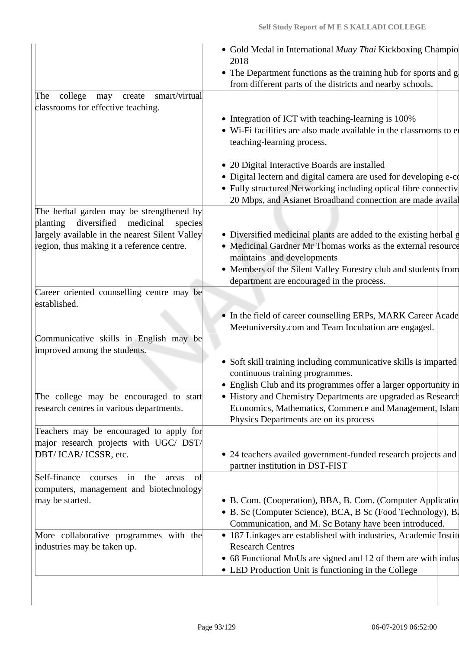|                                                                                                                | • Gold Medal in International Muay Thai Kickboxing Champio<br>2018<br>• The Department functions as the training hub for sports and $g$<br>from different parts of the districts and nearby schools.                                                                           |
|----------------------------------------------------------------------------------------------------------------|--------------------------------------------------------------------------------------------------------------------------------------------------------------------------------------------------------------------------------------------------------------------------------|
| college<br>smart/virtual<br>The<br>may<br>create<br>classrooms for effective teaching.                         | • Integration of ICT with teaching-learning is 100%<br>• Wi-Fi facilities are also made available in the classrooms to el<br>teaching-learning process.<br>• 20 Digital Interactive Boards are installed                                                                       |
|                                                                                                                | · Digital lectern and digital camera are used for developing e-co<br>• Fully structured Networking including optical fibre connectiv<br>20 Mbps, and Asianet Broadband connection are made availal                                                                             |
| The herbal garden may be strengthened by<br>planting<br>diversified<br>medicinal<br>species                    |                                                                                                                                                                                                                                                                                |
| largely available in the nearest Silent Valley<br>region, thus making it a reference centre.                   | • Diversified medicinal plants are added to the existing herbal g<br>• Medicinal Gardner Mr Thomas works as the external resource<br>maintains and developments<br>• Members of the Silent Valley Forestry club and students from<br>department are encouraged in the process. |
| Career oriented counselling centre may be<br>established.                                                      | • In the field of career counselling ERPs, MARK Career Acade<br>Meetuniversity.com and Team Incubation are engaged.                                                                                                                                                            |
| Communicative skills in English may be<br>improved among the students.                                         |                                                                                                                                                                                                                                                                                |
|                                                                                                                | • Soft skill training including communicative skills is imparted<br>continuous training programmes.<br>• English Club and its programmes offer a larger opportunity in                                                                                                         |
| The college may be encouraged to start<br>research centres in various departments.                             | • History and Chemistry Departments are upgraded as Research<br>Economics, Mathematics, Commerce and Management, Islam<br>Physics Departments are on its process                                                                                                               |
| Teachers may be encouraged to apply for<br>major research projects with UGC/ DST/<br>DBT/ICAR/ICSSR, etc.      | • 24 teachers availed government-funded research projects and<br>partner institution in DST-FIST                                                                                                                                                                               |
| Self-finance<br>the<br>courses in<br>areas<br>of<br>computers, management and biotechnology<br>may be started. | • B. Com. (Cooperation), BBA, B. Com. (Computer Applicatio<br>• B. Sc (Computer Science), BCA, B Sc (Food Technology), B.<br>Communication, and M. Sc Botany have been introduced.                                                                                             |
| More collaborative programmes with the<br>industries may be taken up.                                          | • 187 Linkages are established with industries, Academic Institutional<br><b>Research Centres</b><br>• 68 Functional MoUs are signed and 12 of them are with indus<br>• LED Production Unit is functioning in the College                                                      |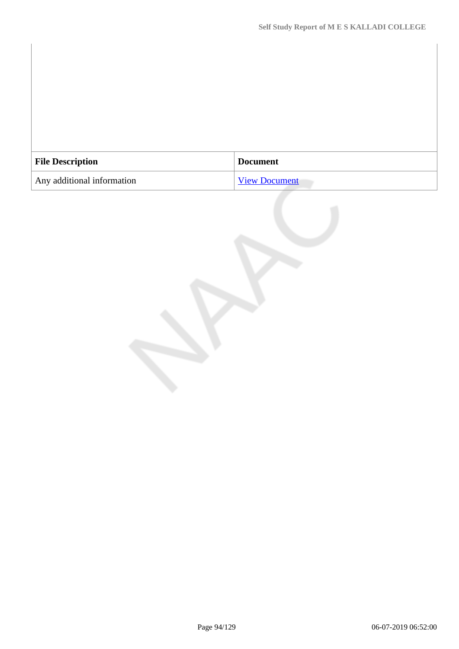| <b>File Description</b>    | <b>Document</b>      |
|----------------------------|----------------------|
| Any additional information | <b>View Document</b> |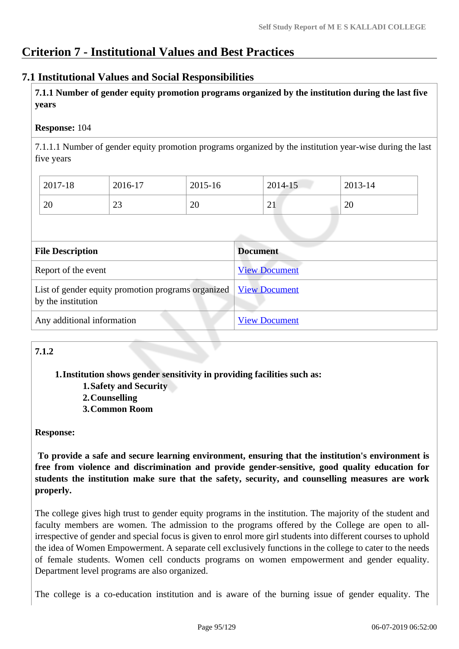# **Criterion 7 - Institutional Values and Best Practices**

# **7.1 Institutional Values and Social Responsibilities**

 **7.1.1 Number of gender equity promotion programs organized by the institution during the last five years** 

# **Response:** 104

7.1.1.1 Number of gender equity promotion programs organized by the institution year-wise during the last five years

| 2017-18 | 2016-17      | 2015-16 | 2014-15                 | 2013-14 |
|---------|--------------|---------|-------------------------|---------|
| 20      | $\sim$<br>رے | 20      | $^{\sim}$ 1<br>$\sim$ 1 | 20      |

| <b>File Description</b>                                                  | <b>Document</b>      |
|--------------------------------------------------------------------------|----------------------|
| Report of the event                                                      | <b>View Document</b> |
| List of gender equity promotion programs organized<br>by the institution | <b>View Document</b> |
| Any additional information                                               | <b>View Document</b> |

# **7.1.2**

**1.Institution shows gender sensitivity in providing facilities such as:**

- **1.Safety and Security**
- **2.Counselling**
- **3.Common Room**

# **Response:**

 **To provide a safe and secure learning environment, ensuring that the institution's environment is free from violence and discrimination and provide gender-sensitive, good quality education for students the institution make sure that the safety, security, and counselling measures are work properly.**

The college gives high trust to gender equity programs in the institution. The majority of the student and faculty members are women. The admission to the programs offered by the College are open to allirrespective of gender and special focus is given to enrol more girl students into different courses to uphold the idea of Women Empowerment. A separate cell exclusively functions in the college to cater to the needs of female students. Women cell conducts programs on women empowerment and gender equality. Department level programs are also organized.

The college is a co-education institution and is aware of the burning issue of gender equality. The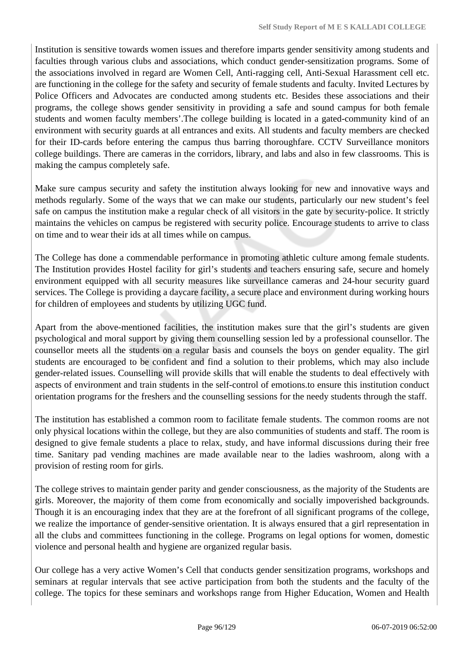Institution is sensitive towards women issues and therefore imparts gender sensitivity among students and faculties through various clubs and associations, which conduct gender-sensitization programs. Some of the associations involved in regard are Women Cell, Anti-ragging cell, Anti-Sexual Harassment cell etc. are functioning in the college for the safety and security of female students and faculty. Invited Lectures by Police Officers and Advocates are conducted among students etc. Besides these associations and their programs, the college shows gender sensitivity in providing a safe and sound campus for both female students and women faculty members'.The college building is located in a gated-community kind of an environment with security guards at all entrances and exits. All students and faculty members are checked for their ID-cards before entering the campus thus barring thoroughfare. CCTV Surveillance monitors college buildings. There are cameras in the corridors, library, and labs and also in few classrooms. This is making the campus completely safe.

Make sure campus security and safety the institution always looking for new and innovative ways and methods regularly. Some of the ways that we can make our students, particularly our new student's feel safe on campus the institution make a regular check of all visitors in the gate by security-police. It strictly maintains the vehicles on campus be registered with security police. Encourage students to arrive to class on time and to wear their ids at all times while on campus.

The College has done a commendable performance in promoting athletic culture among female students. The Institution provides Hostel facility for girl's students and teachers ensuring safe, secure and homely environment equipped with all security measures like surveillance cameras and 24-hour security guard services. The College is providing a daycare facility, a secure place and environment during working hours for children of employees and students by utilizing UGC fund.

Apart from the above-mentioned facilities, the institution makes sure that the girl's students are given psychological and moral support by giving them counselling session led by a professional counsellor. The counsellor meets all the students on a regular basis and counsels the boys on gender equality. The girl students are encouraged to be confident and find a solution to their problems, which may also include gender-related issues. Counselling will provide skills that will enable the students to deal effectively with aspects of environment and train students in the self-control of emotions.to ensure this institution conduct orientation programs for the freshers and the counselling sessions for the needy students through the staff.

The institution has established a common room to facilitate female students. The common rooms are not only physical locations within the college, but they are also communities of students and staff. The room is designed to give female students a place to relax, study, and have informal discussions during their free time. Sanitary pad vending machines are made available near to the ladies washroom, along with a provision of resting room for girls.

The college strives to maintain gender parity and gender consciousness, as the majority of the Students are girls. Moreover, the majority of them come from economically and socially impoverished backgrounds. Though it is an encouraging index that they are at the forefront of all significant programs of the college, we realize the importance of gender-sensitive orientation. It is always ensured that a girl representation in all the clubs and committees functioning in the college. Programs on legal options for women, domestic violence and personal health and hygiene are organized regular basis.

Our college has a very active Women's Cell that conducts gender sensitization programs, workshops and seminars at regular intervals that see active participation from both the students and the faculty of the college. The topics for these seminars and workshops range from Higher Education, Women and Health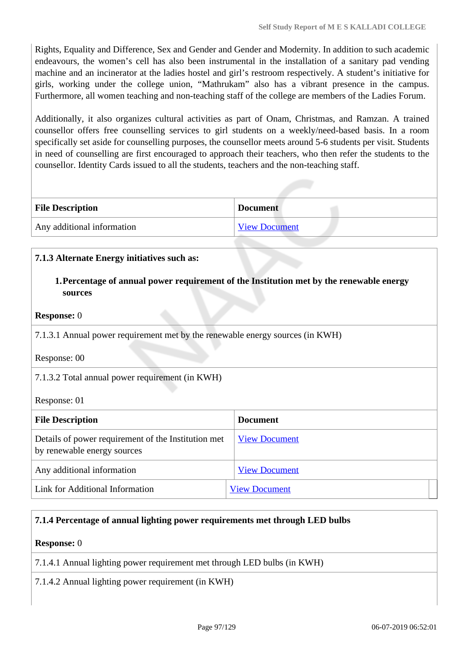Rights, Equality and Difference, Sex and Gender and Gender and Modernity. In addition to such academic endeavours, the women's cell has also been instrumental in the installation of a sanitary pad vending machine and an incinerator at the ladies hostel and girl's restroom respectively. A student's initiative for girls, working under the college union, "Mathrukam" also has a vibrant presence in the campus. Furthermore, all women teaching and non-teaching staff of the college are members of the Ladies Forum.

Additionally, it also organizes cultural activities as part of Onam, Christmas, and Ramzan. A trained counsellor offers free counselling services to girl students on a weekly/need-based basis. In a room specifically set aside for counselling purposes, the counsellor meets around 5-6 students per visit. Students in need of counselling are first encouraged to approach their teachers, who then refer the students to the counsellor. Identity Cards issued to all the students, teachers and the non-teaching staff.

| <b>File Description</b>    | <b>Document</b>      |
|----------------------------|----------------------|
| Any additional information | <b>View Document</b> |

# **7.1.3 Alternate Energy initiatives such as:**

**1.Percentage of annual power requirement of the Institution met by the renewable energy sources**

#### **Response:** 0

7.1.3.1 Annual power requirement met by the renewable energy sources (in KWH)

Response: 00

#### 7.1.3.2 Total annual power requirement (in KWH)

Response: 01

| <b>File Description</b>                                                            | <b>Document</b>      |
|------------------------------------------------------------------------------------|----------------------|
| Details of power requirement of the Institution met<br>by renewable energy sources | <b>View Document</b> |
| Any additional information                                                         | <b>View Document</b> |
| Link for Additional Information                                                    | <b>View Document</b> |

#### **7.1.4 Percentage of annual lighting power requirements met through LED bulbs**

# **Response:** 0

7.1.4.1 Annual lighting power requirement met through LED bulbs (in KWH)

7.1.4.2 Annual lighting power requirement (in KWH)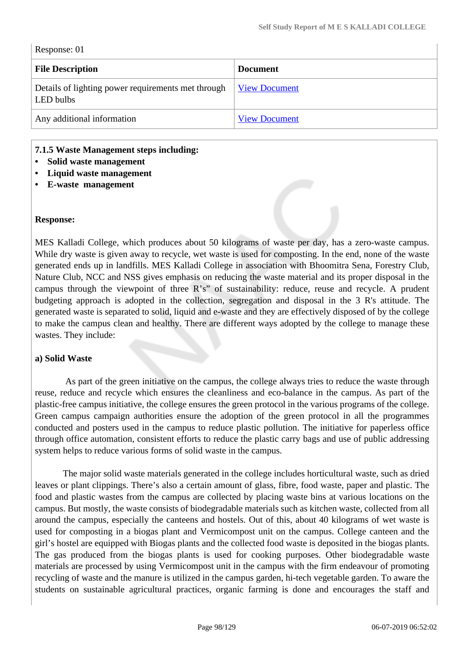| Response: 01 |  |
|--------------|--|
|--------------|--|

| <b>File Description</b>                                         | <b>Document</b>      |
|-----------------------------------------------------------------|----------------------|
| Details of lighting power requirements met through<br>LED bulbs | <b>View Document</b> |
| Any additional information                                      | <b>View Document</b> |

#### **7.1.5 Waste Management steps including:**

- **Solid waste management**
- **Liquid waste management**
- **E-waste management**

#### **Response:**

MES Kalladi College, which produces about 50 kilograms of waste per day, has a zero-waste campus. While dry waste is given away to recycle, wet waste is used for composting. In the end, none of the waste generated ends up in landfills. MES Kalladi College in association with Bhoomitra Sena, Forestry Club, Nature Club, NCC and NSS gives emphasis on reducing the waste material and its proper disposal in the campus through the viewpoint of three R's" of sustainability: reduce, reuse and recycle. A prudent budgeting approach is adopted in the collection, segregation and disposal in the 3 R's attitude. The generated waste is separated to solid, liquid and e-waste and they are effectively disposed of by the college to make the campus clean and healthy. There are different ways adopted by the college to manage these wastes. They include:

#### **a) Solid Waste**

 As part of the green initiative on the campus, the college always tries to reduce the waste through reuse, reduce and recycle which ensures the cleanliness and eco-balance in the campus. As part of the plastic-free campus initiative, the college ensures the green protocol in the various programs of the college. Green campus campaign authorities ensure the adoption of the green protocol in all the programmes conducted and posters used in the campus to reduce plastic pollution. The initiative for paperless office through office automation, consistent efforts to reduce the plastic carry bags and use of public addressing system helps to reduce various forms of solid waste in the campus.

 The major solid waste materials generated in the college includes horticultural waste, such as dried leaves or plant clippings. There's also a certain amount of glass, fibre, food waste, paper and plastic. The food and plastic wastes from the campus are collected by placing waste bins at various locations on the campus. But mostly, the waste consists of biodegradable materials such as kitchen waste, collected from all around the campus, especially the canteens and hostels. Out of this, about 40 kilograms of wet waste is used for composting in a biogas plant and Vermicompost unit on the campus. College canteen and the girl's hostel are equipped with Biogas plants and the collected food waste is deposited in the biogas plants. The gas produced from the biogas plants is used for cooking purposes. Other biodegradable waste materials are processed by using Vermicompost unit in the campus with the firm endeavour of promoting recycling of waste and the manure is utilized in the campus garden, hi-tech vegetable garden. To aware the students on sustainable agricultural practices, organic farming is done and encourages the staff and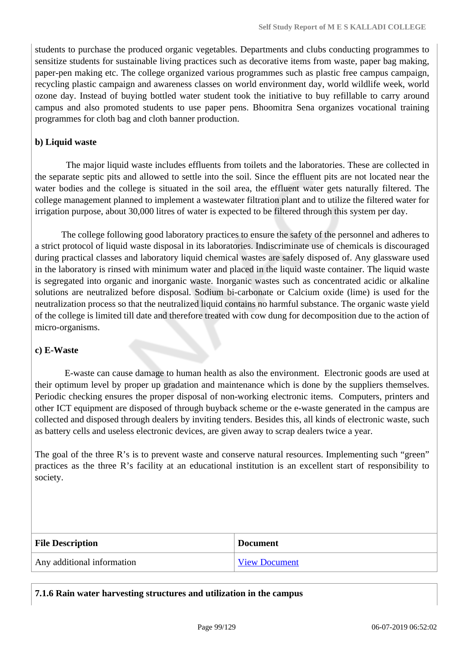students to purchase the produced organic vegetables. Departments and clubs conducting programmes to sensitize students for sustainable living practices such as decorative items from waste, paper bag making, paper-pen making etc. The college organized various programmes such as plastic free campus campaign, recycling plastic campaign and awareness classes on world environment day, world wildlife week, world ozone day. Instead of buying bottled water student took the initiative to buy refillable to carry around campus and also promoted students to use paper pens. Bhoomitra Sena organizes vocational training programmes for cloth bag and cloth banner production.

# **b) Liquid waste**

 The major liquid waste includes effluents from toilets and the laboratories. These are collected in the separate septic pits and allowed to settle into the soil. Since the effluent pits are not located near the water bodies and the college is situated in the soil area, the effluent water gets naturally filtered. The college management planned to implement a wastewater filtration plant and to utilize the filtered water for irrigation purpose, about 30,000 litres of water is expected to be filtered through this system per day.

 The college following good laboratory practices to ensure the safety of the personnel and adheres to a strict protocol of liquid waste disposal in its laboratories. Indiscriminate use of chemicals is discouraged during practical classes and laboratory liquid chemical wastes are safely disposed of. Any glassware used in the laboratory is rinsed with minimum water and placed in the liquid waste container. The liquid waste is segregated into organic and inorganic waste. Inorganic wastes such as concentrated acidic or alkaline solutions are neutralized before disposal. Sodium bi-carbonate or Calcium oxide (lime) is used for the neutralization process so that the neutralized liquid contains no harmful substance. The organic waste yield of the college is limited till date and therefore treated with cow dung for decomposition due to the action of micro-organisms.

#### **c) E-Waste**

 E-waste can cause damage to human health as also the environment. Electronic goods are used at their optimum level by proper up gradation and maintenance which is done by the suppliers themselves. Periodic checking ensures the proper disposal of non-working electronic items. Computers, printers and other ICT equipment are disposed of through buyback scheme or the e-waste generated in the campus are collected and disposed through dealers by inviting tenders. Besides this, all kinds of electronic waste, such as battery cells and useless electronic devices, are given away to scrap dealers twice a year.

The goal of the three R's is to prevent waste and conserve natural resources. Implementing such "green" practices as the three R's facility at an educational institution is an excellent start of responsibility to society.

| <b>File Description</b>    | <b>Document</b>      |
|----------------------------|----------------------|
| Any additional information | <b>View Document</b> |

**7.1.6 Rain water harvesting structures and utilization in the campus**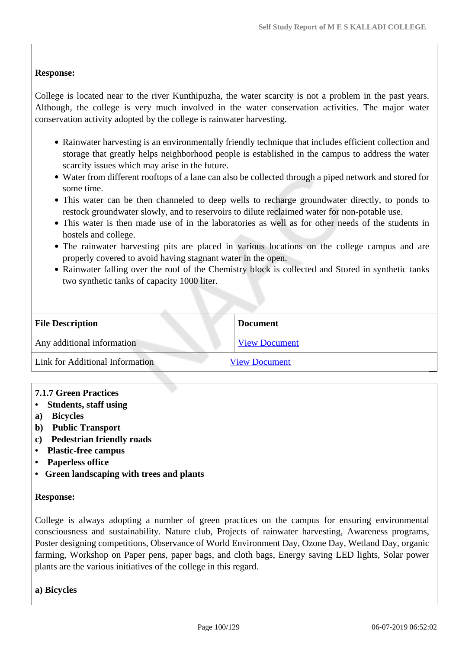# **Response:**

College is located near to the river Kunthipuzha, the water scarcity is not a problem in the past years. Although, the college is very much involved in the water conservation activities. The major water conservation activity adopted by the college is rainwater harvesting.

- Rainwater harvesting is an environmentally friendly technique that includes efficient collection and storage that greatly helps neighborhood people is established in the campus to address the water scarcity issues which may arise in the future.
- Water from different rooftops of a lane can also be collected through a piped network and stored for some time.
- This water can be then channeled to deep wells to recharge groundwater directly, to ponds to restock groundwater slowly, and to reservoirs to dilute reclaimed water for non-potable use.
- This water is then made use of in the laboratories as well as for other needs of the students in hostels and college.
- The rainwater harvesting pits are placed in various locations on the college campus and are properly covered to avoid having stagnant water in the open.
- Rainwater falling over the roof of the Chemistry block is collected and Stored in synthetic tanks two synthetic tanks of capacity 1000 liter.

| <b>File Description</b>         | <b>Document</b>      |  |
|---------------------------------|----------------------|--|
| Any additional information      | <b>View Document</b> |  |
| Link for Additional Information | <b>View Document</b> |  |

- **7.1.7 Green Practices**
- **Students, staff using**
- **a) Bicycles**
- **b) Public Transport**
- **c) Pedestrian friendly roads**
- **Plastic-free campus**
- **Paperless office**
- **Green landscaping with trees and plants**

#### **Response:**

College is always adopting a number of green practices on the campus for ensuring environmental consciousness and sustainability. Nature club, Projects of rainwater harvesting, Awareness programs, Poster designing competitions, Observance of World Environment Day, Ozone Day, Wetland Day, organic farming, Workshop on Paper pens, paper bags, and cloth bags, Energy saving LED lights, Solar power plants are the various initiatives of the college in this regard.

**a) Bicycles**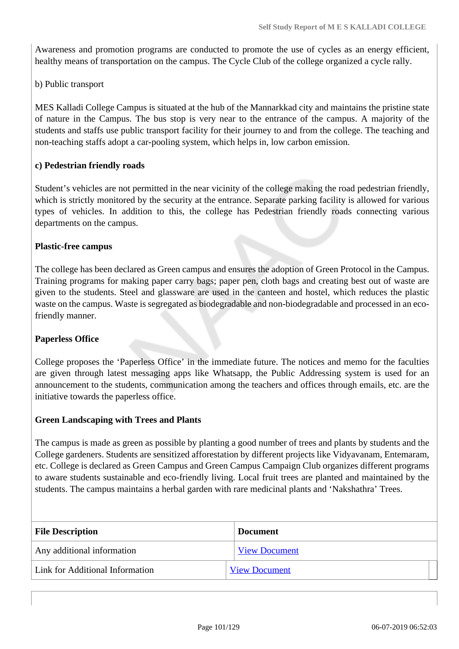Awareness and promotion programs are conducted to promote the use of cycles as an energy efficient, healthy means of transportation on the campus. The Cycle Club of the college organized a cycle rally.

b) Public transport

MES Kalladi College Campus is situated at the hub of the Mannarkkad city and maintains the pristine state of nature in the Campus. The bus stop is very near to the entrance of the campus. A majority of the students and staffs use public transport facility for their journey to and from the college. The teaching and non-teaching staffs adopt a car-pooling system, which helps in, low carbon emission.

#### **c) Pedestrian friendly roads**

Student's vehicles are not permitted in the near vicinity of the college making the road pedestrian friendly, which is strictly monitored by the security at the entrance. Separate parking facility is allowed for various types of vehicles. In addition to this, the college has Pedestrian friendly roads connecting various departments on the campus.

#### **Plastic-free campus**

The college has been declared as Green campus and ensures the adoption of Green Protocol in the Campus. Training programs for making paper carry bags; paper pen, cloth bags and creating best out of waste are given to the students. Steel and glassware are used in the canteen and hostel, which reduces the plastic waste on the campus. Waste is segregated as biodegradable and non-biodegradable and processed in an ecofriendly manner.

# **Paperless Office**

College proposes the 'Paperless Office' in the immediate future. The notices and memo for the faculties are given through latest messaging apps like Whatsapp, the Public Addressing system is used for an announcement to the students, communication among the teachers and offices through emails, etc. are the initiative towards the paperless office.

#### **Green Landscaping with Trees and Plants**

The campus is made as green as possible by planting a good number of trees and plants by students and the College gardeners. Students are sensitized afforestation by different projects like Vidyavanam, Entemaram, etc. College is declared as Green Campus and Green Campus Campaign Club organizes different programs to aware students sustainable and eco-friendly living. Local fruit trees are planted and maintained by the students. The campus maintains a herbal garden with rare medicinal plants and 'Nakshathra' Trees.

| <b>File Description</b>         | <b>Document</b>      |  |
|---------------------------------|----------------------|--|
| Any additional information      | <b>View Document</b> |  |
| Link for Additional Information | <b>View Document</b> |  |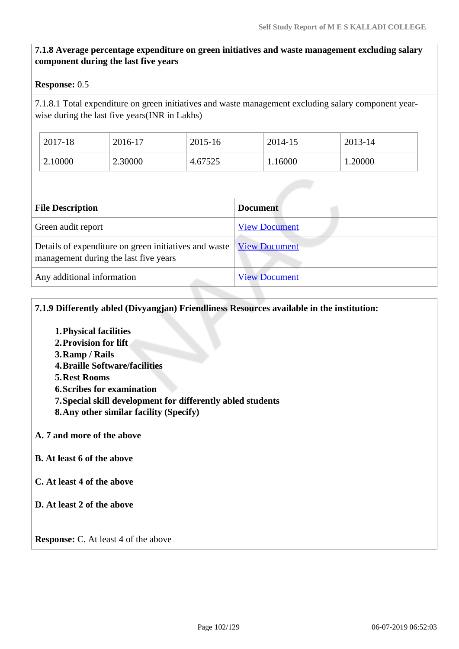# **7.1.8 Average percentage expenditure on green initiatives and waste management excluding salary component during the last five years**

### **Response:** 0.5

7.1.8.1 Total expenditure on green initiatives and waste management excluding salary component yearwise during the last five years(INR in Lakhs)

| 2017-18 | 2016-17 | 2015-16 | 2014-15 | 2013-14 |
|---------|---------|---------|---------|---------|
| 2.10000 | 2.30000 | 4.67525 | 1.16000 | 1.20000 |

| <b>File Description</b>                                                                        | <b>Document</b>      |
|------------------------------------------------------------------------------------------------|----------------------|
| Green audit report                                                                             | <b>View Document</b> |
| Details of expenditure on green initiatives and waste<br>management during the last five years | <b>View Document</b> |
| Any additional information                                                                     | <b>View Document</b> |

**7.1.9 Differently abled (Divyangjan) Friendliness Resources available in the institution:**

- **1.Physical facilities**
- **2.Provision for lift**
- **3.Ramp / Rails**
- **4.Braille Software/facilities**
- **5.Rest Rooms**
- **6.Scribes for examination**
- **7.Special skill development for differently abled students**
- **8.Any other similar facility (Specify)**
- **A. 7 and more of the above**
- **B. At least 6 of the above**
- **C. At least 4 of the above**
- **D. At least 2 of the above**

**Response:** C. At least 4 of the above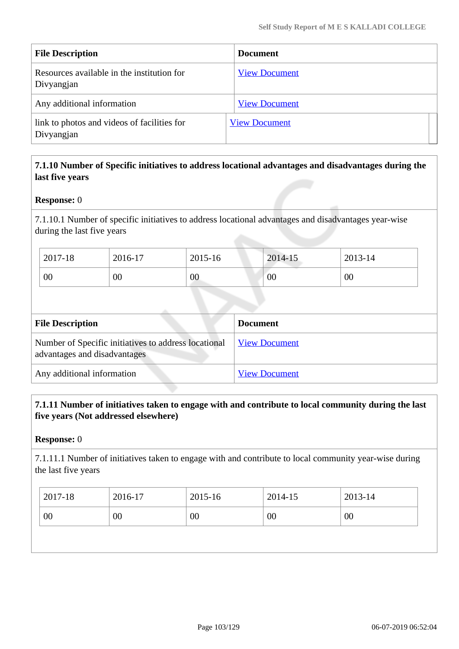| <b>File Description</b>                                   | <b>Document</b>      |
|-----------------------------------------------------------|----------------------|
| Resources available in the institution for<br>Divyangjan  | <b>View Document</b> |
| Any additional information                                | <b>View Document</b> |
| link to photos and videos of facilities for<br>Divyangjan | <b>View Document</b> |

# **7.1.10 Number of Specific initiatives to address locational advantages and disadvantages during the last five years**

# **Response:** 0

7.1.10.1 Number of specific initiatives to address locational advantages and disadvantages year-wise during the last five years

| 2017-18 | 2016-17 | 2015-16 | 2014-15 | 2013-14 |
|---------|---------|---------|---------|---------|
| 00      | 00      | 00      | 00      | 00      |

| <b>File Description</b>                                                              | <b>Document</b>      |
|--------------------------------------------------------------------------------------|----------------------|
| Number of Specific initiatives to address locational<br>advantages and disadvantages | <b>View Document</b> |
| Any additional information                                                           | <b>View Document</b> |

# **7.1.11 Number of initiatives taken to engage with and contribute to local community during the last five years (Not addressed elsewhere)**

#### **Response:** 0

7.1.11.1 Number of initiatives taken to engage with and contribute to local community year-wise during the last five years

| 2017-18 | 2016-17 | 2015-16 | 2014-15 | 2013-14 |
|---------|---------|---------|---------|---------|
| 00      | 00      | 00      | 00      | 00      |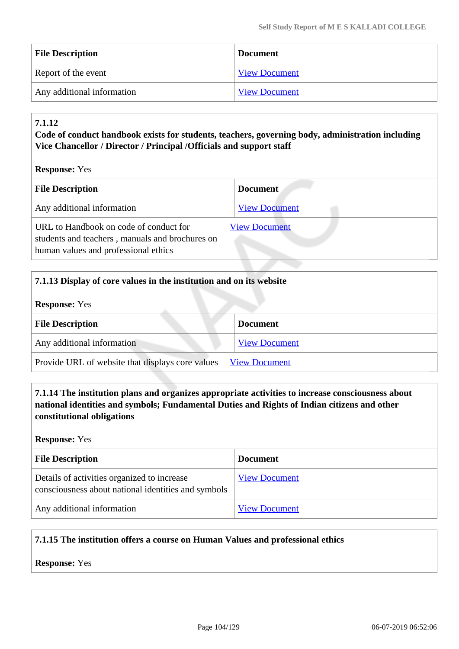| <b>File Description</b>    | <b>Document</b>      |
|----------------------------|----------------------|
| Report of the event        | <b>View Document</b> |
| Any additional information | <b>View Document</b> |

# **7.1.12**

# **Code of conduct handbook exists for students, teachers, governing body, administration including Vice Chancellor / Director / Principal /Officials and support staff**

| <b>Response:</b> Yes |  |  |
|----------------------|--|--|
|----------------------|--|--|

| <b>File Description</b>                                                                                                           | <b>Document</b>      |
|-----------------------------------------------------------------------------------------------------------------------------------|----------------------|
| Any additional information                                                                                                        | <b>View Document</b> |
| URL to Handbook on code of conduct for<br>students and teachers, manuals and brochures on<br>human values and professional ethics | <b>View Document</b> |

| 7.1.13 Display of core values in the institution and on its website |                      |  |
|---------------------------------------------------------------------|----------------------|--|
| <b>Response:</b> Yes                                                |                      |  |
| <b>File Description</b>                                             | <b>Document</b>      |  |
| Any additional information                                          | <b>View Document</b> |  |
| Provide URL of website that displays core values                    | <b>View Document</b> |  |

 **7.1.14 The institution plans and organizes appropriate activities to increase consciousness about national identities and symbols; Fundamental Duties and Rights of Indian citizens and other constitutional obligations**

# **Response:** Yes

| <b>File Description</b>                                                                            | <b>Document</b>      |
|----------------------------------------------------------------------------------------------------|----------------------|
| Details of activities organized to increase<br>consciousness about national identities and symbols | <b>View Document</b> |
| Any additional information                                                                         | <b>View Document</b> |

# **7.1.15 The institution offers a course on Human Values and professional ethics**

# **Response:** Yes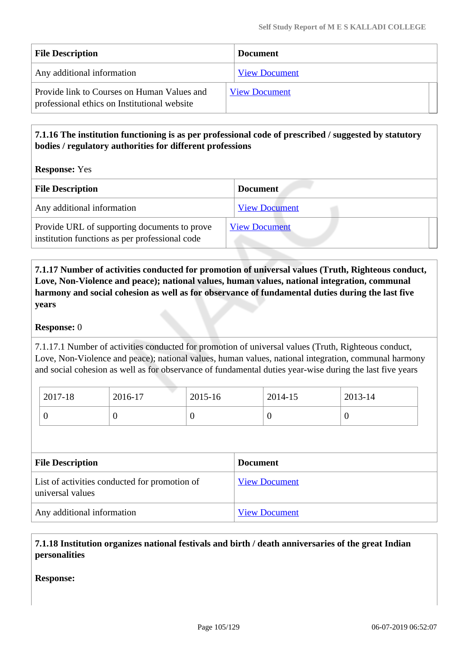| <b>File Description</b>                                                                     | <b>Document</b>      |
|---------------------------------------------------------------------------------------------|----------------------|
| Any additional information                                                                  | <b>View Document</b> |
| Provide link to Courses on Human Values and<br>professional ethics on Institutional website | <b>View Document</b> |

# **7.1.16 The institution functioning is as per professional code of prescribed / suggested by statutory bodies / regulatory authorities for different professions**

**Response:** Yes

| <b>File Description</b>                                                                        | <b>Document</b>      |
|------------------------------------------------------------------------------------------------|----------------------|
| Any additional information                                                                     | <b>View Document</b> |
| Provide URL of supporting documents to prove<br>institution functions as per professional code | <b>View Document</b> |

 **7.1.17 Number of activities conducted for promotion of universal values (Truth, Righteous conduct, Love, Non-Violence and peace); national values, human values, national integration, communal harmony and social cohesion as well as for observance of fundamental duties during the last five years**

# **Response:** 0

7.1.17.1 Number of activities conducted for promotion of universal values (Truth, Righteous conduct, Love, Non-Violence and peace); national values, human values, national integration, communal harmony and social cohesion as well as for observance of fundamental duties year-wise during the last five years

| $2017-18$ | 2016-17 | $2015 - 16$ | 2014-15 | 2013-14 |
|-----------|---------|-------------|---------|---------|
|           |         | υ           |         |         |

| <b>File Description</b>                                           | <b>Document</b>      |
|-------------------------------------------------------------------|----------------------|
| List of activities conducted for promotion of<br>universal values | <b>View Document</b> |
| Any additional information                                        | <b>View Document</b> |

# **7.1.18 Institution organizes national festivals and birth / death anniversaries of the great Indian personalities**

**Response:**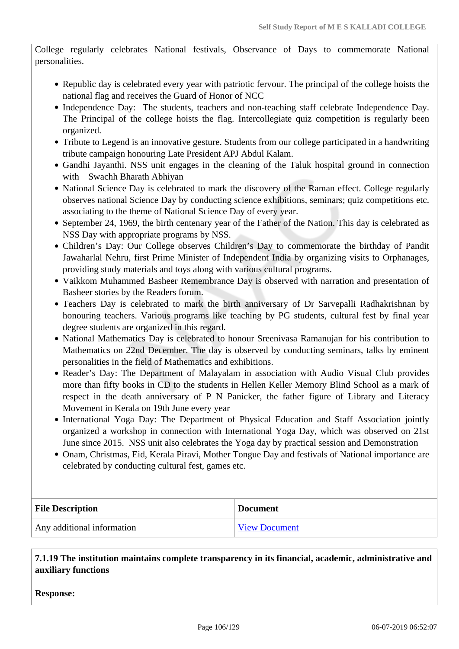College regularly celebrates National festivals, Observance of Days to commemorate National personalities.

- Republic day is celebrated every year with patriotic fervour. The principal of the college hoists the national flag and receives the Guard of Honor of NCC
- Independence Day: The students, teachers and non-teaching staff celebrate Independence Day. The Principal of the college hoists the flag. Intercollegiate quiz competition is regularly been organized.
- Tribute to Legend is an innovative gesture. Students from our college participated in a handwriting tribute campaign honouring Late President APJ Abdul Kalam.
- Gandhi Jayanthi. NSS unit engages in the cleaning of the Taluk hospital ground in connection with Swachh Bharath Abhiyan
- National Science Day is celebrated to mark the discovery of the Raman effect. College regularly observes national Science Day by conducting science exhibitions, seminars; quiz competitions etc. associating to the theme of National Science Day of every year.
- September 24, 1969, the birth centenary year of the Father of the Nation. This day is celebrated as NSS Day with appropriate programs by NSS.
- Children's Day: Our College observes Children's Day to commemorate the birthday of Pandit Jawaharlal Nehru, first Prime Minister of Independent India by organizing visits to Orphanages, providing study materials and toys along with various cultural programs.
- Vaikkom Muhammed Basheer Remembrance Day is observed with narration and presentation of Basheer stories by the Readers forum.
- Teachers Day is celebrated to mark the birth anniversary of Dr Sarvepalli Radhakrishnan by honouring teachers. Various programs like teaching by PG students, cultural fest by final year degree students are organized in this regard.
- National Mathematics Day is celebrated to honour Sreenivasa Ramanujan for his contribution to Mathematics on 22nd December. The day is observed by conducting seminars, talks by eminent personalities in the field of Mathematics and exhibitions.
- Reader's Day: The Department of Malayalam in association with Audio Visual Club provides more than fifty books in CD to the students in Hellen Keller Memory Blind School as a mark of respect in the death anniversary of P N Panicker, the father figure of Library and Literacy Movement in Kerala on 19th June every year
- International Yoga Day: The Department of Physical Education and Staff Association jointly organized a workshop in connection with International Yoga Day, which was observed on 21st June since 2015. NSS unit also celebrates the Yoga day by practical session and Demonstration
- Onam, Christmas, Eid, Kerala Piravi, Mother Tongue Day and festivals of National importance are celebrated by conducting cultural fest, games etc.

| <b>File Description</b>    | <b>Document</b>      |
|----------------------------|----------------------|
| Any additional information | <b>View Document</b> |

 **7.1.19 The institution maintains complete transparency in its financial, academic, administrative and auxiliary functions**

**Response:**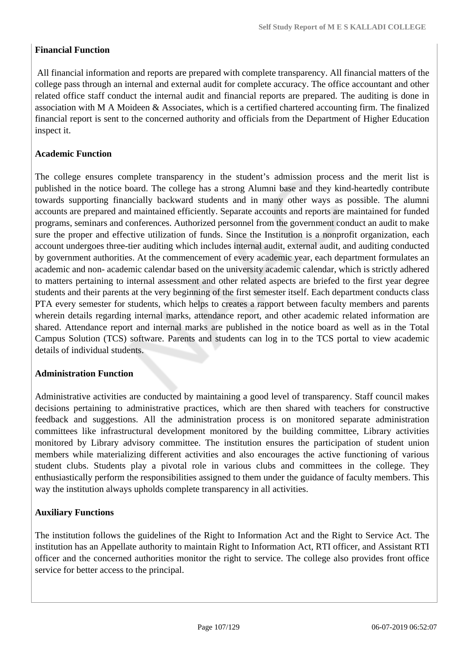# **Financial Function**

 All financial information and reports are prepared with complete transparency. All financial matters of the college pass through an internal and external audit for complete accuracy. The office accountant and other related office staff conduct the internal audit and financial reports are prepared. The auditing is done in association with M A Moideen & Associates, which is a certified chartered accounting firm. The finalized financial report is sent to the concerned authority and officials from the Department of Higher Education inspect it.

# **Academic Function**

The college ensures complete transparency in the student's admission process and the merit list is published in the notice board. The college has a strong Alumni base and they kind-heartedly contribute towards supporting financially backward students and in many other ways as possible. The alumni accounts are prepared and maintained efficiently. Separate accounts and reports are maintained for funded programs, seminars and conferences. Authorized personnel from the government conduct an audit to make sure the proper and effective utilization of funds. Since the Institution is a nonprofit organization, each account undergoes three-tier auditing which includes internal audit, external audit, and auditing conducted by government authorities. At the commencement of every academic year, each department formulates an academic and non- academic calendar based on the university academic calendar, which is strictly adhered to matters pertaining to internal assessment and other related aspects are briefed to the first year degree students and their parents at the very beginning of the first semester itself. Each department conducts class PTA every semester for students, which helps to creates a rapport between faculty members and parents wherein details regarding internal marks, attendance report, and other academic related information are shared. Attendance report and internal marks are published in the notice board as well as in the Total Campus Solution (TCS) software. Parents and students can log in to the TCS portal to view academic details of individual students.

# **Administration Function**

Administrative activities are conducted by maintaining a good level of transparency. Staff council makes decisions pertaining to administrative practices, which are then shared with teachers for constructive feedback and suggestions. All the administration process is on monitored separate administration committees like infrastructural development monitored by the building committee, Library activities monitored by Library advisory committee. The institution ensures the participation of student union members while materializing different activities and also encourages the active functioning of various student clubs. Students play a pivotal role in various clubs and committees in the college. They enthusiastically perform the responsibilities assigned to them under the guidance of faculty members. This way the institution always upholds complete transparency in all activities.

# **Auxiliary Functions**

The institution follows the guidelines of the Right to Information Act and the Right to Service Act. The institution has an Appellate authority to maintain Right to Information Act, RTI officer, and Assistant RTI officer and the concerned authorities monitor the right to service. The college also provides front office service for better access to the principal.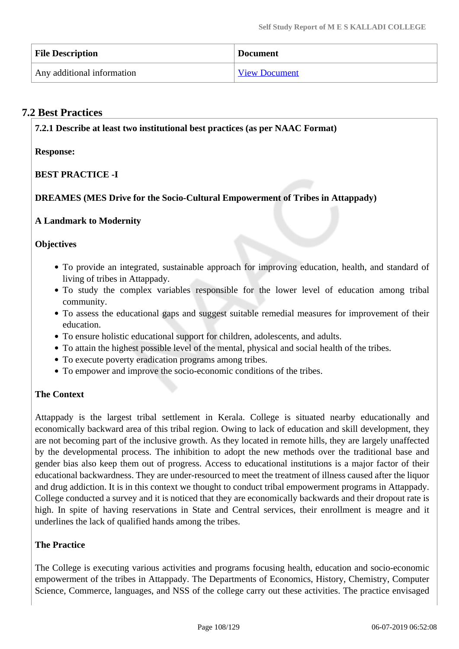| <b>File Description</b>    | <b>Document</b>      |
|----------------------------|----------------------|
| Any additional information | <b>View Document</b> |

# **7.2 Best Practices**

**7.2.1 Describe at least two institutional best practices (as per NAAC Format)**

**Response:** 

# **BEST PRACTICE -I**

# **DREAMES (MES Drive for the Socio-Cultural Empowerment of Tribes in Attappady)**

# **A Landmark to Modernity**

# **Objectives**

- To provide an integrated, sustainable approach for improving education, health, and standard of living of tribes in Attappady.
- To study the complex variables responsible for the lower level of education among tribal community.
- To assess the educational gaps and suggest suitable remedial measures for improvement of their education.
- To ensure holistic educational support for children, adolescents, and adults.
- To attain the highest possible level of the mental, physical and social health of the tribes.
- To execute poverty eradication programs among tribes.
- To empower and improve the socio-economic conditions of the tribes.

# **The Context**

Attappady is the largest tribal settlement in Kerala. College is situated nearby educationally and economically backward area of this tribal region. Owing to lack of education and skill development, they are not becoming part of the inclusive growth. As they located in remote hills, they are largely unaffected by the developmental process. The inhibition to adopt the new methods over the traditional base and gender bias also keep them out of progress. Access to educational institutions is a major factor of their educational backwardness. They are under-resourced to meet the treatment of illness caused after the liquor and drug addiction. It is in this context we thought to conduct tribal empowerment programs in Attappady. College conducted a survey and it is noticed that they are economically backwards and their dropout rate is high. In spite of having reservations in State and Central services, their enrollment is meagre and it underlines the lack of qualified hands among the tribes.

# **The Practice**

The College is executing various activities and programs focusing health, education and socio-economic empowerment of the tribes in Attappady. The Departments of Economics, History, Chemistry, Computer Science, Commerce, languages, and NSS of the college carry out these activities. The practice envisaged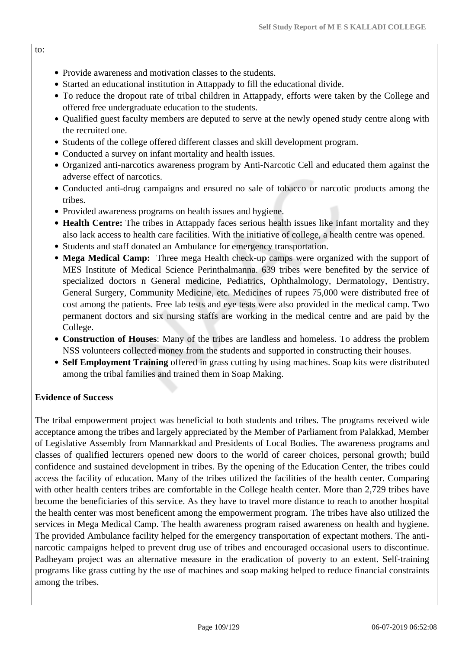- Provide awareness and motivation classes to the students.
- Started an educational institution in Attappady to fill the educational divide.
- To reduce the dropout rate of tribal children in Attappady, efforts were taken by the College and offered free undergraduate education to the students.
- Qualified guest faculty members are deputed to serve at the newly opened study centre along with the recruited one.
- Students of the college offered different classes and skill development program.
- Conducted a survey on infant mortality and health issues.
- Organized anti-narcotics awareness program by Anti-Narcotic Cell and educated them against the adverse effect of narcotics.
- Conducted anti-drug campaigns and ensured no sale of tobacco or narcotic products among the tribes.
- Provided awareness programs on health issues and hygiene.
- **Health Centre:** The tribes in Attappady faces serious health issues like infant mortality and they also lack access to health care facilities. With the initiative of college, a health centre was opened.
- Students and staff donated an Ambulance for emergency transportation.
- **Mega Medical Camp:** Three mega Health check-up camps were organized with the support of MES Institute of Medical Science Perinthalmanna. 639 tribes were benefited by the service of specialized doctors n General medicine, Pediatrics, Ophthalmology, Dermatology, Dentistry, General Surgery, Community Medicine, etc. Medicines of rupees 75,000 were distributed free of cost among the patients. Free lab tests and eye tests were also provided in the medical camp. Two permanent doctors and six nursing staffs are working in the medical centre and are paid by the College.
- **Construction of Houses**: Many of the tribes are landless and homeless. To address the problem NSS volunteers collected money from the students and supported in constructing their houses.
- **Self Employment Training** offered in grass cutting by using machines. Soap kits were distributed among the tribal families and trained them in Soap Making.

#### **Evidence of Success**

The tribal empowerment project was beneficial to both students and tribes. The programs received wide acceptance among the tribes and largely appreciated by the Member of Parliament from Palakkad, Member of Legislative Assembly from Mannarkkad and Presidents of Local Bodies. The awareness programs and classes of qualified lecturers opened new doors to the world of career choices, personal growth; build confidence and sustained development in tribes. By the opening of the Education Center, the tribes could access the facility of education. Many of the tribes utilized the facilities of the health center. Comparing with other health centers tribes are comfortable in the College health center. More than 2,729 tribes have become the beneficiaries of this service. As they have to travel more distance to reach to another hospital the health center was most beneficent among the empowerment program. The tribes have also utilized the services in Mega Medical Camp. The health awareness program raised awareness on health and hygiene. The provided Ambulance facility helped for the emergency transportation of expectant mothers. The antinarcotic campaigns helped to prevent drug use of tribes and encouraged occasional users to discontinue. Padheyam project was an alternative measure in the eradication of poverty to an extent. Self-training programs like grass cutting by the use of machines and soap making helped to reduce financial constraints among the tribes.

to: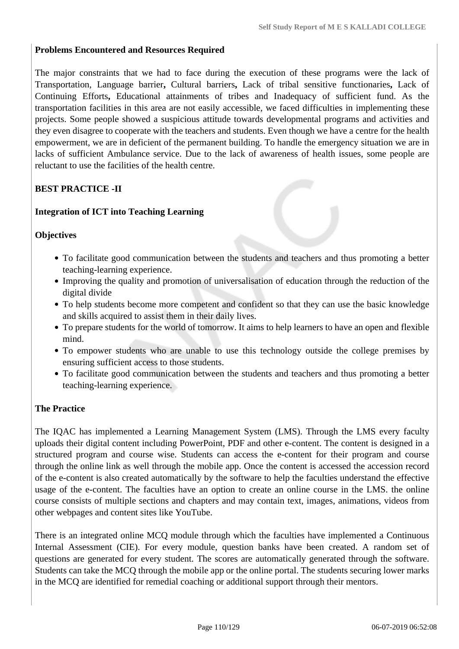#### **Problems Encountered and Resources Required**

The major constraints that we had to face during the execution of these programs were the lack of Transportation, Language barrier**,** Cultural barriers**,** Lack of tribal sensitive functionaries**,** Lack of Continuing Efforts**,** Educational attainments of tribes and Inadequacy of sufficient fund. As the transportation facilities in this area are not easily accessible, we faced difficulties in implementing these projects. Some people showed a suspicious attitude towards developmental programs and activities and they even disagree to cooperate with the teachers and students. Even though we have a centre for the health empowerment, we are in deficient of the permanent building. To handle the emergency situation we are in lacks of sufficient Ambulance service. Due to the lack of awareness of health issues, some people are reluctant to use the facilities of the health centre.

# **BEST PRACTICE -II**

## **Integration of ICT into Teaching Learning**

## **Objectives**

- To facilitate good communication between the students and teachers and thus promoting a better teaching-learning experience.
- Improving the quality and promotion of universalisation of education through the reduction of the digital divide
- To help students become more competent and confident so that they can use the basic knowledge and skills acquired to assist them in their daily lives.
- To prepare students for the world of tomorrow. It aims to help learners to have an open and flexible mind.
- To empower students who are unable to use this technology outside the college premises by ensuring sufficient access to those students.
- To facilitate good communication between the students and teachers and thus promoting a better teaching-learning experience.

## **The Practice**

The IQAC has implemented a Learning Management System (LMS). Through the LMS every faculty uploads their digital content including PowerPoint, PDF and other e-content. The content is designed in a structured program and course wise. Students can access the e-content for their program and course through the online link as well through the mobile app. Once the content is accessed the accession record of the e-content is also created automatically by the software to help the faculties understand the effective usage of the e-content. The faculties have an option to create an online course in the LMS. the online course consists of multiple sections and chapters and may contain text, images, animations, videos from other webpages and content sites like YouTube.

There is an integrated online MCQ module through which the faculties have implemented a Continuous Internal Assessment (CIE). For every module, question banks have been created. A random set of questions are generated for every student. The scores are automatically generated through the software. Students can take the MCQ through the mobile app or the online portal. The students securing lower marks in the MCQ are identified for remedial coaching or additional support through their mentors.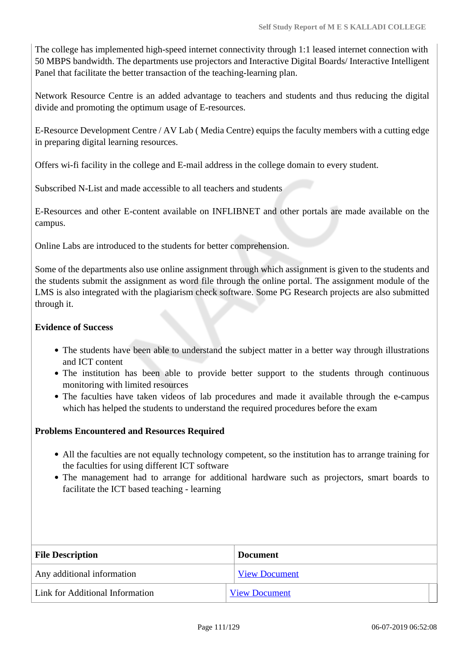The college has implemented high-speed internet connectivity through 1:1 leased internet connection with 50 MBPS bandwidth. The departments use projectors and Interactive Digital Boards/ Interactive Intelligent Panel that facilitate the better transaction of the teaching-learning plan.

Network Resource Centre is an added advantage to teachers and students and thus reducing the digital divide and promoting the optimum usage of E-resources.

E-Resource Development Centre / AV Lab ( Media Centre) equips the faculty members with a cutting edge in preparing digital learning resources.

Offers wi-fi facility in the college and E-mail address in the college domain to every student.

Subscribed N-List and made accessible to all teachers and students

E-Resources and other E-content available on INFLIBNET and other portals are made available on the campus.

Online Labs are introduced to the students for better comprehension.

Some of the departments also use online assignment through which assignment is given to the students and the students submit the assignment as word file through the online portal. The assignment module of the LMS is also integrated with the plagiarism check software. Some PG Research projects are also submitted through it.

## **Evidence of Success**

- The students have been able to understand the subject matter in a better way through illustrations and ICT content
- The institution has been able to provide better support to the students through continuous monitoring with limited resources
- The faculties have taken videos of lab procedures and made it available through the e-campus which has helped the students to understand the required procedures before the exam

## **Problems Encountered and Resources Required**

- All the faculties are not equally technology competent, so the institution has to arrange training for the faculties for using different ICT software
- The management had to arrange for additional hardware such as projectors, smart boards to facilitate the ICT based teaching - learning

| <b>File Description</b>         | <b>Document</b>      |
|---------------------------------|----------------------|
| Any additional information      | <b>View Document</b> |
| Link for Additional Information | <b>View Document</b> |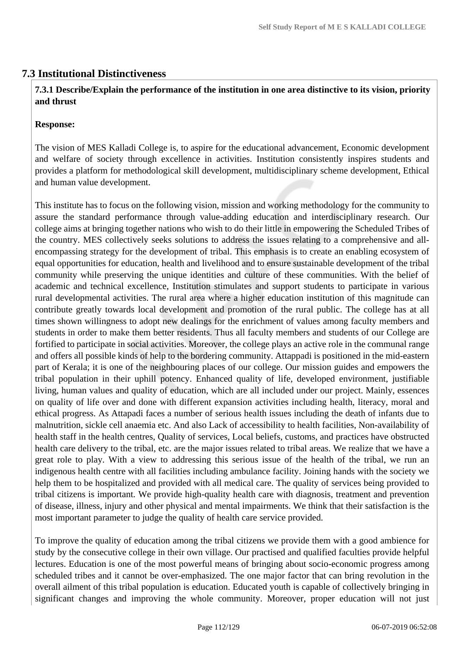# **7.3 Institutional Distinctiveness**

## **7.3.1 Describe/Explain the performance of the institution in one area distinctive to its vision, priority and thrust**

#### **Response:**

The vision of MES Kalladi College is, to aspire for the educational advancement, Economic development and welfare of society through excellence in activities. Institution consistently inspires students and provides a platform for methodological skill development, multidisciplinary scheme development, Ethical and human value development.

This institute has to focus on the following vision, mission and working methodology for the community to assure the standard performance through value-adding education and interdisciplinary research. Our college aims at bringing together nations who wish to do their little in empowering the Scheduled Tribes of the country. MES collectively seeks solutions to address the issues relating to a comprehensive and allencompassing strategy for the development of tribal. This emphasis is to create an enabling ecosystem of equal opportunities for education, health and livelihood and to ensure sustainable development of the tribal community while preserving the unique identities and culture of these communities. With the belief of academic and technical excellence, Institution stimulates and support students to participate in various rural developmental activities. The rural area where a higher education institution of this magnitude can contribute greatly towards local development and promotion of the rural public. The college has at all times shown willingness to adopt new dealings for the enrichment of values among faculty members and students in order to make them better residents. Thus all faculty members and students of our College are fortified to participate in social activities. Moreover, the college plays an active role in the communal range and offers all possible kinds of help to the bordering community. Attappadi is positioned in the mid-eastern part of Kerala; it is one of the neighbouring places of our college. Our mission guides and empowers the tribal population in their uphill potency. Enhanced quality of life, developed environment, justifiable living, human values and quality of education, which are all included under our project. Mainly, essences on quality of life over and done with different expansion activities including health, literacy, moral and ethical progress. As Attapadi faces a number of serious health issues including the death of infants due to malnutrition, sickle cell anaemia etc. And also Lack of accessibility to health facilities, Non-availability of health staff in the health centres, Quality of services, Local beliefs, customs, and practices have obstructed health care delivery to the tribal, etc. are the major issues related to tribal areas. We realize that we have a great role to play. With a view to addressing this serious issue of the health of the tribal, we run an indigenous health centre with all facilities including ambulance facility. Joining hands with the society we help them to be hospitalized and provided with all medical care. The quality of services being provided to tribal citizens is important. We provide high-quality health care with diagnosis, treatment and prevention of disease, illness, injury and other physical and mental impairments. We think that their satisfaction is the most important parameter to judge the quality of health care service provided.

To improve the quality of education among the tribal citizens we provide them with a good ambience for study by the consecutive college in their own village. Our practised and qualified faculties provide helpful lectures. Education is one of the most powerful means of bringing about socio-economic progress among scheduled tribes and it cannot be over-emphasized. The one major factor that can bring revolution in the overall ailment of this tribal population is education. Educated youth is capable of collectively bringing in significant changes and improving the whole community. Moreover, proper education will not just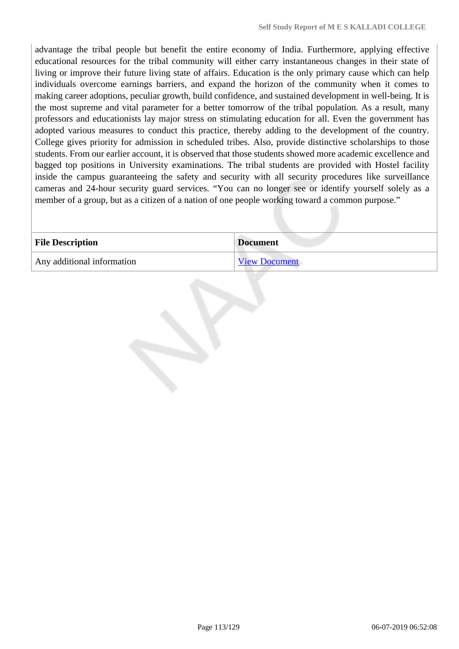advantage the tribal people but benefit the entire economy of India. Furthermore, applying effective educational resources for the tribal community will either carry instantaneous changes in their state of living or improve their future living state of affairs. Education is the only primary cause which can help individuals overcome earnings barriers, and expand the horizon of the community when it comes to making career adoptions, peculiar growth, build confidence, and sustained development in well-being. It is the most supreme and vital parameter for a better tomorrow of the tribal population. As a result, many professors and educationists lay major stress on stimulating education for all. Even the government has adopted various measures to conduct this practice, thereby adding to the development of the country. College gives priority for admission in scheduled tribes. Also, provide distinctive scholarships to those students. From our earlier account, it is observed that those students showed more academic excellence and bagged top positions in University examinations. The tribal students are provided with Hostel facility inside the campus guaranteeing the safety and security with all security procedures like surveillance cameras and 24-hour security guard services. "You can no longer see or identify yourself solely as a member of a group, but as a citizen of a nation of one people working toward a common purpose."

| <b>File Description</b>    | <b>Document</b>      |
|----------------------------|----------------------|
| Any additional information | <b>View Document</b> |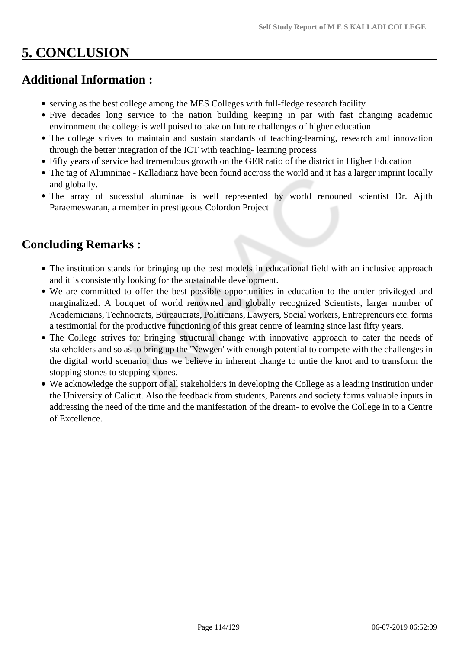# **5. CONCLUSION**

# **Additional Information :**

- serving as the best college among the MES Colleges with full-fledge research facility
- Five decades long service to the nation building keeping in par with fast changing academic environment the college is well poised to take on future challenges of higher education.
- The college strives to maintain and sustain standards of teaching-learning, research and innovation through the better integration of the ICT with teaching- learning process
- Fifty years of service had tremendous growth on the GER ratio of the district in Higher Education
- The tag of Alumninae Kalladianz have been found accross the world and it has a larger imprint locally and globally.
- The array of sucessful aluminae is well represented by world renouned scientist Dr. Ajith Paraemeswaran, a member in prestigeous Colordon Project

# **Concluding Remarks :**

- The institution stands for bringing up the best models in educational field with an inclusive approach and it is consistently looking for the sustainable development.
- We are committed to offer the best possible opportunities in education to the under privileged and marginalized. A bouquet of world renowned and globally recognized Scientists, larger number of Academicians, Technocrats, Bureaucrats, Politicians, Lawyers, Social workers, Entrepreneurs etc. forms a testimonial for the productive functioning of this great centre of learning since last fifty years.
- The College strives for bringing structural change with innovative approach to cater the needs of stakeholders and so as to bring up the 'Newgen' with enough potential to compete with the challenges in the digital world scenario; thus we believe in inherent change to untie the knot and to transform the stopping stones to stepping stones.
- We acknowledge the support of all stakeholders in developing the College as a leading institution under the University of Calicut. Also the feedback from students, Parents and society forms valuable inputs in addressing the need of the time and the manifestation of the dream- to evolve the College in to a Centre of Excellence.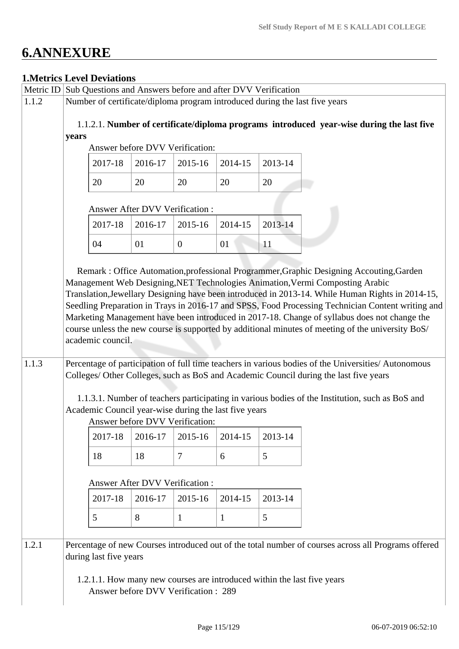# **6.ANNEXURE**

# **1.Metrics Level Deviations**

|       |       | <b>1. Metrics Level Deviations</b>                                         |                                       |                |              |                 |                                                                                                                                                                                                                                                                                                                                                                                                                                                                                                                                                                                                                                                                                                                                                                                                                                                                                          |
|-------|-------|----------------------------------------------------------------------------|---------------------------------------|----------------|--------------|-----------------|------------------------------------------------------------------------------------------------------------------------------------------------------------------------------------------------------------------------------------------------------------------------------------------------------------------------------------------------------------------------------------------------------------------------------------------------------------------------------------------------------------------------------------------------------------------------------------------------------------------------------------------------------------------------------------------------------------------------------------------------------------------------------------------------------------------------------------------------------------------------------------------|
|       |       | Metric ID Sub Questions and Answers before and after DVV Verification      |                                       |                |              |                 |                                                                                                                                                                                                                                                                                                                                                                                                                                                                                                                                                                                                                                                                                                                                                                                                                                                                                          |
| 1.1.2 |       |                                                                            |                                       |                |              |                 | Number of certificate/diploma program introduced during the last five years                                                                                                                                                                                                                                                                                                                                                                                                                                                                                                                                                                                                                                                                                                                                                                                                              |
|       |       |                                                                            |                                       |                |              |                 | 1.1.2.1. Number of certificate/diploma programs introduced year-wise during the last five                                                                                                                                                                                                                                                                                                                                                                                                                                                                                                                                                                                                                                                                                                                                                                                                |
|       | years |                                                                            |                                       |                |              |                 |                                                                                                                                                                                                                                                                                                                                                                                                                                                                                                                                                                                                                                                                                                                                                                                                                                                                                          |
|       |       |                                                                            | Answer before DVV Verification:       |                |              |                 |                                                                                                                                                                                                                                                                                                                                                                                                                                                                                                                                                                                                                                                                                                                                                                                                                                                                                          |
|       |       | 2017-18                                                                    | 2016-17                               | 2015-16        | 2014-15      | 2013-14         |                                                                                                                                                                                                                                                                                                                                                                                                                                                                                                                                                                                                                                                                                                                                                                                                                                                                                          |
|       |       |                                                                            |                                       |                |              |                 |                                                                                                                                                                                                                                                                                                                                                                                                                                                                                                                                                                                                                                                                                                                                                                                                                                                                                          |
|       |       | 20                                                                         | 20                                    | 20             | 20           | 20              |                                                                                                                                                                                                                                                                                                                                                                                                                                                                                                                                                                                                                                                                                                                                                                                                                                                                                          |
|       |       |                                                                            | <b>Answer After DVV Verification:</b> |                |              |                 |                                                                                                                                                                                                                                                                                                                                                                                                                                                                                                                                                                                                                                                                                                                                                                                                                                                                                          |
|       |       | 2017-18                                                                    | 2016-17                               | 2015-16        | 2014-15      | 2013-14         |                                                                                                                                                                                                                                                                                                                                                                                                                                                                                                                                                                                                                                                                                                                                                                                                                                                                                          |
|       |       | 04                                                                         | 01                                    | $\overline{0}$ | 01           | 11              |                                                                                                                                                                                                                                                                                                                                                                                                                                                                                                                                                                                                                                                                                                                                                                                                                                                                                          |
| 1.1.3 |       | academic council.<br>Academic Council year-wise during the last five years | Answer before DVV Verification:       |                |              |                 | Remark: Office Automation, professional Programmer, Graphic Designing Accouting, Garden<br>Management Web Designing, NET Technologies Animation, Vermi Composting Arabic<br>Translation, Jewellary Designing have been introduced in 2013-14. While Human Rights in 2014-15,<br>Seedling Preparation in Trays in 2016-17 and SPSS, Food Processing Technician Content writing and<br>Marketing Management have been introduced in 2017-18. Change of syllabus does not change the<br>course unless the new course is supported by additional minutes of meeting of the university BoS/<br>Percentage of participation of full time teachers in various bodies of the Universities/Autonomous<br>Colleges/ Other Colleges, such as BoS and Academic Council during the last five years<br>1.1.3.1. Number of teachers participating in various bodies of the Institution, such as BoS and |
|       |       | 2017-18                                                                    | 2016-17                               | 2015-16        | 2014-15      | 2013-14         |                                                                                                                                                                                                                                                                                                                                                                                                                                                                                                                                                                                                                                                                                                                                                                                                                                                                                          |
|       |       |                                                                            |                                       |                |              |                 |                                                                                                                                                                                                                                                                                                                                                                                                                                                                                                                                                                                                                                                                                                                                                                                                                                                                                          |
|       |       | 18                                                                         | 18                                    | $\overline{7}$ | 6            | $5\overline{)}$ |                                                                                                                                                                                                                                                                                                                                                                                                                                                                                                                                                                                                                                                                                                                                                                                                                                                                                          |
|       |       |                                                                            | Answer After DVV Verification:        |                |              |                 |                                                                                                                                                                                                                                                                                                                                                                                                                                                                                                                                                                                                                                                                                                                                                                                                                                                                                          |
|       |       | 2017-18                                                                    | 2016-17                               | 2015-16        | 2014-15      | 2013-14         |                                                                                                                                                                                                                                                                                                                                                                                                                                                                                                                                                                                                                                                                                                                                                                                                                                                                                          |
|       |       | 5                                                                          | 8                                     | $\mathbf{1}$   | $\mathbf{1}$ | 5               |                                                                                                                                                                                                                                                                                                                                                                                                                                                                                                                                                                                                                                                                                                                                                                                                                                                                                          |
|       |       |                                                                            |                                       |                |              |                 |                                                                                                                                                                                                                                                                                                                                                                                                                                                                                                                                                                                                                                                                                                                                                                                                                                                                                          |
| 1.2.1 |       | during last five years                                                     | Answer before DVV Verification: 289   |                |              |                 | Percentage of new Courses introduced out of the total number of courses across all Programs offered<br>1.2.1.1. How many new courses are introduced within the last five years                                                                                                                                                                                                                                                                                                                                                                                                                                                                                                                                                                                                                                                                                                           |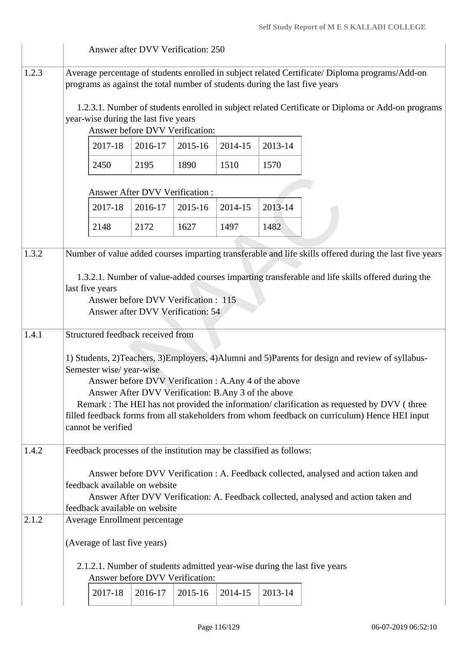|       | Answer after DVV Verification: 250                                          |                                 |         |         |         |                                                                                                         |
|-------|-----------------------------------------------------------------------------|---------------------------------|---------|---------|---------|---------------------------------------------------------------------------------------------------------|
| 1.2.3 | programs as against the total number of students during the last five years |                                 |         |         |         | Average percentage of students enrolled in subject related Certificate/ Diploma programs/Add-on         |
|       | year-wise during the last five years<br>Answer before DVV Verification:     |                                 |         |         |         | 1.2.3.1. Number of students enrolled in subject related Certificate or Diploma or Add-on programs       |
|       | 2017-18                                                                     | 2016-17                         | 2015-16 | 2014-15 | 2013-14 |                                                                                                         |
|       | 2450                                                                        | 2195                            | 1890    | 1510    | 1570    |                                                                                                         |
|       |                                                                             | Answer After DVV Verification : |         |         |         |                                                                                                         |
|       | 2017-18                                                                     | 2016-17                         | 2015-16 | 2014-15 | 2013-14 |                                                                                                         |
|       | 2148                                                                        | 2172                            | 1627    | 1497    | 1482    |                                                                                                         |
| 1.3.2 |                                                                             |                                 |         |         |         | Number of value added courses imparting transferable and life skills offered during the last five years |
|       |                                                                             |                                 |         |         |         | 1.3.2.1. Number of value-added courses imparting transferable and life skills offered during the        |
|       | last five years<br>Answer before DVV Verification: 115                      |                                 |         |         |         |                                                                                                         |
|       | Answer after DVV Verification: 54                                           |                                 |         |         |         |                                                                                                         |
| 1.4.1 | Structured feedback received from                                           |                                 |         |         |         |                                                                                                         |
|       | Semester wise/year-wise                                                     |                                 |         |         |         | 1) Students, 2)Teachers, 3)Employers, 4)Alumni and 5)Parents for design and review of syllabus-         |
|       | Answer before DVV Verification : A.Any 4 of the above                       |                                 |         |         |         |                                                                                                         |
|       | Answer After DVV Verification: B.Any 3 of the above                         |                                 |         |         |         | Remark : The HEI has not provided the information/clarification as requested by DVV (three              |
|       | cannot be verified                                                          |                                 |         |         |         | filled feedback forms from all stakeholders from whom feedback on curriculum) Hence HEI input           |
| 1.4.2 | Feedback processes of the institution may be classified as follows:         |                                 |         |         |         |                                                                                                         |
|       |                                                                             |                                 |         |         |         | Answer before DVV Verification : A. Feedback collected, analysed and action taken and                   |
|       | feedback available on website                                               |                                 |         |         |         |                                                                                                         |
|       | feedback available on website                                               |                                 |         |         |         | Answer After DVV Verification: A. Feedback collected, analysed and action taken and                     |
| 2.1.2 | Average Enrollment percentage                                               |                                 |         |         |         |                                                                                                         |
|       | (Average of last five years)                                                |                                 |         |         |         |                                                                                                         |
|       | Answer before DVV Verification:                                             |                                 |         |         |         | 2.1.2.1. Number of students admitted year-wise during the last five years                               |
|       | 2017-18                                                                     | 2016-17                         | 2015-16 | 2014-15 | 2013-14 |                                                                                                         |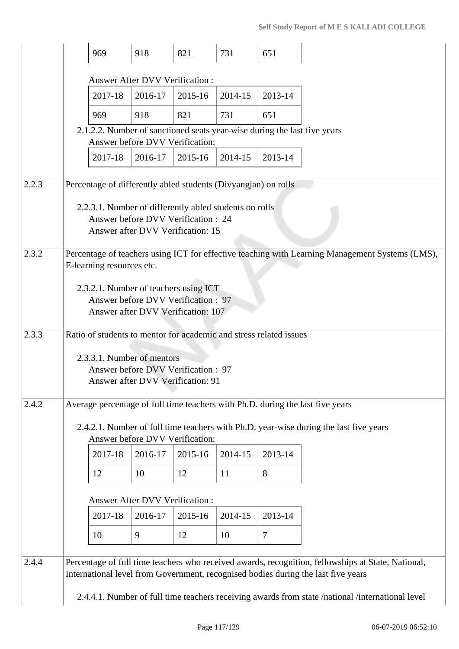|       | 969                                                            | 918                                                                      | 821     | 731     | 651                                                                      |                                                                                                    |
|-------|----------------------------------------------------------------|--------------------------------------------------------------------------|---------|---------|--------------------------------------------------------------------------|----------------------------------------------------------------------------------------------------|
|       |                                                                | <b>Answer After DVV Verification:</b>                                    |         |         |                                                                          |                                                                                                    |
|       | 2017-18                                                        | 2016-17                                                                  | 2015-16 | 2014-15 | 2013-14                                                                  |                                                                                                    |
|       | 969                                                            | 918                                                                      | 821     | 731     | 651                                                                      |                                                                                                    |
|       |                                                                |                                                                          |         |         | 2.1.2.2. Number of sanctioned seats year-wise during the last five years |                                                                                                    |
|       | 2017-18                                                        | Answer before DVV Verification:<br>2016-17                               | 2015-16 | 2014-15 | 2013-14                                                                  |                                                                                                    |
|       |                                                                |                                                                          |         |         |                                                                          |                                                                                                    |
| 2.2.3 | Percentage of differently abled students (Divyangjan) on rolls |                                                                          |         |         |                                                                          |                                                                                                    |
|       | 2.2.3.1. Number of differently abled students on rolls         |                                                                          |         |         |                                                                          |                                                                                                    |
|       |                                                                | Answer before DVV Verification: 24<br>Answer after DVV Verification: 15  |         |         |                                                                          |                                                                                                    |
| 2.3.2 |                                                                |                                                                          |         |         |                                                                          | Percentage of teachers using ICT for effective teaching with Learning Management Systems (LMS),    |
|       | E-learning resources etc.                                      |                                                                          |         |         |                                                                          |                                                                                                    |
|       | 2.3.2.1. Number of teachers using ICT                          |                                                                          |         |         |                                                                          |                                                                                                    |
|       |                                                                | Answer before DVV Verification: 97<br>Answer after DVV Verification: 107 |         |         |                                                                          |                                                                                                    |
| 2.3.3 |                                                                |                                                                          |         |         | Ratio of students to mentor for academic and stress related issues       |                                                                                                    |
|       |                                                                |                                                                          |         |         |                                                                          |                                                                                                    |
|       | 2.3.3.1. Number of mentors                                     | Answer before DVV Verification: 97                                       |         |         |                                                                          |                                                                                                    |
|       |                                                                | Answer after DVV Verification: 91                                        |         |         |                                                                          |                                                                                                    |
| 2.4.2 |                                                                |                                                                          |         |         |                                                                          | Average percentage of full time teachers with Ph.D. during the last five years                     |
|       |                                                                |                                                                          |         |         |                                                                          | 2.4.2.1. Number of full time teachers with Ph.D. year-wise during the last five years              |
|       |                                                                | Answer before DVV Verification:                                          |         |         |                                                                          |                                                                                                    |
|       | 2017-18                                                        | 2016-17                                                                  | 2015-16 | 2014-15 | 2013-14                                                                  |                                                                                                    |
|       | 12                                                             | 10                                                                       | 12      | 11      | 8                                                                        |                                                                                                    |
|       |                                                                | Answer After DVV Verification:                                           |         |         |                                                                          |                                                                                                    |
|       | 2017-18                                                        | 2016-17                                                                  | 2015-16 | 2014-15 | 2013-14                                                                  |                                                                                                    |
|       | 10                                                             | 9                                                                        | 12      | 10      | $\overline{7}$                                                           |                                                                                                    |
| 2.4.4 |                                                                |                                                                          |         |         |                                                                          | Percentage of full time teachers who received awards, recognition, fellowships at State, National, |
|       |                                                                |                                                                          |         |         |                                                                          | International level from Government, recognised bodies during the last five years                  |
|       |                                                                |                                                                          |         |         |                                                                          | 2.4.4.1. Number of full time teachers receiving awards from state /national /international level   |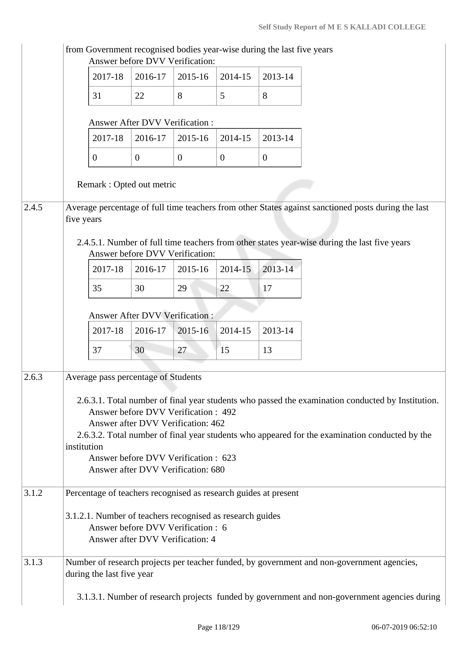|       | from Government recognised bodies year-wise during the last five years | Answer before DVV Verification:                                       |                |                |                |                                                                                                     |
|-------|------------------------------------------------------------------------|-----------------------------------------------------------------------|----------------|----------------|----------------|-----------------------------------------------------------------------------------------------------|
|       | 2017-18                                                                | 2016-17                                                               | 2015-16        | 2014-15        | 2013-14        |                                                                                                     |
|       | 31                                                                     | 22                                                                    | 8              | 5              | 8              |                                                                                                     |
|       |                                                                        | Answer After DVV Verification:                                        |                |                |                |                                                                                                     |
|       | 2017-18                                                                | 2016-17                                                               | 2015-16        | 2014-15        | 2013-14        |                                                                                                     |
|       | $\overline{0}$                                                         | $\mathbf{0}$                                                          | $\overline{0}$ | $\overline{0}$ | $\overline{0}$ |                                                                                                     |
|       | Remark : Opted out metric                                              |                                                                       |                |                |                |                                                                                                     |
| 2.4.5 | five years                                                             |                                                                       |                |                |                | Average percentage of full time teachers from other States against sanctioned posts during the last |
|       |                                                                        | Answer before DVV Verification:                                       |                |                |                | 2.4.5.1. Number of full time teachers from other states year-wise during the last five years        |
|       | 2017-18                                                                | 2016-17                                                               | 2015-16        | 2014-15        | 2013-14        |                                                                                                     |
|       | 35                                                                     | 30                                                                    | 29             | 22             | 17             |                                                                                                     |
|       |                                                                        | Answer After DVV Verification :                                       |                |                |                |                                                                                                     |
|       | 2017-18                                                                | 2016-17                                                               | 2015-16        | 2014-15        | 2013-14        |                                                                                                     |
|       | 37                                                                     | 30                                                                    | 27             | 15             | 13             |                                                                                                     |
|       |                                                                        |                                                                       |                |                |                |                                                                                                     |
| 2.6.3 | Average pass percentage of Students                                    |                                                                       |                |                |                |                                                                                                     |
|       |                                                                        | Answer before DVV Verification: 492                                   |                |                |                | 2.6.3.1. Total number of final year students who passed the examination conducted by Institution.   |
|       |                                                                        | Answer after DVV Verification: 462                                    |                |                |                |                                                                                                     |
|       | institution                                                            |                                                                       |                |                |                | 2.6.3.2. Total number of final year students who appeared for the examination conducted by the      |
|       |                                                                        | Answer before DVV Verification : 623                                  |                |                |                |                                                                                                     |
|       |                                                                        | Answer after DVV Verification: 680                                    |                |                |                |                                                                                                     |
| 3.1.2 | Percentage of teachers recognised as research guides at present        |                                                                       |                |                |                |                                                                                                     |
|       | 3.1.2.1. Number of teachers recognised as research guides              | Answer before DVV Verification: 6<br>Answer after DVV Verification: 4 |                |                |                |                                                                                                     |
| 3.1.3 | during the last five year                                              |                                                                       |                |                |                | Number of research projects per teacher funded, by government and non-government agencies,          |
|       |                                                                        |                                                                       |                |                |                | 3.1.3.1. Number of research projects funded by government and non-government agencies during        |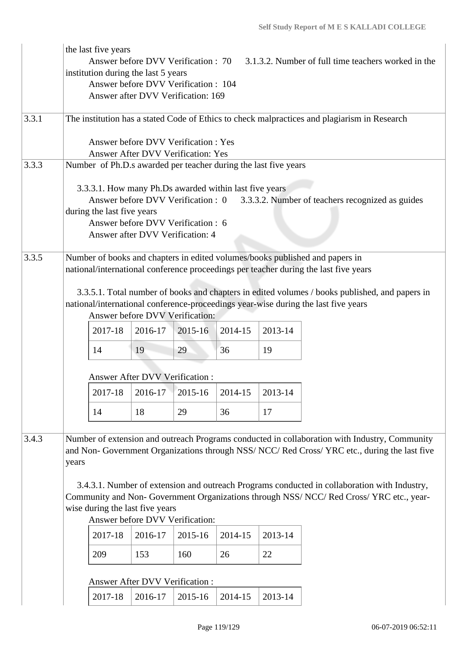|       |       | the last five years<br>institution during the last 5 years |         | Answer before DVV Verification : 70<br>Answer before DVV Verification : 104<br>Answer after DVV Verification: 169 |                                                        |                                                                 | 3.1.3.2. Number of full time teachers worked in the                                                                                                                                                                                                                                                                                                                                        |
|-------|-------|------------------------------------------------------------|---------|-------------------------------------------------------------------------------------------------------------------|--------------------------------------------------------|-----------------------------------------------------------------|--------------------------------------------------------------------------------------------------------------------------------------------------------------------------------------------------------------------------------------------------------------------------------------------------------------------------------------------------------------------------------------------|
| 3.3.1 |       |                                                            |         |                                                                                                                   |                                                        |                                                                 | The institution has a stated Code of Ethics to check malpractices and plagiarism in Research                                                                                                                                                                                                                                                                                               |
|       |       |                                                            |         | Answer before DVV Verification: Yes<br><b>Answer After DVV Verification: Yes</b>                                  |                                                        |                                                                 |                                                                                                                                                                                                                                                                                                                                                                                            |
| 3.3.3 |       |                                                            |         |                                                                                                                   |                                                        | Number of Ph.D.s awarded per teacher during the last five years |                                                                                                                                                                                                                                                                                                                                                                                            |
|       |       | during the last five years                                 |         | Answer before DVV Verification : 0<br>Answer before DVV Verification: 6<br>Answer after DVV Verification: 4       | 3.3.3.1. How many Ph.Ds awarded within last five years |                                                                 | 3.3.3.2. Number of teachers recognized as guides                                                                                                                                                                                                                                                                                                                                           |
| 3.3.5 |       |                                                            |         | Answer before DVV Verification:                                                                                   |                                                        |                                                                 | Number of books and chapters in edited volumes/books published and papers in<br>national/international conference proceedings per teacher during the last five years<br>3.3.5.1. Total number of books and chapters in edited volumes / books published, and papers in<br>national/international conference-proceedings year-wise during the last five years                               |
|       |       | 2017-18                                                    | 2016-17 | 2015-16                                                                                                           | 2014-15                                                | 2013-14                                                         |                                                                                                                                                                                                                                                                                                                                                                                            |
|       |       | 14                                                         | 19      | 29                                                                                                                | 36                                                     | 19                                                              |                                                                                                                                                                                                                                                                                                                                                                                            |
|       |       | Answer After DVV Verification:                             |         |                                                                                                                   |                                                        |                                                                 |                                                                                                                                                                                                                                                                                                                                                                                            |
|       |       | 2017-18                                                    | 2016-17 | 2015-16                                                                                                           | 2014-15                                                | 2013-14                                                         |                                                                                                                                                                                                                                                                                                                                                                                            |
|       |       | 14                                                         | 18      | 29                                                                                                                | 36                                                     | 17                                                              |                                                                                                                                                                                                                                                                                                                                                                                            |
| 3.4.3 | years | wise during the last five years                            |         |                                                                                                                   |                                                        |                                                                 | Number of extension and outreach Programs conducted in collaboration with Industry, Community<br>and Non- Government Organizations through NSS/ NCC/ Red Cross/ YRC etc., during the last five<br>3.4.3.1. Number of extension and outreach Programs conducted in collaboration with Industry,<br>Community and Non- Government Organizations through NSS/ NCC/ Red Cross/ YRC etc., year- |
|       |       |                                                            |         | Answer before DVV Verification:                                                                                   |                                                        |                                                                 |                                                                                                                                                                                                                                                                                                                                                                                            |
|       |       | 2017-18                                                    | 2016-17 | 2015-16                                                                                                           | 2014-15                                                | 2013-14                                                         |                                                                                                                                                                                                                                                                                                                                                                                            |
|       |       | 209                                                        | 153     | 160                                                                                                               | 26                                                     | 22                                                              |                                                                                                                                                                                                                                                                                                                                                                                            |
|       |       | Answer After DVV Verification :                            |         |                                                                                                                   |                                                        |                                                                 |                                                                                                                                                                                                                                                                                                                                                                                            |
|       |       | 2017-18                                                    | 2016-17 | 2015-16                                                                                                           | 2014-15                                                | 2013-14                                                         |                                                                                                                                                                                                                                                                                                                                                                                            |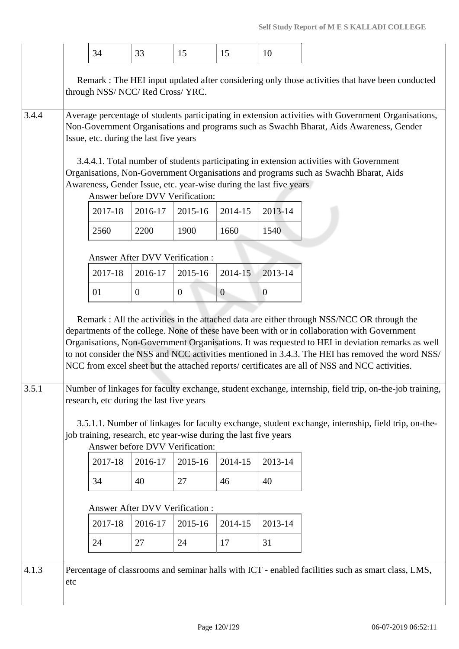|       |     | 34                                                | 33             | 15                                                                                                               | 15             | 10           |                                                                                                                                                                                                                                                                                                                                                                                                                                                                                                       |
|-------|-----|---------------------------------------------------|----------------|------------------------------------------------------------------------------------------------------------------|----------------|--------------|-------------------------------------------------------------------------------------------------------------------------------------------------------------------------------------------------------------------------------------------------------------------------------------------------------------------------------------------------------------------------------------------------------------------------------------------------------------------------------------------------------|
|       |     | through NSS/ NCC/ Red Cross/ YRC.                 |                |                                                                                                                  |                |              | Remark : The HEI input updated after considering only those activities that have been conducted                                                                                                                                                                                                                                                                                                                                                                                                       |
| 3.4.4 |     | Issue, etc. during the last five years<br>2017-18 | 2016-17        | Awareness, Gender Issue, etc. year-wise during the last five years<br>Answer before DVV Verification:<br>2015-16 | 2014-15        | 2013-14      | Average percentage of students participating in extension activities with Government Organisations,<br>Non-Government Organisations and programs such as Swachh Bharat, Aids Awareness, Gender<br>3.4.4.1. Total number of students participating in extension activities with Government<br>Organisations, Non-Government Organisations and programs such as Swachh Bharat, Aids                                                                                                                     |
|       |     |                                                   |                |                                                                                                                  |                |              |                                                                                                                                                                                                                                                                                                                                                                                                                                                                                                       |
|       |     | 2560<br>Answer After DVV Verification:            | 2200           | 1900                                                                                                             | 1660           | 1540         |                                                                                                                                                                                                                                                                                                                                                                                                                                                                                                       |
|       |     | 2017-18                                           | 2016-17        | 2015-16                                                                                                          | 2014-15        | 2013-14      |                                                                                                                                                                                                                                                                                                                                                                                                                                                                                                       |
|       |     | 01                                                | $\overline{0}$ | $\mathbf{0}$                                                                                                     | $\overline{0}$ | $\mathbf{0}$ |                                                                                                                                                                                                                                                                                                                                                                                                                                                                                                       |
|       |     |                                                   |                |                                                                                                                  |                |              | Remark : All the activities in the attached data are either through NSS/NCC OR through the<br>departments of the college. None of these have been with or in collaboration with Government<br>Organisations, Non-Government Organisations. It was requested to HEI in deviation remarks as well<br>to not consider the NSS and NCC activities mentioned in 3.4.3. The HEI has removed the word NSS/<br>NCC from excel sheet but the attached reports/ certificates are all of NSS and NCC activities. |
| 3.5.1 |     | research, etc during the last five years          |                |                                                                                                                  |                |              | Number of linkages for faculty exchange, student exchange, internship, field trip, on-the-job training,                                                                                                                                                                                                                                                                                                                                                                                               |
|       |     |                                                   |                | job training, research, etc year-wise during the last five years<br>Answer before DVV Verification:              |                |              | 3.5.1.1. Number of linkages for faculty exchange, student exchange, internship, field trip, on-the-                                                                                                                                                                                                                                                                                                                                                                                                   |
|       |     | 2017-18                                           | 2016-17        | 2015-16                                                                                                          | 2014-15        | 2013-14      |                                                                                                                                                                                                                                                                                                                                                                                                                                                                                                       |
|       |     | 34                                                | 40             | 27                                                                                                               | 46             | 40           |                                                                                                                                                                                                                                                                                                                                                                                                                                                                                                       |
|       |     | Answer After DVV Verification:                    |                |                                                                                                                  |                |              |                                                                                                                                                                                                                                                                                                                                                                                                                                                                                                       |
|       |     | 2017-18                                           | 2016-17        | 2015-16                                                                                                          | 2014-15        | 2013-14      |                                                                                                                                                                                                                                                                                                                                                                                                                                                                                                       |
|       |     | 24                                                | 27             | 24                                                                                                               | 17             | 31           |                                                                                                                                                                                                                                                                                                                                                                                                                                                                                                       |
| 4.1.3 | etc |                                                   |                |                                                                                                                  |                |              | Percentage of classrooms and seminar halls with ICT - enabled facilities such as smart class, LMS,                                                                                                                                                                                                                                                                                                                                                                                                    |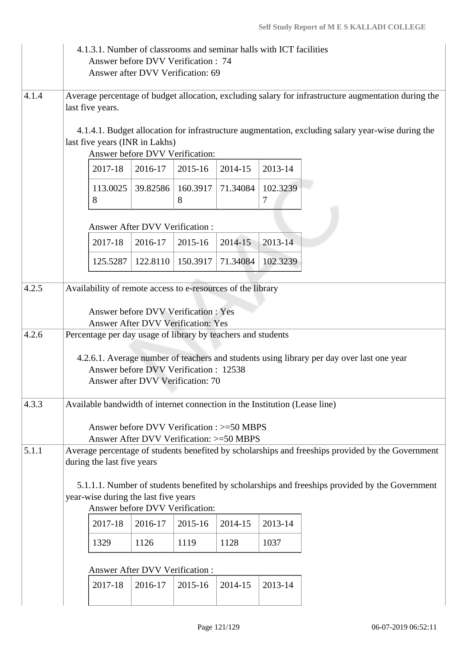|       | 4.1.3.1. Number of classrooms and seminar halls with ICT facilities<br>Answer before DVV Verification : 74<br>Answer after DVV Verification: 69                      |                                 |               |          |               |                                                                                                      |
|-------|----------------------------------------------------------------------------------------------------------------------------------------------------------------------|---------------------------------|---------------|----------|---------------|------------------------------------------------------------------------------------------------------|
| 4.1.4 | last five years.                                                                                                                                                     |                                 |               |          |               | Average percentage of budget allocation, excluding salary for infrastructure augmentation during the |
|       | last five years (INR in Lakhs)                                                                                                                                       | Answer before DVV Verification: |               |          |               | 4.1.4.1. Budget allocation for infrastructure augmentation, excluding salary year-wise during the    |
|       | 2017-18                                                                                                                                                              | 2016-17                         | 2015-16       | 2014-15  | 2013-14       |                                                                                                      |
|       | 113.0025<br>8                                                                                                                                                        | 39.82586                        | 160.3917<br>8 | 71.34084 | 102.3239<br>7 |                                                                                                      |
|       |                                                                                                                                                                      | Answer After DVV Verification:  |               |          |               |                                                                                                      |
|       | 2017-18                                                                                                                                                              | 2016-17                         | 2015-16       | 2014-15  | 2013-14       |                                                                                                      |
|       | 125.5287                                                                                                                                                             | 122.8110                        | 150.3917      | 71.34084 | 102.3239      |                                                                                                      |
| 4.2.5 | Availability of remote access to e-resources of the library<br><b>Answer before DVV Verification: Yes</b><br><b>Answer After DVV Verification: Yes</b>               |                                 |               |          |               |                                                                                                      |
| 4.2.6 | Percentage per day usage of library by teachers and students<br>Answer before DVV Verification: 12538<br>Answer after DVV Verification: 70                           |                                 |               |          |               | 4.2.6.1. Average number of teachers and students using library per day over last one year            |
| 4.3.3 | Available bandwidth of internet connection in the Institution (Lease line)<br>Answer before DVV Verification : >=50 MBPS<br>Answer After DVV Verification: >=50 MBPS |                                 |               |          |               |                                                                                                      |
| 5.1.1 | during the last five years                                                                                                                                           |                                 |               |          |               | Average percentage of students benefited by scholarships and freeships provided by the Government    |
|       | year-wise during the last five years<br>Answer before DVV Verification:                                                                                              |                                 |               |          |               | 5.1.1.1. Number of students benefited by scholarships and freeships provided by the Government       |
|       | 2017-18                                                                                                                                                              | 2016-17                         | 2015-16       | 2014-15  | 2013-14       |                                                                                                      |
|       | 1329                                                                                                                                                                 | 1126                            | 1119          | 1128     | 1037          |                                                                                                      |
|       | <b>Answer After DVV Verification:</b>                                                                                                                                |                                 |               |          |               |                                                                                                      |
|       | 2017-18                                                                                                                                                              | 2016-17                         | 2015-16       | 2014-15  | 2013-14       |                                                                                                      |
|       |                                                                                                                                                                      |                                 |               |          |               |                                                                                                      |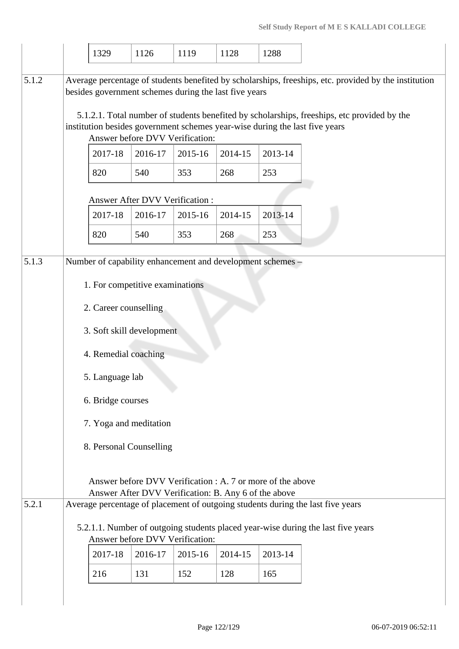|       | 1329                                                                        | 1126                                                                                                               | 1119    | 1128    | 1288    |                                                                                                                                                                                                      |
|-------|-----------------------------------------------------------------------------|--------------------------------------------------------------------------------------------------------------------|---------|---------|---------|------------------------------------------------------------------------------------------------------------------------------------------------------------------------------------------------------|
|       |                                                                             |                                                                                                                    |         |         |         |                                                                                                                                                                                                      |
| 5.1.2 | besides government schemes during the last five years                       |                                                                                                                    |         |         |         | Average percentage of students benefited by scholarships, freeships, etc. provided by the institution<br>5.1.2.1. Total number of students benefited by scholarships, freeships, etc provided by the |
|       | institution besides government schemes year-wise during the last five years | Answer before DVV Verification:                                                                                    |         |         |         |                                                                                                                                                                                                      |
|       | 2017-18                                                                     | 2016-17                                                                                                            | 2015-16 | 2014-15 | 2013-14 |                                                                                                                                                                                                      |
|       | 820                                                                         | 540                                                                                                                | 353     | 268     | 253     |                                                                                                                                                                                                      |
|       |                                                                             | Answer After DVV Verification:                                                                                     |         |         |         |                                                                                                                                                                                                      |
|       | 2017-18                                                                     | 2016-17                                                                                                            | 2015-16 | 2014-15 | 2013-14 |                                                                                                                                                                                                      |
|       | 820                                                                         | 540                                                                                                                | 353     | 268     | 253     |                                                                                                                                                                                                      |
| 5.1.3 | Number of capability enhancement and development schemes -                  |                                                                                                                    |         |         |         |                                                                                                                                                                                                      |
|       |                                                                             |                                                                                                                    |         |         |         |                                                                                                                                                                                                      |
|       |                                                                             | 1. For competitive examinations                                                                                    |         |         |         |                                                                                                                                                                                                      |
|       | 2. Career counselling                                                       |                                                                                                                    |         |         |         |                                                                                                                                                                                                      |
|       |                                                                             | 3. Soft skill development                                                                                          |         |         |         |                                                                                                                                                                                                      |
|       | 4. Remedial coaching                                                        |                                                                                                                    |         |         |         |                                                                                                                                                                                                      |
|       | 5. Language lab                                                             |                                                                                                                    |         |         |         |                                                                                                                                                                                                      |
|       | 6. Bridge courses                                                           |                                                                                                                    |         |         |         |                                                                                                                                                                                                      |
|       |                                                                             | 7. Yoga and meditation                                                                                             |         |         |         |                                                                                                                                                                                                      |
|       |                                                                             | 8. Personal Counselling                                                                                            |         |         |         |                                                                                                                                                                                                      |
|       |                                                                             |                                                                                                                    |         |         |         |                                                                                                                                                                                                      |
|       |                                                                             | Answer before DVV Verification : A. 7 or more of the above<br>Answer After DVV Verification: B. Any 6 of the above |         |         |         |                                                                                                                                                                                                      |
| 5.2.1 |                                                                             |                                                                                                                    |         |         |         | Average percentage of placement of outgoing students during the last five years                                                                                                                      |
|       |                                                                             |                                                                                                                    |         |         |         | 5.2.1.1. Number of outgoing students placed year-wise during the last five years                                                                                                                     |
|       |                                                                             | Answer before DVV Verification:                                                                                    |         |         |         |                                                                                                                                                                                                      |
|       | 2017-18                                                                     | 2016-17                                                                                                            | 2015-16 | 2014-15 | 2013-14 |                                                                                                                                                                                                      |
|       | 216                                                                         | 131                                                                                                                | 152     | 128     | 165     |                                                                                                                                                                                                      |
|       |                                                                             |                                                                                                                    |         |         |         |                                                                                                                                                                                                      |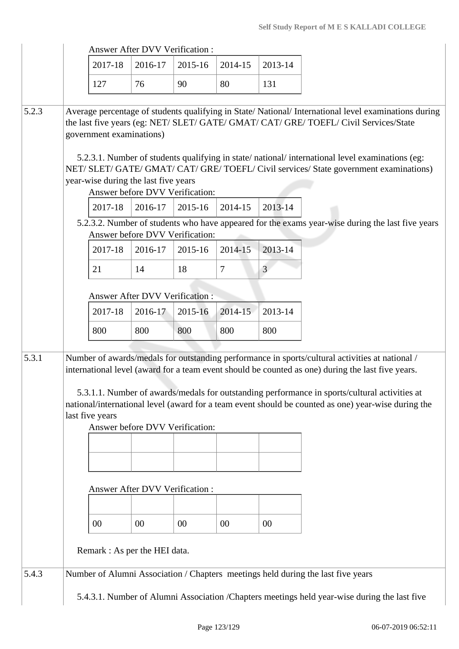|       |                                     | <b>Answer After DVV Verification:</b>                                              |             |         |                |                                                                                                                                                                                                                                                                                                                                                                                                              |
|-------|-------------------------------------|------------------------------------------------------------------------------------|-------------|---------|----------------|--------------------------------------------------------------------------------------------------------------------------------------------------------------------------------------------------------------------------------------------------------------------------------------------------------------------------------------------------------------------------------------------------------------|
|       | 2017-18                             | 2016-17                                                                            | 2015-16     | 2014-15 | 2013-14        |                                                                                                                                                                                                                                                                                                                                                                                                              |
|       | 127                                 | 76                                                                                 | 90          | 80      | 131            |                                                                                                                                                                                                                                                                                                                                                                                                              |
| 5.2.3 | government examinations)<br>2017-18 | year-wise during the last five years<br>Answer before DVV Verification:<br>2016-17 | $2015 - 16$ | 2014-15 | 2013-14        | Average percentage of students qualifying in State/National/International level examinations during<br>the last five years (eg: NET/ SLET/ GATE/ GMAT/ CAT/ GRE/ TOEFL/ Civil Services/State<br>5.2.3.1. Number of students qualifying in state/national/international level examinations (eg:<br>NET/ SLET/ GATE/ GMAT/ CAT/ GRE/ TOEFL/ Civil services/ State government examinations)                     |
|       |                                     |                                                                                    |             |         |                | 5.2.3.2. Number of students who have appeared for the exams year-wise during the last five years                                                                                                                                                                                                                                                                                                             |
|       | 2017-18                             | Answer before DVV Verification:<br>2016-17                                         | 2015-16     | 2014-15 | 2013-14        |                                                                                                                                                                                                                                                                                                                                                                                                              |
|       | 21                                  | 14                                                                                 | 18          | 7       | $\mathfrak{Z}$ |                                                                                                                                                                                                                                                                                                                                                                                                              |
|       |                                     | <b>Answer After DVV Verification:</b>                                              |             |         |                |                                                                                                                                                                                                                                                                                                                                                                                                              |
|       | 2017-18                             | 2016-17                                                                            | 2015-16     | 2014-15 | 2013-14        |                                                                                                                                                                                                                                                                                                                                                                                                              |
|       | 800                                 | 800                                                                                | 800         | 800     | 800            |                                                                                                                                                                                                                                                                                                                                                                                                              |
| 5.3.1 | last five years                     | Answer before DVV Verification:                                                    |             |         |                | Number of awards/medals for outstanding performance in sports/cultural activities at national /<br>international level (award for a team event should be counted as one) during the last five years.<br>5.3.1.1. Number of awards/medals for outstanding performance in sports/cultural activities at<br>national/international level (award for a team event should be counted as one) year-wise during the |
|       |                                     |                                                                                    |             |         |                |                                                                                                                                                                                                                                                                                                                                                                                                              |
|       |                                     | Answer After DVV Verification:                                                     |             |         |                |                                                                                                                                                                                                                                                                                                                                                                                                              |
|       |                                     |                                                                                    |             |         |                |                                                                                                                                                                                                                                                                                                                                                                                                              |
|       | 00                                  | 00                                                                                 | 00          | $00\,$  | $00\,$         |                                                                                                                                                                                                                                                                                                                                                                                                              |
|       |                                     | Remark : As per the HEI data.                                                      |             |         |                |                                                                                                                                                                                                                                                                                                                                                                                                              |
| 5.4.3 |                                     |                                                                                    |             |         |                | Number of Alumni Association / Chapters meetings held during the last five years                                                                                                                                                                                                                                                                                                                             |
|       |                                     |                                                                                    |             |         |                | 5.4.3.1. Number of Alumni Association / Chapters meetings held year-wise during the last five                                                                                                                                                                                                                                                                                                                |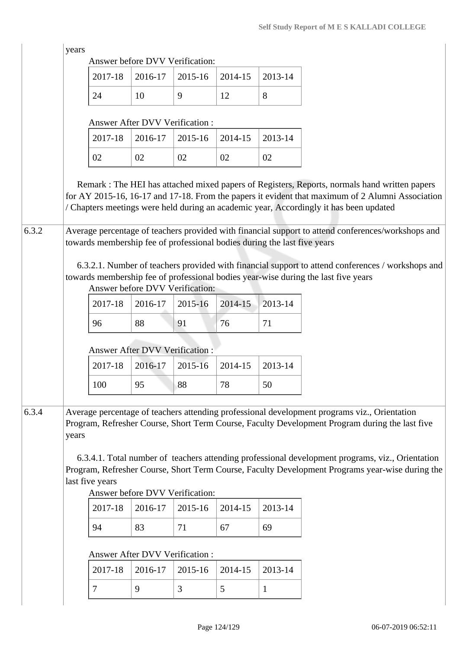|       | years |                 | Answer before DVV Verification:                  |         |         |                                                                          |                                                                                                                                                                                                                                                                                                                                                                                                       |
|-------|-------|-----------------|--------------------------------------------------|---------|---------|--------------------------------------------------------------------------|-------------------------------------------------------------------------------------------------------------------------------------------------------------------------------------------------------------------------------------------------------------------------------------------------------------------------------------------------------------------------------------------------------|
|       |       | 2017-18         | 2016-17                                          | 2015-16 | 2014-15 | 2013-14                                                                  |                                                                                                                                                                                                                                                                                                                                                                                                       |
|       |       | 24              | 10                                               | 9       | 12      | 8                                                                        |                                                                                                                                                                                                                                                                                                                                                                                                       |
|       |       |                 | <b>Answer After DVV Verification:</b>            |         |         |                                                                          |                                                                                                                                                                                                                                                                                                                                                                                                       |
|       |       | 2017-18         | 2016-17                                          | 2015-16 | 2014-15 | 2013-14                                                                  |                                                                                                                                                                                                                                                                                                                                                                                                       |
|       |       | 02              | 02                                               | 02      | 02      | 02                                                                       |                                                                                                                                                                                                                                                                                                                                                                                                       |
| 6.3.2 |       |                 |                                                  |         |         | towards membership fee of professional bodies during the last five years | Remark : The HEI has attached mixed papers of Registers, Reports, normals hand written papers<br>for AY 2015-16, 16-17 and 17-18. From the papers it evident that maximum of 2 Alumni Association<br>/ Chapters meetings were held during an academic year, Accordingly it has been updated<br>Average percentage of teachers provided with financial support to attend conferences/workshops and     |
|       |       |                 | Answer before DVV Verification:                  |         |         |                                                                          | 6.3.2.1. Number of teachers provided with financial support to attend conferences / workshops and<br>towards membership fee of professional bodies year-wise during the last five years                                                                                                                                                                                                               |
|       |       | 2017-18         | 2016-17                                          | 2015-16 | 2014-15 | 2013-14                                                                  |                                                                                                                                                                                                                                                                                                                                                                                                       |
|       |       | 96              | 88                                               | 91      | 76      | 71                                                                       |                                                                                                                                                                                                                                                                                                                                                                                                       |
|       |       |                 | <b>Answer After DVV Verification:</b>            |         |         |                                                                          |                                                                                                                                                                                                                                                                                                                                                                                                       |
|       |       | 2017-18         | 2016-17                                          | 2015-16 | 2014-15 | 2013-14                                                                  |                                                                                                                                                                                                                                                                                                                                                                                                       |
|       |       | 100             | 95                                               | 88      | 78      | 50                                                                       |                                                                                                                                                                                                                                                                                                                                                                                                       |
|       |       |                 |                                                  |         |         |                                                                          |                                                                                                                                                                                                                                                                                                                                                                                                       |
| 6.3.4 | years | last five years | Answer before DVV Verification:                  |         |         |                                                                          | Average percentage of teachers attending professional development programs viz., Orientation<br>Program, Refresher Course, Short Term Course, Faculty Development Program during the last five<br>6.3.4.1. Total number of teachers attending professional development programs, viz., Orientation<br>Program, Refresher Course, Short Term Course, Faculty Development Programs year-wise during the |
|       |       | 2017-18         | 2016-17                                          | 2015-16 | 2014-15 | 2013-14                                                                  |                                                                                                                                                                                                                                                                                                                                                                                                       |
|       |       | 94              | 83                                               | 71      | 67      | 69                                                                       |                                                                                                                                                                                                                                                                                                                                                                                                       |
|       |       |                 |                                                  |         |         |                                                                          |                                                                                                                                                                                                                                                                                                                                                                                                       |
|       |       | 2017-18         | <b>Answer After DVV Verification:</b><br>2016-17 | 2015-16 | 2014-15 | 2013-14                                                                  |                                                                                                                                                                                                                                                                                                                                                                                                       |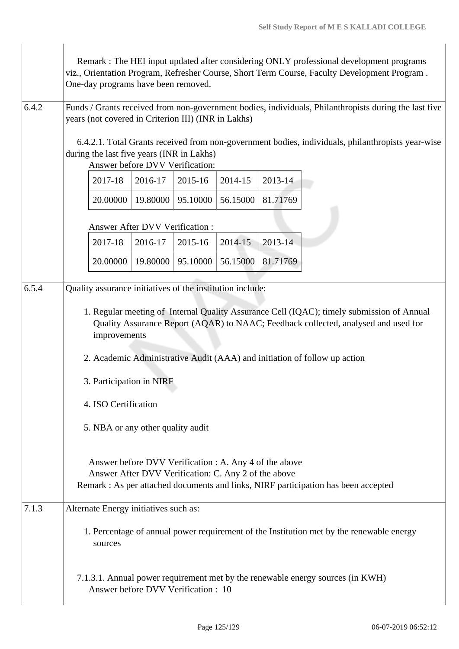|       | One-day programs have been removed.                                                                            |          |          |          |          | Remark : The HEI input updated after considering ONLY professional development programs<br>viz., Orientation Program, Refresher Course, Short Term Course, Faculty Development Program.                                                                      |
|-------|----------------------------------------------------------------------------------------------------------------|----------|----------|----------|----------|--------------------------------------------------------------------------------------------------------------------------------------------------------------------------------------------------------------------------------------------------------------|
| 6.4.2 | years (not covered in Criterion III) (INR in Lakhs)                                                            |          |          |          |          | Funds / Grants received from non-government bodies, individuals, Philanthropists during the last five                                                                                                                                                        |
|       | during the last five years (INR in Lakhs)<br>Answer before DVV Verification:                                   |          |          |          |          | 6.4.2.1. Total Grants received from non-government bodies, individuals, philanthropists year-wise                                                                                                                                                            |
|       | 2017-18                                                                                                        | 2016-17  | 2015-16  | 2014-15  | 2013-14  |                                                                                                                                                                                                                                                              |
|       | 20.00000                                                                                                       | 19.80000 | 95.10000 | 56.15000 | 81.71769 |                                                                                                                                                                                                                                                              |
|       | Answer After DVV Verification:                                                                                 |          |          |          |          |                                                                                                                                                                                                                                                              |
|       | 2017-18                                                                                                        | 2016-17  | 2015-16  | 2014-15  | 2013-14  |                                                                                                                                                                                                                                                              |
|       | 20.00000                                                                                                       | 19.80000 | 95.10000 | 56.15000 | 81.71769 |                                                                                                                                                                                                                                                              |
| 6.5.4 | Quality assurance initiatives of the institution include:                                                      |          |          |          |          |                                                                                                                                                                                                                                                              |
|       | improvements                                                                                                   |          |          |          |          | 1. Regular meeting of Internal Quality Assurance Cell (IQAC); timely submission of Annual<br>Quality Assurance Report (AQAR) to NAAC; Feedback collected, analysed and used for<br>2. Academic Administrative Audit (AAA) and initiation of follow up action |
|       | 3. Participation in NIRF                                                                                       |          |          |          |          |                                                                                                                                                                                                                                                              |
|       | 4. ISO Certification                                                                                           |          |          |          |          |                                                                                                                                                                                                                                                              |
|       | 5. NBA or any other quality audit                                                                              |          |          |          |          |                                                                                                                                                                                                                                                              |
|       | Answer before DVV Verification : A. Any 4 of the above<br>Answer After DVV Verification: C. Any 2 of the above |          |          |          |          | Remark : As per attached documents and links, NIRF participation has been accepted                                                                                                                                                                           |
| 7.1.3 | Alternate Energy initiatives such as:                                                                          |          |          |          |          |                                                                                                                                                                                                                                                              |
|       | sources                                                                                                        |          |          |          |          | 1. Percentage of annual power requirement of the Institution met by the renewable energy                                                                                                                                                                     |
|       | Answer before DVV Verification: 10                                                                             |          |          |          |          | 7.1.3.1. Annual power requirement met by the renewable energy sources (in KWH)                                                                                                                                                                               |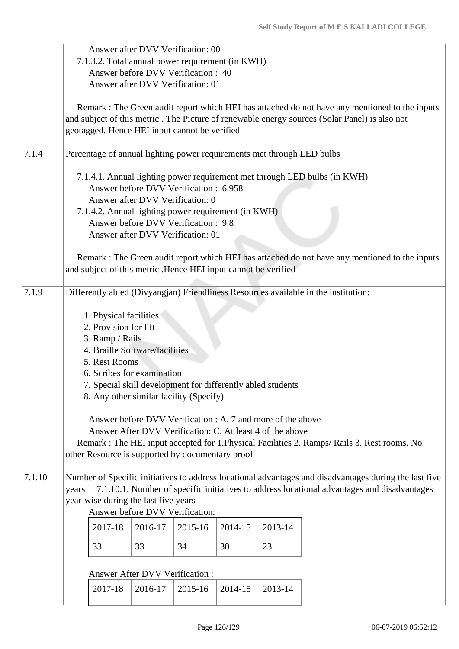|        |       | Answer after DVV Verification: 00                                                                                                                                                              |                                       |         |                                                                |                                                                        |                                                                                                                                                                                                       |
|--------|-------|------------------------------------------------------------------------------------------------------------------------------------------------------------------------------------------------|---------------------------------------|---------|----------------------------------------------------------------|------------------------------------------------------------------------|-------------------------------------------------------------------------------------------------------------------------------------------------------------------------------------------------------|
|        |       |                                                                                                                                                                                                |                                       |         | 7.1.3.2. Total annual power requirement (in KWH)               |                                                                        |                                                                                                                                                                                                       |
|        |       | Answer before DVV Verification: 40                                                                                                                                                             |                                       |         |                                                                |                                                                        |                                                                                                                                                                                                       |
|        |       | Answer after DVV Verification: 01                                                                                                                                                              |                                       |         |                                                                |                                                                        |                                                                                                                                                                                                       |
|        |       | geotagged. Hence HEI input cannot be verified                                                                                                                                                  |                                       |         |                                                                |                                                                        | Remark : The Green audit report which HEI has attached do not have any mentioned to the inputs<br>and subject of this metric . The Picture of renewable energy sources (Solar Panel) is also not      |
| 7.1.4  |       |                                                                                                                                                                                                |                                       |         |                                                                | Percentage of annual lighting power requirements met through LED bulbs |                                                                                                                                                                                                       |
|        |       | Answer before DVV Verification: 6.958<br>Answer after DVV Verification: 0<br>Answer before DVV Verification: 9.8<br>Answer after DVV Verification: 01                                          |                                       |         | 7.1.4.2. Annual lighting power requirement (in KWH)            |                                                                        | 7.1.4.1. Annual lighting power requirement met through LED bulbs (in KWH)                                                                                                                             |
|        |       |                                                                                                                                                                                                |                                       |         | and subject of this metric .Hence HEI input cannot be verified |                                                                        | Remark : The Green audit report which HEI has attached do not have any mentioned to the inputs                                                                                                        |
| 7.1.9  |       |                                                                                                                                                                                                |                                       |         |                                                                |                                                                        | Differently abled (Divyangjan) Friendliness Resources available in the institution:                                                                                                                   |
|        |       | 1. Physical facilities<br>2. Provision for lift<br>3. Ramp / Rails<br>4. Braille Software/facilities<br>5. Rest Rooms<br>6. Scribes for examination<br>8. Any other similar facility (Specify) |                                       |         | 7. Special skill development for differently abled students    |                                                                        |                                                                                                                                                                                                       |
|        |       |                                                                                                                                                                                                |                                       |         |                                                                | Answer before DVV Verification : A. 7 and more of the above            |                                                                                                                                                                                                       |
|        |       |                                                                                                                                                                                                |                                       |         |                                                                | Answer After DVV Verification: C. At least 4 of the above              | Remark : The HEI input accepted for 1. Physical Facilities 2. Ramps/ Rails 3. Rest rooms. No                                                                                                          |
|        |       | other Resource is supported by documentary proof                                                                                                                                               |                                       |         |                                                                |                                                                        |                                                                                                                                                                                                       |
| 7.1.10 | years | year-wise during the last five years<br>Answer before DVV Verification:                                                                                                                        |                                       |         |                                                                |                                                                        | Number of Specific initiatives to address locational advantages and disadvantages during the last five<br>7.1.10.1. Number of specific initiatives to address locational advantages and disadvantages |
|        |       | 2017-18                                                                                                                                                                                        | 2016-17                               | 2015-16 | 2014-15                                                        | 2013-14                                                                |                                                                                                                                                                                                       |
|        |       | 33                                                                                                                                                                                             | 33                                    | 34      | 30                                                             | 23                                                                     |                                                                                                                                                                                                       |
|        |       |                                                                                                                                                                                                | <b>Answer After DVV Verification:</b> |         |                                                                |                                                                        |                                                                                                                                                                                                       |
|        |       | 2017-18                                                                                                                                                                                        | 2016-17                               | 2015-16 | 2014-15                                                        | 2013-14                                                                |                                                                                                                                                                                                       |
|        |       |                                                                                                                                                                                                |                                       |         |                                                                |                                                                        |                                                                                                                                                                                                       |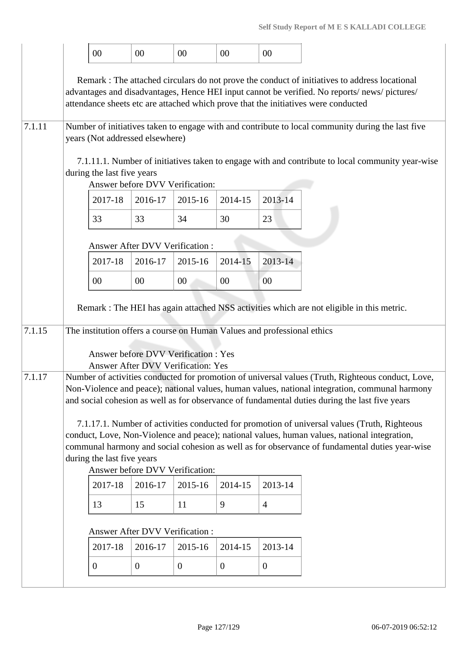|        | $00\,$                                                        | 00                                        | 00             | 00             | 00                                                                      |                                                                                                                                                                                                                                                                                                       |
|--------|---------------------------------------------------------------|-------------------------------------------|----------------|----------------|-------------------------------------------------------------------------|-------------------------------------------------------------------------------------------------------------------------------------------------------------------------------------------------------------------------------------------------------------------------------------------------------|
|        |                                                               |                                           |                |                |                                                                         | Remark : The attached circulars do not prove the conduct of initiatives to address locational<br>advantages and disadvantages, Hence HEI input cannot be verified. No reports/news/pictures/<br>attendance sheets etc are attached which prove that the initiatives were conducted                    |
| 7.1.11 | years (Not addressed elsewhere)                               |                                           |                |                |                                                                         | Number of initiatives taken to engage with and contribute to local community during the last five                                                                                                                                                                                                     |
|        | during the last five years                                    | Answer before DVV Verification:           |                |                |                                                                         | 7.1.11.1. Number of initiatives taken to engage with and contribute to local community year-wise                                                                                                                                                                                                      |
|        | 2017-18                                                       | 2016-17                                   | 2015-16        | 2014-15        | 2013-14                                                                 |                                                                                                                                                                                                                                                                                                       |
|        | 33                                                            | 33                                        | 34             | 30             | 23                                                                      |                                                                                                                                                                                                                                                                                                       |
|        |                                                               | <b>Answer After DVV Verification:</b>     |                |                |                                                                         |                                                                                                                                                                                                                                                                                                       |
|        | 2017-18                                                       | 2016-17                                   | 2015-16        | 2014-15        | 2013-14                                                                 |                                                                                                                                                                                                                                                                                                       |
|        | $00\,$                                                        | 00                                        | 00             | 00             | 00                                                                      |                                                                                                                                                                                                                                                                                                       |
|        |                                                               |                                           |                |                |                                                                         | Remark : The HEI has again attached NSS activities which are not eligible in this metric.                                                                                                                                                                                                             |
| 7.1.15 |                                                               |                                           |                |                | The institution offers a course on Human Values and professional ethics |                                                                                                                                                                                                                                                                                                       |
|        | Answer before DVV Verification : Yes                          | <b>Answer After DVV Verification: Yes</b> |                |                |                                                                         |                                                                                                                                                                                                                                                                                                       |
| 7.1.17 |                                                               |                                           |                |                |                                                                         | Number of activities conducted for promotion of universal values (Truth, Righteous conduct, Love,<br>Non-Violence and peace); national values, human values, national integration, communal harmony<br>and social cohesion as well as for observance of fundamental duties during the last five years |
|        | during the last five years<br>Answer before DVV Verification: |                                           |                |                |                                                                         | 7.1.17.1. Number of activities conducted for promotion of universal values (Truth, Righteous<br>conduct, Love, Non-Violence and peace); national values, human values, national integration,<br>communal harmony and social cohesion as well as for observance of fundamental duties year-wise        |
|        | 2017-18                                                       | 2016-17                                   | 2015-16        | 2014-15        | 2013-14                                                                 |                                                                                                                                                                                                                                                                                                       |
|        | 13                                                            | 15                                        | 11             | 9              | $\overline{4}$                                                          |                                                                                                                                                                                                                                                                                                       |
|        |                                                               | Answer After DVV Verification :           |                |                |                                                                         |                                                                                                                                                                                                                                                                                                       |
|        | 2017-18                                                       | 2016-17                                   | 2015-16        | 2014-15        | 2013-14                                                                 |                                                                                                                                                                                                                                                                                                       |
|        | $\overline{0}$                                                | $\overline{0}$                            | $\overline{0}$ | $\overline{0}$ | $\overline{0}$                                                          |                                                                                                                                                                                                                                                                                                       |
|        |                                                               |                                           |                |                |                                                                         |                                                                                                                                                                                                                                                                                                       |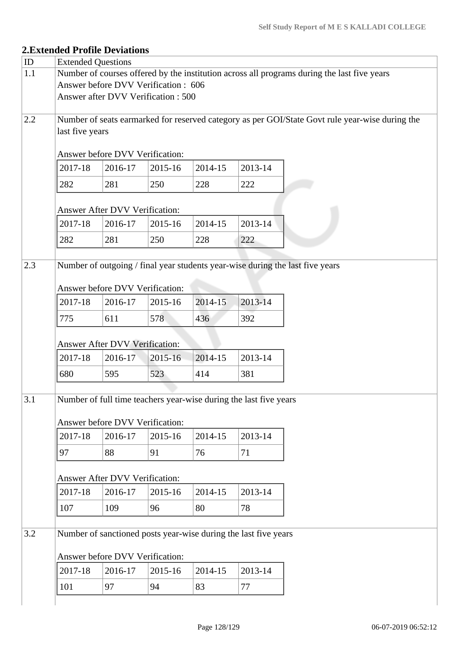# **2.Extended Profile Deviations**

| ID  | <b>Extended Questions</b> |                                     |         |         |                                                                   |                                                                                                 |
|-----|---------------------------|-------------------------------------|---------|---------|-------------------------------------------------------------------|-------------------------------------------------------------------------------------------------|
| 1.1 |                           |                                     |         |         |                                                                   | Number of courses offered by the institution across all programs during the last five years     |
|     |                           | Answer before DVV Verification: 606 |         |         |                                                                   |                                                                                                 |
|     |                           | Answer after DVV Verification : 500 |         |         |                                                                   |                                                                                                 |
|     |                           |                                     |         |         |                                                                   |                                                                                                 |
| 2.2 |                           |                                     |         |         |                                                                   | Number of seats earmarked for reserved category as per GOI/State Govt rule year-wise during the |
|     | last five years           |                                     |         |         |                                                                   |                                                                                                 |
|     |                           | Answer before DVV Verification:     |         |         |                                                                   |                                                                                                 |
|     |                           |                                     |         |         |                                                                   |                                                                                                 |
|     | 2017-18                   | 2016-17                             | 2015-16 | 2014-15 | 2013-14                                                           |                                                                                                 |
|     | 282                       | 281                                 | 250     | 228     | 222                                                               |                                                                                                 |
|     |                           |                                     |         |         |                                                                   |                                                                                                 |
|     |                           | Answer After DVV Verification:      |         |         |                                                                   |                                                                                                 |
|     | 2017-18                   | 2016-17                             | 2015-16 | 2014-15 | 2013-14                                                           |                                                                                                 |
|     | 282                       | 281                                 | 250     | 228     | 222                                                               |                                                                                                 |
|     |                           |                                     |         |         |                                                                   |                                                                                                 |
| 2.3 |                           |                                     |         |         |                                                                   | Number of outgoing / final year students year-wise during the last five years                   |
|     |                           |                                     |         |         |                                                                   |                                                                                                 |
|     |                           | Answer before DVV Verification:     |         |         |                                                                   |                                                                                                 |
|     | 2017-18                   | 2016-17                             | 2015-16 | 2014-15 | 2013-14                                                           |                                                                                                 |
|     | 775                       | 611                                 | 578     | 436     | 392                                                               |                                                                                                 |
|     |                           |                                     |         |         |                                                                   |                                                                                                 |
|     |                           | Answer After DVV Verification:      |         |         |                                                                   |                                                                                                 |
|     | 2017-18                   | 2016-17                             | 2015-16 | 2014-15 | 2013-14                                                           |                                                                                                 |
|     |                           |                                     |         |         |                                                                   |                                                                                                 |
|     | 680                       | 595                                 | 523     | 414     | 381                                                               |                                                                                                 |
|     |                           |                                     |         |         |                                                                   |                                                                                                 |
| 3.1 |                           |                                     |         |         | Number of full time teachers year-wise during the last five years |                                                                                                 |
|     |                           | Answer before DVV Verification:     |         |         |                                                                   |                                                                                                 |
|     | 2017-18                   |                                     |         |         | 2013-14                                                           |                                                                                                 |
|     |                           | 2016-17                             | 2015-16 | 2014-15 |                                                                   |                                                                                                 |
|     | 97                        | 88                                  | 91      | 76      | 71                                                                |                                                                                                 |
|     |                           |                                     |         |         |                                                                   |                                                                                                 |
|     |                           | Answer After DVV Verification:      |         |         |                                                                   |                                                                                                 |
|     | 2017-18                   | 2016-17                             | 2015-16 | 2014-15 | 2013-14                                                           |                                                                                                 |
|     | 107                       | 109                                 | 96      | 80      | 78                                                                |                                                                                                 |
|     |                           |                                     |         |         |                                                                   |                                                                                                 |
| 3.2 |                           |                                     |         |         | Number of sanctioned posts year-wise during the last five years   |                                                                                                 |
|     |                           |                                     |         |         |                                                                   |                                                                                                 |
|     |                           | Answer before DVV Verification:     |         |         |                                                                   |                                                                                                 |
|     | 2017-18                   | 2016-17                             | 2015-16 | 2014-15 | 2013-14                                                           |                                                                                                 |
|     | 101                       | 97                                  | 94      | 83      | 77                                                                |                                                                                                 |
|     |                           |                                     |         |         |                                                                   |                                                                                                 |
|     |                           |                                     |         |         |                                                                   |                                                                                                 |